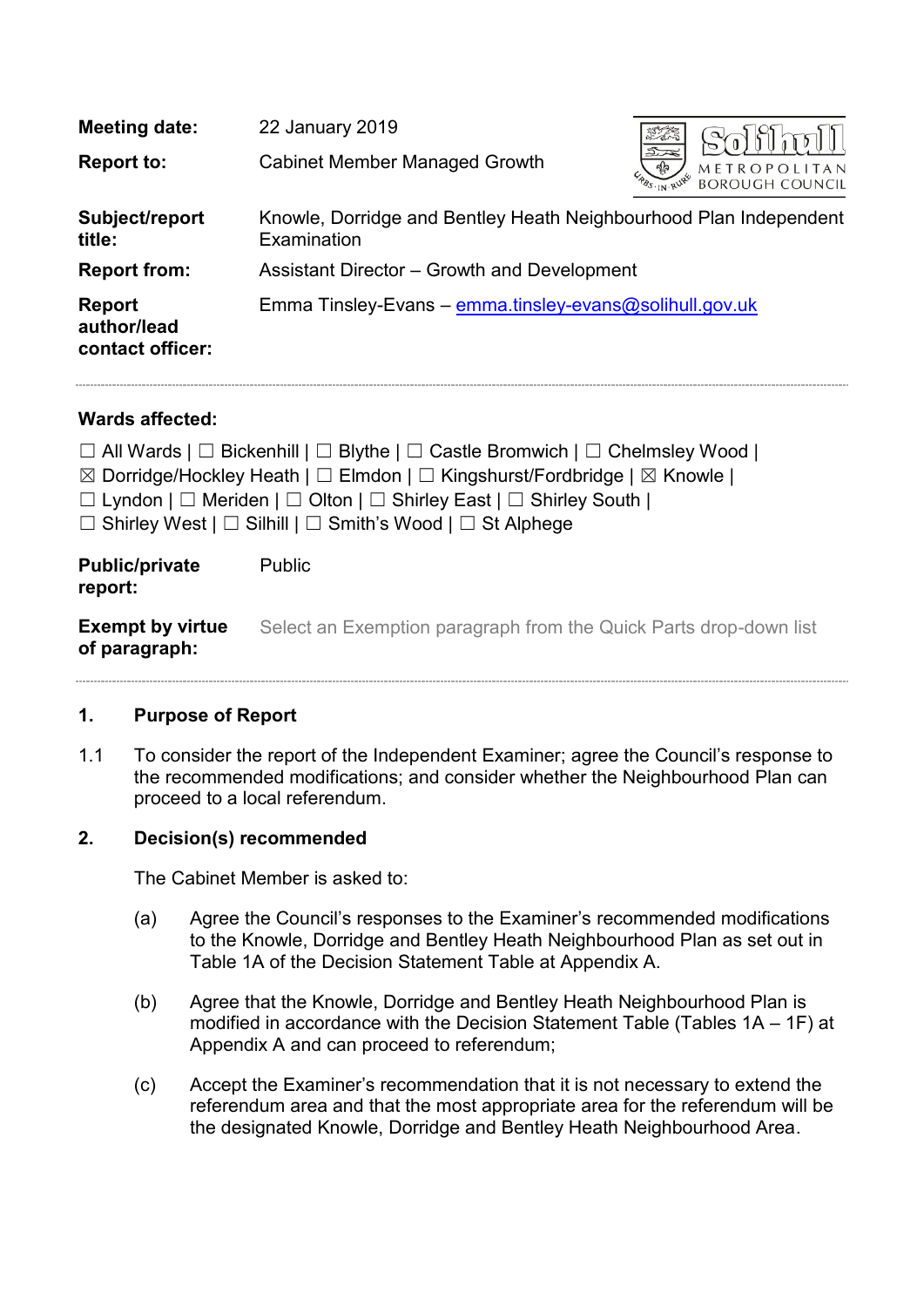| <b>Meeting date:</b>                             | 22 January 2019                                                                  |                                                                           |  |
|--------------------------------------------------|----------------------------------------------------------------------------------|---------------------------------------------------------------------------|--|
| <b>Report to:</b>                                | <b>Cabinet Member Managed Growth</b>                                             | $\mathfrak{D}$<br>$\frac{1}{2}$<br>METROPOLITAN<br><b>BOROUGH COUNCIL</b> |  |
| Subject/report<br>title:                         | Knowle, Dorridge and Bentley Heath Neighbourhood Plan Independent<br>Examination |                                                                           |  |
| <b>Report from:</b>                              | Assistant Director – Growth and Development                                      |                                                                           |  |
| <b>Report</b><br>author/lead<br>contact officer: | Emma Tinsley-Evans - emma.tinsley-evans@solihull.gov.uk                          |                                                                           |  |

# **Wards affected:**

|                                          | $\Box$ All Wards   $\Box$ Bickenhill   $\Box$ Blythe   $\Box$ Castle Bromwich   $\Box$ Chelmsley Wood  <br>$\boxtimes$ Dorridge/Hockley Heath   $\square$ Elmdon   $\square$ Kingshurst/Fordbridge   $\boxtimes$ Knowle  <br>$\Box$ Lyndon $\Box$ Meriden $\Box$ Olton $\Box$ Shirley East $\Box$ Shirley South $\Box$<br>$\Box$ Shirley West $\Box$ Silhill $\Box$ Smith's Wood $\Box$ St Alphege |
|------------------------------------------|----------------------------------------------------------------------------------------------------------------------------------------------------------------------------------------------------------------------------------------------------------------------------------------------------------------------------------------------------------------------------------------------------|
| <b>Public/private</b><br>report:         | <b>Public</b>                                                                                                                                                                                                                                                                                                                                                                                      |
| <b>Exempt by virtue</b><br>of paragraph: | Select an Exemption paragraph from the Quick Parts drop-down list                                                                                                                                                                                                                                                                                                                                  |

# **1. Purpose of Report**

1.1 To consider the report of the Independent Examiner; agree the Council's response to the recommended modifications; and consider whether the Neighbourhood Plan can proceed to a local referendum.

# **2. Decision(s) recommended**

The Cabinet Member is asked to:

- (a) Agree the Council's responses to the Examiner's recommended modifications to the Knowle, Dorridge and Bentley Heath Neighbourhood Plan as set out in Table 1A of the Decision Statement Table at Appendix A.
- (b) Agree that the Knowle, Dorridge and Bentley Heath Neighbourhood Plan is modified in accordance with the Decision Statement Table (Tables 1A – 1F) at Appendix A and can proceed to referendum;
- (c) Accept the Examiner's recommendation that it is not necessary to extend the referendum area and that the most appropriate area for the referendum will be the designated Knowle, Dorridge and Bentley Heath Neighbourhood Area.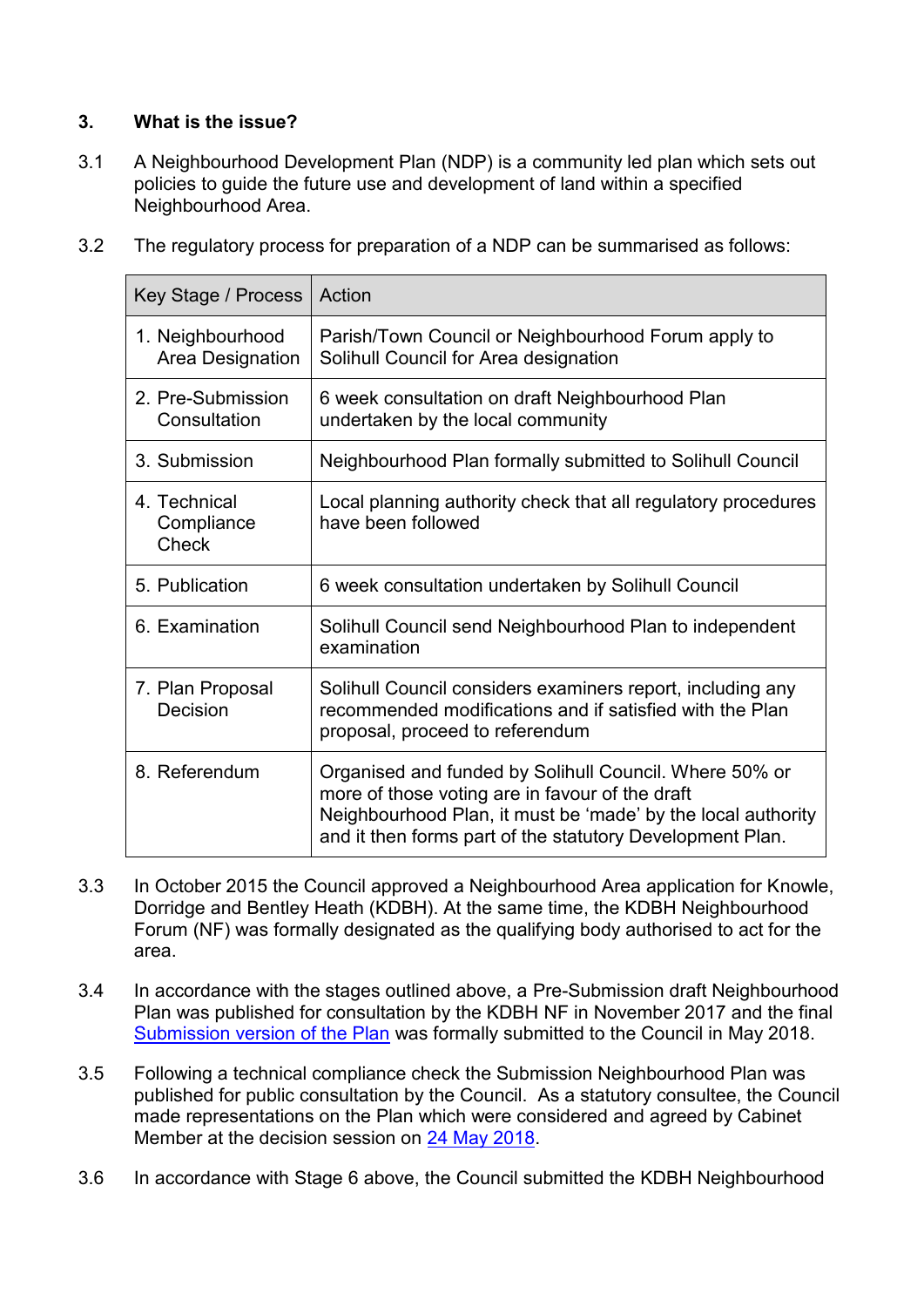# **3. What is the issue?**

3.1 A Neighbourhood Development Plan (NDP) is a community led plan which sets out policies to guide the future use and development of land within a specified Neighbourhood Area.

|  |  | 3.2 The regulatory process for preparation of a NDP can be summarised as follows: |
|--|--|-----------------------------------------------------------------------------------|
|--|--|-----------------------------------------------------------------------------------|

| Key Stage / Process                  | Action                                                                                                                                                                                                                                 |
|--------------------------------------|----------------------------------------------------------------------------------------------------------------------------------------------------------------------------------------------------------------------------------------|
| 1. Neighbourhood<br>Area Designation | Parish/Town Council or Neighbourhood Forum apply to<br>Solihull Council for Area designation                                                                                                                                           |
| 2. Pre-Submission<br>Consultation    | 6 week consultation on draft Neighbourhood Plan<br>undertaken by the local community                                                                                                                                                   |
| 3. Submission                        | Neighbourhood Plan formally submitted to Solihull Council                                                                                                                                                                              |
| 4. Technical<br>Compliance<br>Check  | Local planning authority check that all regulatory procedures<br>have been followed                                                                                                                                                    |
| 5. Publication                       | 6 week consultation undertaken by Solihull Council                                                                                                                                                                                     |
| 6. Examination                       | Solihull Council send Neighbourhood Plan to independent<br>examination                                                                                                                                                                 |
| 7. Plan Proposal<br>Decision         | Solihull Council considers examiners report, including any<br>recommended modifications and if satisfied with the Plan<br>proposal, proceed to referendum                                                                              |
| 8. Referendum                        | Organised and funded by Solihull Council. Where 50% or<br>more of those voting are in favour of the draft<br>Neighbourhood Plan, it must be 'made' by the local authority<br>and it then forms part of the statutory Development Plan. |

- 3.3 In October 2015 the Council approved a Neighbourhood Area application for Knowle, Dorridge and Bentley Heath (KDBH). At the same time, the KDBH Neighbourhood Forum (NF) was formally designated as the qualifying body authorised to act for the area.
- 3.4 In accordance with the stages outlined above, a Pre-Submission draft Neighbourhood Plan was published for consultation by the KDBH NF in November 2017 and the final [Submission version of the Plan](http://www.solihull.gov.uk/Portals/0/Planning/KDBH/1a-KDBH-Web-Submission-Draft-NP.pdf) was formally submitted to the Council in May 2018.
- 3.5 Following a technical compliance check the Submission Neighbourhood Plan was published for public consultation by the Council. As a statutory consultee, the Council made representations on the Plan which were considered and agreed by Cabinet Member at the decision session on [24 May 2018.](http://eservices.solihull.gov.uk/mgInternet/ieListDocuments.aspx?CId=525&MId=7111&Ver=4)
- 3.6 In accordance with Stage 6 above, the Council submitted the KDBH Neighbourhood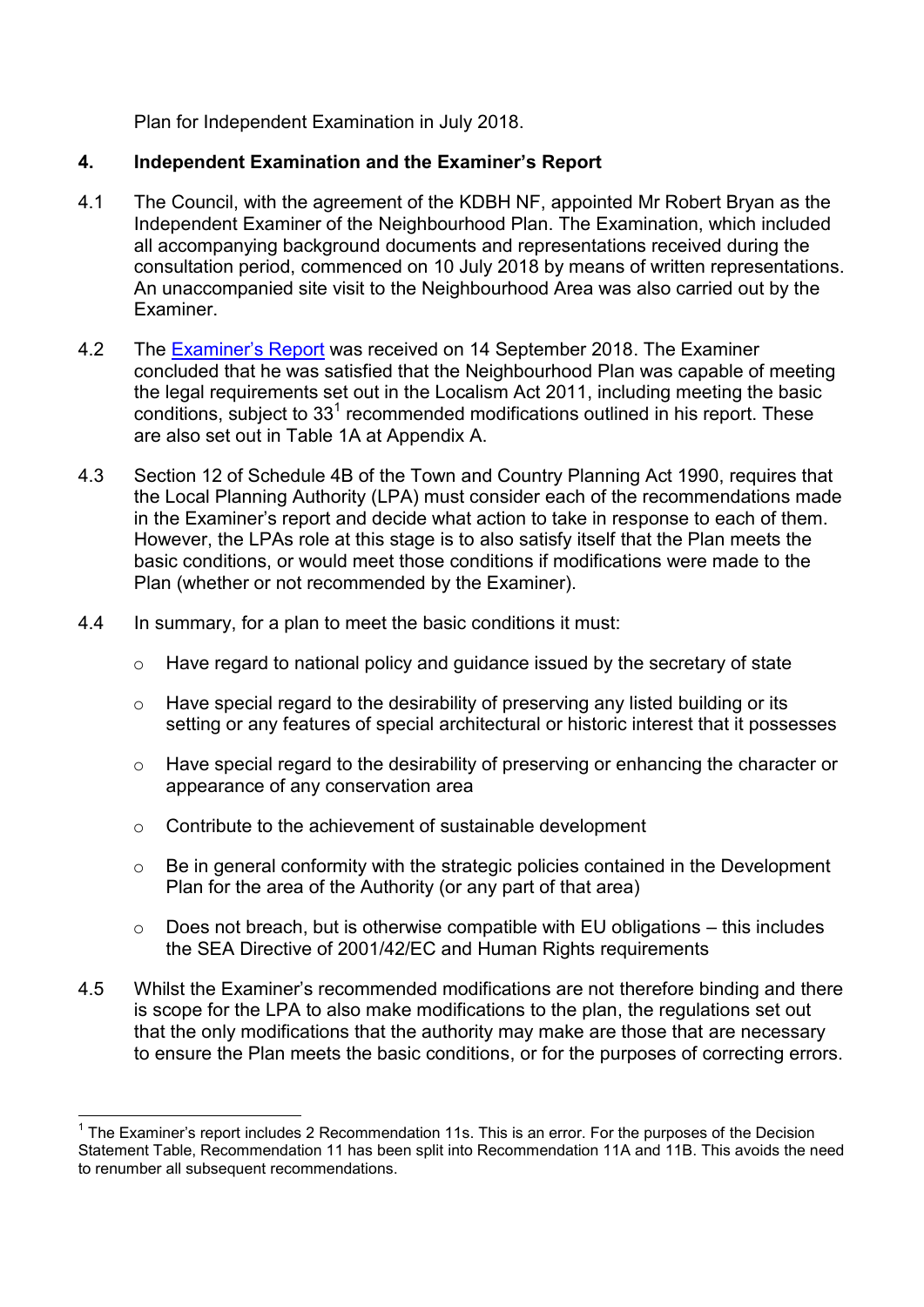Plan for Independent Examination in July 2018.

# **4. Independent Examination and the Examiner's Report**

- 4.1 The Council, with the agreement of the KDBH NF, appointed Mr Robert Bryan as the Independent Examiner of the Neighbourhood Plan. The Examination, which included all accompanying background documents and representations received during the consultation period, commenced on 10 July 2018 by means of written representations. An unaccompanied site visit to the Neighbourhood Area was also carried out by the Examiner.
- 4.2 The [Examiner's Report](http://www.solihull.gov.uk/Portals/0/EXAMINERSFINALREPORT.pdf) was received on 14 September 2018. The Examiner concluded that he was satisfied that the Neighbourhood Plan was capable of meeting the legal requirements set out in the Localism Act 2011, including meeting the basic conditions, subject to 33<sup>1</sup> recommended modifications outlined in his report. These are also set out in Table 1A at Appendix A.
- 4.3 Section 12 of Schedule 4B of the Town and Country Planning Act 1990, requires that the Local Planning Authority (LPA) must consider each of the recommendations made in the Examiner's report and decide what action to take in response to each of them. However, the LPAs role at this stage is to also satisfy itself that the Plan meets the basic conditions, or would meet those conditions if modifications were made to the Plan (whether or not recommended by the Examiner).
- 4.4 In summary, for a plan to meet the basic conditions it must:
	- o Have regard to national policy and guidance issued by the secretary of state
	- o Have special regard to the desirability of preserving any listed building or its setting or any features of special architectural or historic interest that it possesses
	- o Have special regard to the desirability of preserving or enhancing the character or appearance of any conservation area
	- o Contribute to the achievement of sustainable development
	- $\circ$  Be in general conformity with the strategic policies contained in the Development Plan for the area of the Authority (or any part of that area)
	- $\circ$  Does not breach, but is otherwise compatible with EU obligations this includes the SEA Directive of 2001/42/EC and Human Rights requirements
- 4.5 Whilst the Examiner's recommended modifications are not therefore binding and there is scope for the LPA to also make modifications to the plan, the regulations set out that the only modifications that the authority may make are those that are necessary to ensure the Plan meets the basic conditions, or for the purposes of correcting errors.

<sup>————————————————————&</sup>lt;br><sup>1</sup> The Examiner's report includes 2 Recommendation 11s. This is an error. For the purposes of the Decision Statement Table, Recommendation 11 has been split into Recommendation 11A and 11B. This avoids the need to renumber all subsequent recommendations.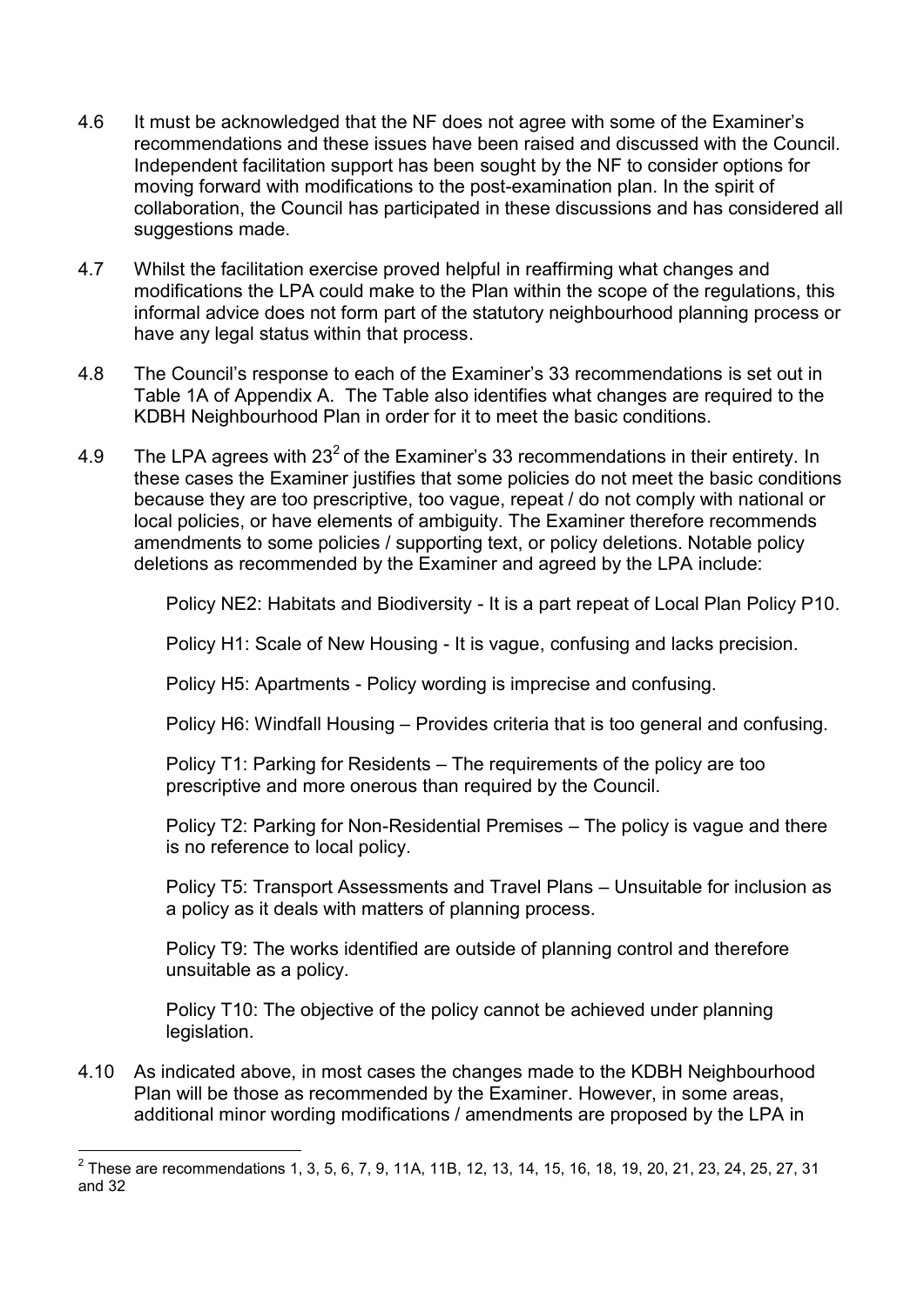- 4.6 It must be acknowledged that the NF does not agree with some of the Examiner's recommendations and these issues have been raised and discussed with the Council. Independent facilitation support has been sought by the NF to consider options for moving forward with modifications to the post-examination plan. In the spirit of collaboration, the Council has participated in these discussions and has considered all suggestions made.
- 4.7 Whilst the facilitation exercise proved helpful in reaffirming what changes and modifications the LPA could make to the Plan within the scope of the regulations, this informal advice does not form part of the statutory neighbourhood planning process or have any legal status within that process.
- 4.8 The Council's response to each of the Examiner's 33 recommendations is set out in Table 1A of Appendix A. The Table also identifies what changes are required to the KDBH Neighbourhood Plan in order for it to meet the basic conditions.
- 4.9 The LPA agrees with 23<sup>2</sup> of the Examiner's 33 recommendations in their entirety. In these cases the Examiner justifies that some policies do not meet the basic conditions because they are too prescriptive, too vague, repeat / do not comply with national or local policies, or have elements of ambiguity. The Examiner therefore recommends amendments to some policies / supporting text, or policy deletions. Notable policy deletions as recommended by the Examiner and agreed by the LPA include:

Policy NE2: Habitats and Biodiversity - It is a part repeat of Local Plan Policy P10.

Policy H1: Scale of New Housing - It is vague, confusing and lacks precision.

Policy H5: Apartments - Policy wording is imprecise and confusing.

Policy H6: Windfall Housing – Provides criteria that is too general and confusing.

Policy T1: Parking for Residents – The requirements of the policy are too prescriptive and more onerous than required by the Council.

Policy T2: Parking for Non-Residential Premises – The policy is vague and there is no reference to local policy.

Policy T5: Transport Assessments and Travel Plans – Unsuitable for inclusion as a policy as it deals with matters of planning process.

Policy T9: The works identified are outside of planning control and therefore unsuitable as a policy.

Policy T10: The objective of the policy cannot be achieved under planning legislation.

4.10 As indicated above, in most cases the changes made to the KDBH Neighbourhood Plan will be those as recommended by the Examiner. However, in some areas, additional minor wording modifications / amendments are proposed by the LPA in

<sup>&</sup>lt;u>2</u><br>2 These are recommendations 1, 3, 5, 6, 7, 9, 11A, 11B, 12, 13, 14, 15, 16, 18, 19, 20, 21, 23, 24, 25, 27, 31 and 32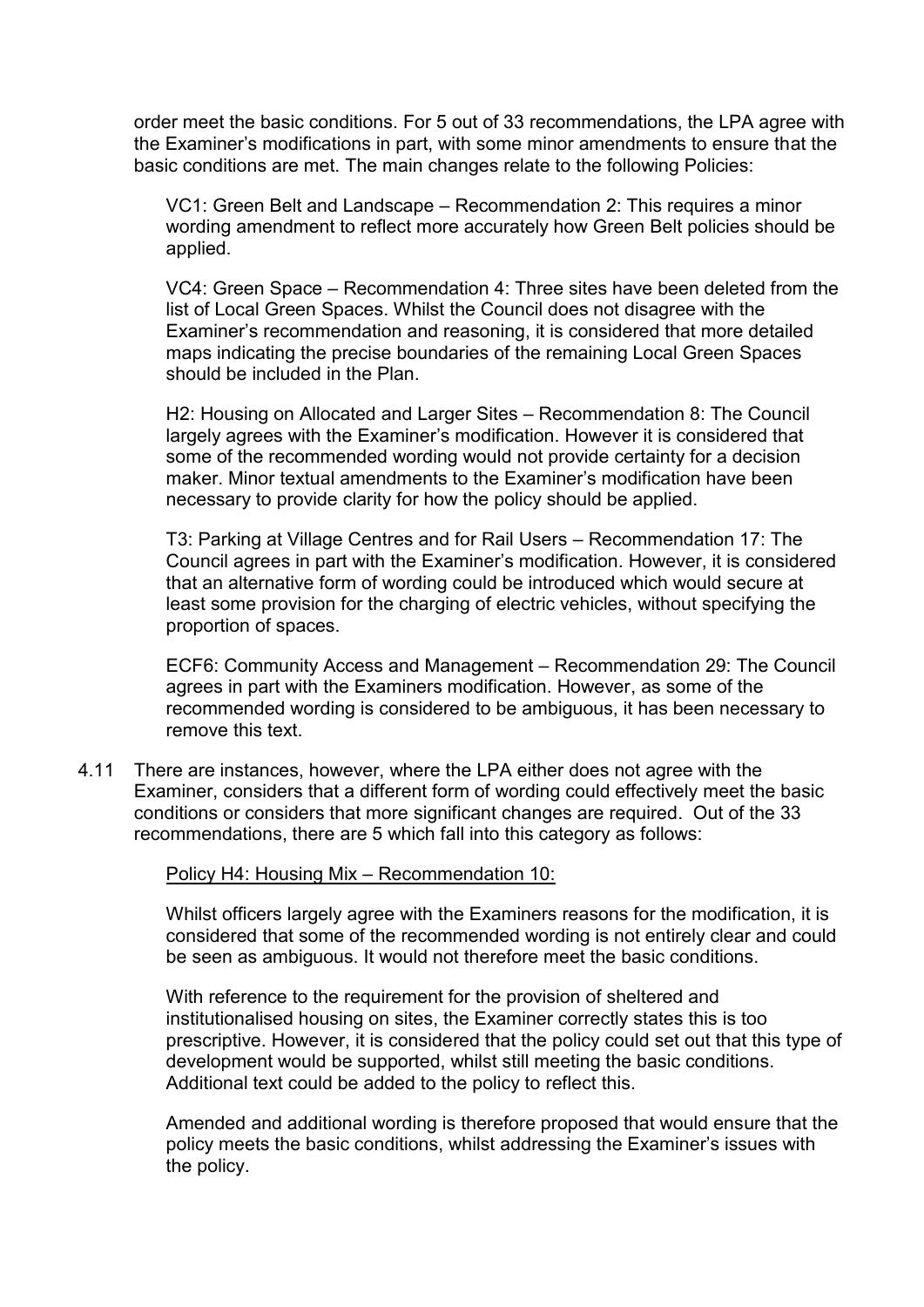order meet the basic conditions. For 5 out of 33 recommendations, the LPA agree with the Examiner's modifications in part, with some minor amendments to ensure that the basic conditions are met. The main changes relate to the following Policies:

VC1: Green Belt and Landscape – Recommendation 2: This requires a minor wording amendment to reflect more accurately how Green Belt policies should be applied.

VC4: Green Space – Recommendation 4: Three sites have been deleted from the list of Local Green Spaces. Whilst the Council does not disagree with the Examiner's recommendation and reasoning, it is considered that more detailed maps indicating the precise boundaries of the remaining Local Green Spaces should be included in the Plan.

H2: Housing on Allocated and Larger Sites – Recommendation 8: The Council largely agrees with the Examiner's modification. However it is considered that some of the recommended wording would not provide certainty for a decision maker. Minor textual amendments to the Examiner's modification have been necessary to provide clarity for how the policy should be applied.

T3: Parking at Village Centres and for Rail Users – Recommendation 17: The Council agrees in part with the Examiner's modification. However, it is considered that an alternative form of wording could be introduced which would secure at least some provision for the charging of electric vehicles, without specifying the proportion of spaces.

ECF6: Community Access and Management – Recommendation 29: The Council agrees in part with the Examiners modification. However, as some of the recommended wording is considered to be ambiguous, it has been necessary to remove this text.

4.11 There are instances, however, where the LPA either does not agree with the Examiner, considers that a different form of wording could effectively meet the basic conditions or considers that more significant changes are required. Out of the 33 recommendations, there are 5 which fall into this category as follows:

#### Policy H4: Housing Mix – Recommendation 10:

Whilst officers largely agree with the Examiners reasons for the modification, it is considered that some of the recommended wording is not entirely clear and could be seen as ambiguous. It would not therefore meet the basic conditions.

With reference to the requirement for the provision of sheltered and institutionalised housing on sites, the Examiner correctly states this is too prescriptive. However, it is considered that the policy could set out that this type of development would be supported, whilst still meeting the basic conditions. Additional text could be added to the policy to reflect this.

Amended and additional wording is therefore proposed that would ensure that the policy meets the basic conditions, whilst addressing the Examiner's issues with the policy.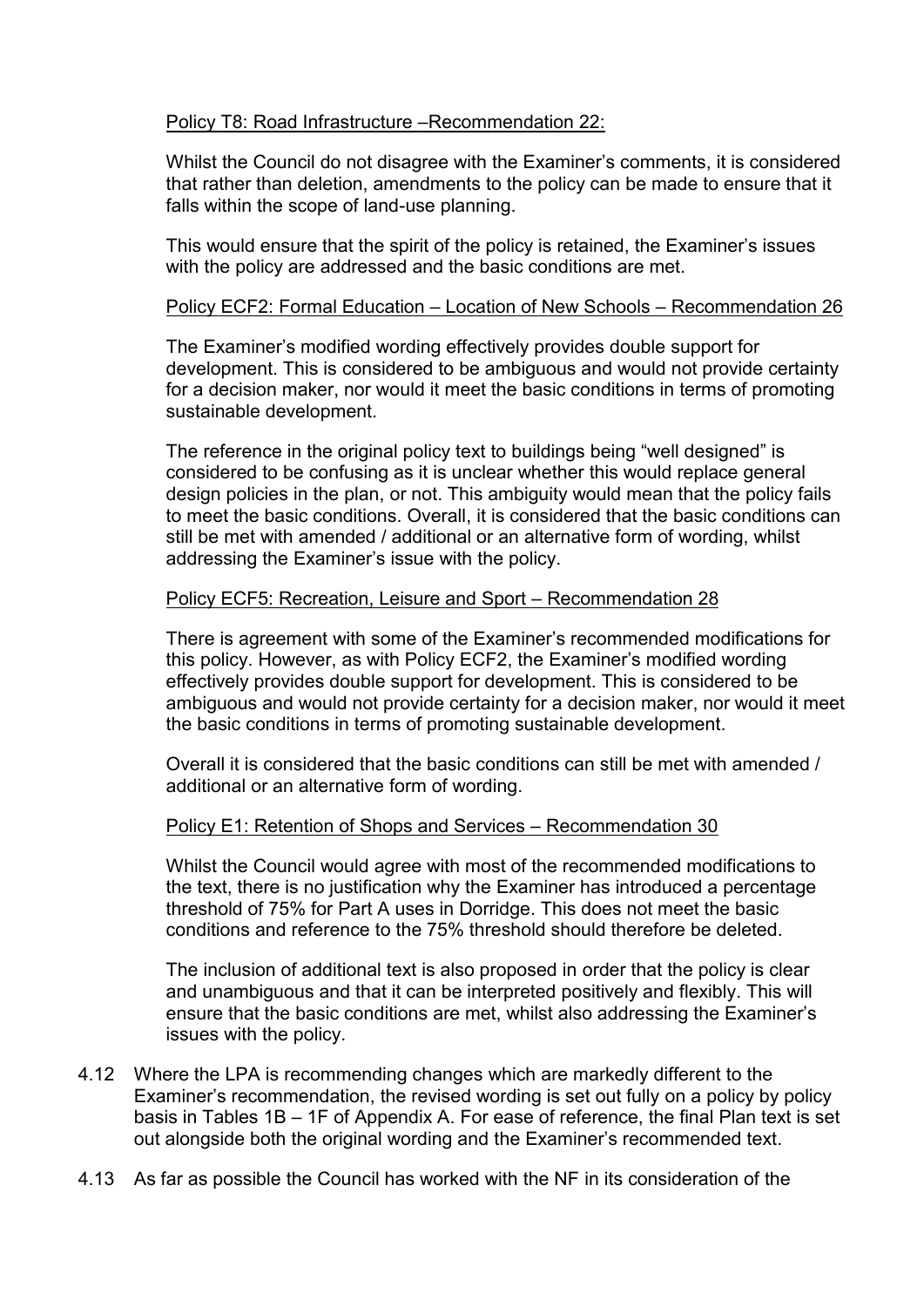# Policy T8: Road Infrastructure –Recommendation 22:

Whilst the Council do not disagree with the Examiner's comments, it is considered that rather than deletion, amendments to the policy can be made to ensure that it falls within the scope of land-use planning.

This would ensure that the spirit of the policy is retained, the Examiner's issues with the policy are addressed and the basic conditions are met.

# Policy ECF2: Formal Education – Location of New Schools – Recommendation 26

The Examiner's modified wording effectively provides double support for development. This is considered to be ambiguous and would not provide certainty for a decision maker, nor would it meet the basic conditions in terms of promoting sustainable development.

The reference in the original policy text to buildings being "well designed" is considered to be confusing as it is unclear whether this would replace general design policies in the plan, or not. This ambiguity would mean that the policy fails to meet the basic conditions. Overall, it is considered that the basic conditions can still be met with amended / additional or an alternative form of wording, whilst addressing the Examiner's issue with the policy.

### Policy ECF5: Recreation, Leisure and Sport – Recommendation 28

There is agreement with some of the Examiner's recommended modifications for this policy. However, as with Policy ECF2, the Examiner's modified wording effectively provides double support for development. This is considered to be ambiguous and would not provide certainty for a decision maker, nor would it meet the basic conditions in terms of promoting sustainable development.

Overall it is considered that the basic conditions can still be met with amended / additional or an alternative form of wording.

#### Policy E1: Retention of Shops and Services – Recommendation 30

Whilst the Council would agree with most of the recommended modifications to the text, there is no justification why the Examiner has introduced a percentage threshold of 75% for Part A uses in Dorridge. This does not meet the basic conditions and reference to the 75% threshold should therefore be deleted.

The inclusion of additional text is also proposed in order that the policy is clear and unambiguous and that it can be interpreted positively and flexibly. This will ensure that the basic conditions are met, whilst also addressing the Examiner's issues with the policy.

- 4.12 Where the LPA is recommending changes which are markedly different to the Examiner's recommendation, the revised wording is set out fully on a policy by policy basis in Tables 1B – 1F of Appendix A. For ease of reference, the final Plan text is set out alongside both the original wording and the Examiner's recommended text.
- 4.13 As far as possible the Council has worked with the NF in its consideration of the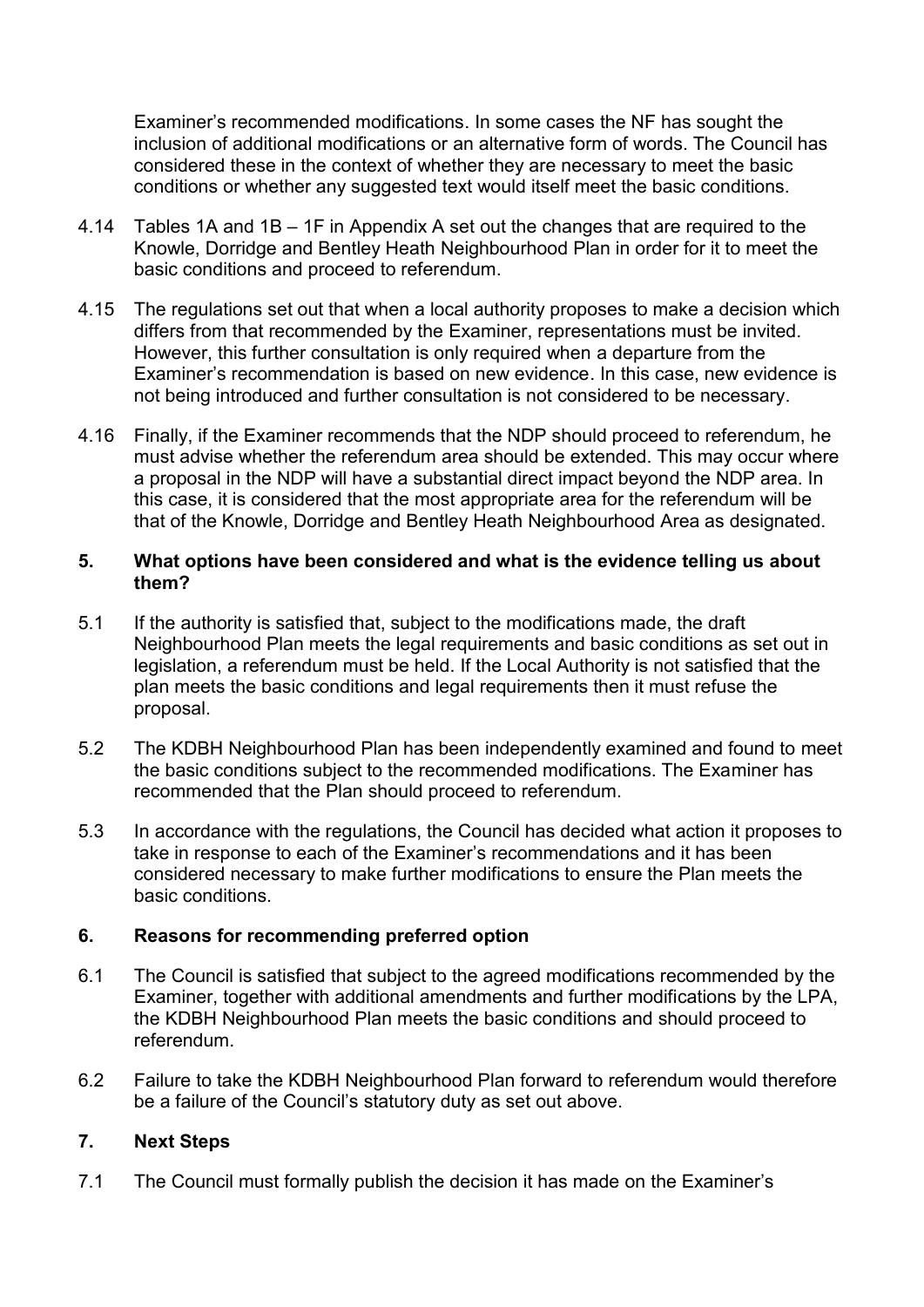Examiner's recommended modifications. In some cases the NF has sought the inclusion of additional modifications or an alternative form of words. The Council has considered these in the context of whether they are necessary to meet the basic conditions or whether any suggested text would itself meet the basic conditions.

- 4.14 Tables 1A and 1B 1F in Appendix A set out the changes that are required to the Knowle, Dorridge and Bentley Heath Neighbourhood Plan in order for it to meet the basic conditions and proceed to referendum.
- 4.15 The regulations set out that when a local authority proposes to make a decision which differs from that recommended by the Examiner, representations must be invited. However, this further consultation is only required when a departure from the Examiner's recommendation is based on new evidence. In this case, new evidence is not being introduced and further consultation is not considered to be necessary.
- 4.16 Finally, if the Examiner recommends that the NDP should proceed to referendum, he must advise whether the referendum area should be extended. This may occur where a proposal in the NDP will have a substantial direct impact beyond the NDP area. In this case, it is considered that the most appropriate area for the referendum will be that of the Knowle, Dorridge and Bentley Heath Neighbourhood Area as designated.

# **5. What options have been considered and what is the evidence telling us about them?**

- 5.1 If the authority is satisfied that, subject to the modifications made, the draft Neighbourhood Plan meets the legal requirements and basic conditions as set out in legislation, a referendum must be held. If the Local Authority is not satisfied that the plan meets the basic conditions and legal requirements then it must refuse the proposal.
- 5.2 The KDBH Neighbourhood Plan has been independently examined and found to meet the basic conditions subject to the recommended modifications. The Examiner has recommended that the Plan should proceed to referendum.
- 5.3 In accordance with the regulations, the Council has decided what action it proposes to take in response to each of the Examiner's recommendations and it has been considered necessary to make further modifications to ensure the Plan meets the basic conditions.

# **6. Reasons for recommending preferred option**

- 6.1 The Council is satisfied that subject to the agreed modifications recommended by the Examiner, together with additional amendments and further modifications by the LPA, the KDBH Neighbourhood Plan meets the basic conditions and should proceed to referendum.
- 6.2 Failure to take the KDBH Neighbourhood Plan forward to referendum would therefore be a failure of the Council's statutory duty as set out above.

# **7. Next Steps**

7.1 The Council must formally publish the decision it has made on the Examiner's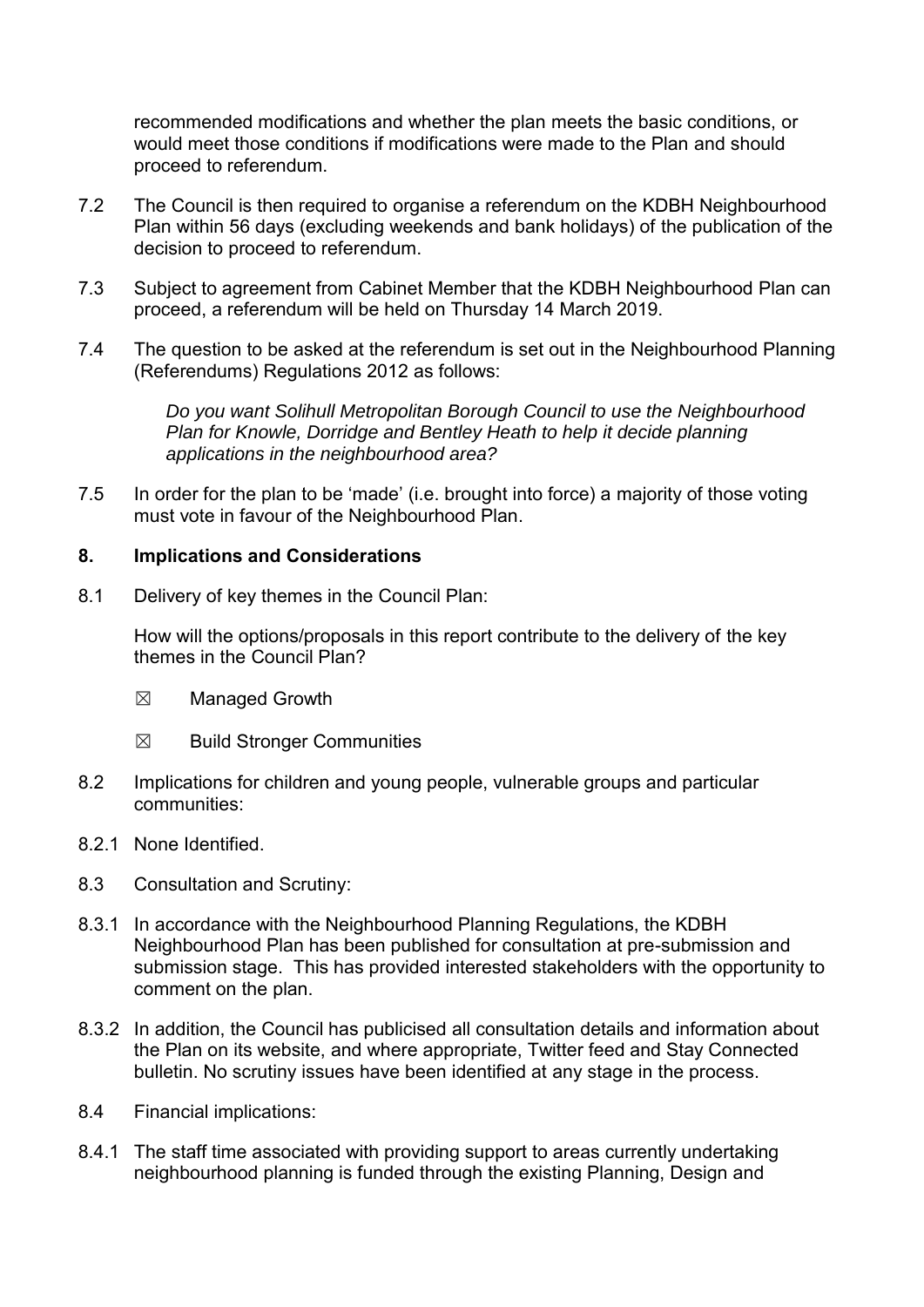recommended modifications and whether the plan meets the basic conditions, or would meet those conditions if modifications were made to the Plan and should proceed to referendum.

- 7.2 The Council is then required to organise a referendum on the KDBH Neighbourhood Plan within 56 days (excluding weekends and bank holidays) of the publication of the decision to proceed to referendum.
- 7.3 Subject to agreement from Cabinet Member that the KDBH Neighbourhood Plan can proceed, a referendum will be held on Thursday 14 March 2019.
- 7.4 The question to be asked at the referendum is set out in the Neighbourhood Planning (Referendums) Regulations 2012 as follows:

*Do you want Solihull Metropolitan Borough Council to use the Neighbourhood Plan for Knowle, Dorridge and Bentley Heath to help it decide planning applications in the neighbourhood area?* 

7.5 In order for the plan to be 'made' (i.e. brought into force) a majority of those voting must vote in favour of the Neighbourhood Plan.

### **8. Implications and Considerations**

8.1 Delivery of key themes in the Council Plan:

How will the options/proposals in this report contribute to the delivery of the key themes in the Council Plan?

- ☒ Managed Growth
- ☒ Build Stronger Communities
- 8.2 Implications for children and young people, vulnerable groups and particular communities:
- 8.2.1 None Identified.
- 8.3 Consultation and Scrutiny:
- 8.3.1 In accordance with the Neighbourhood Planning Regulations, the KDBH Neighbourhood Plan has been published for consultation at pre-submission and submission stage. This has provided interested stakeholders with the opportunity to comment on the plan.
- 8.3.2 In addition, the Council has publicised all consultation details and information about the Plan on its website, and where appropriate, Twitter feed and Stay Connected bulletin. No scrutiny issues have been identified at any stage in the process.
- 8.4 Financial implications:
- 8.4.1 The staff time associated with providing support to areas currently undertaking neighbourhood planning is funded through the existing Planning, Design and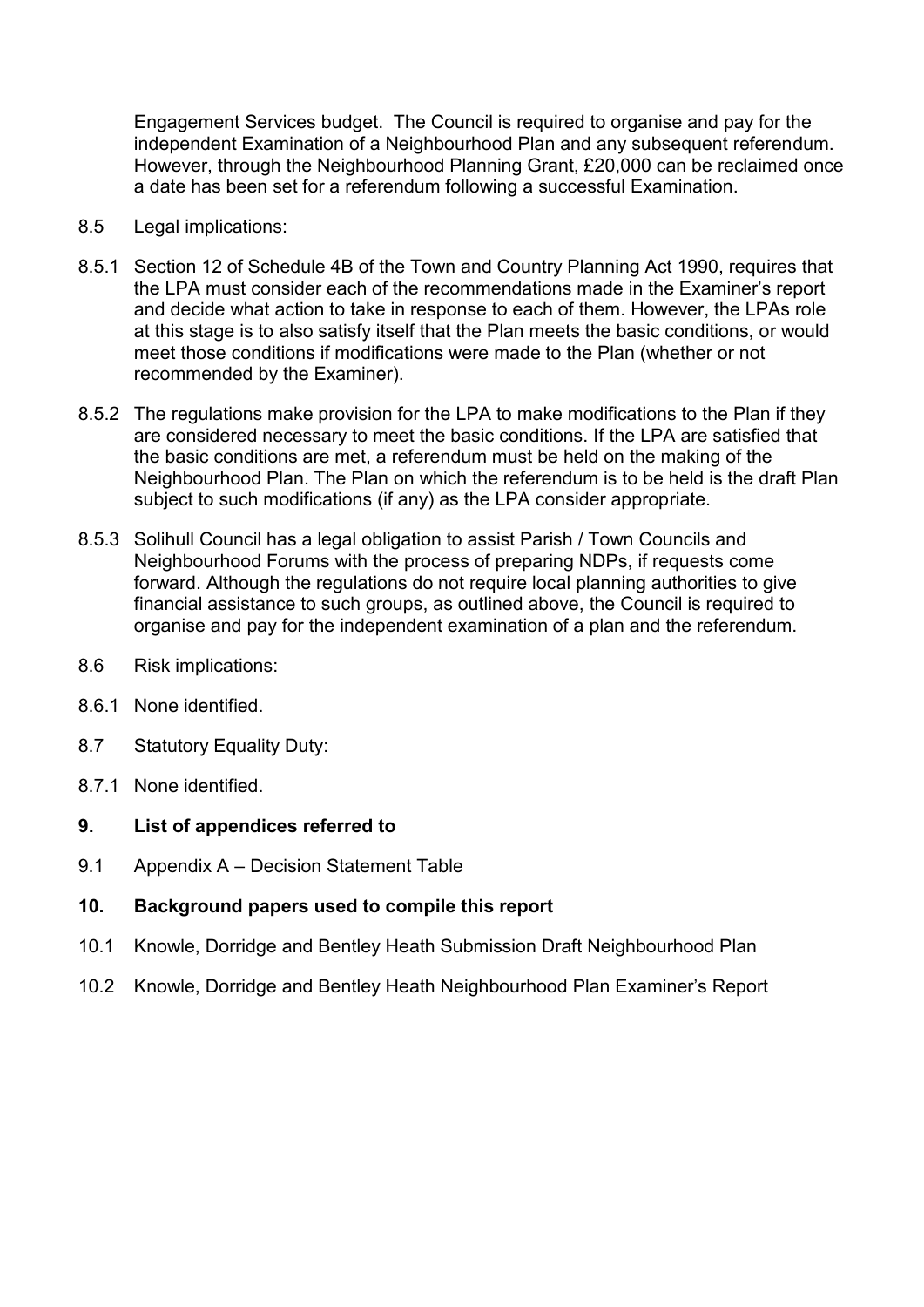Engagement Services budget. The Council is required to organise and pay for the independent Examination of a Neighbourhood Plan and any subsequent referendum. However, through the Neighbourhood Planning Grant, £20,000 can be reclaimed once a date has been set for a referendum following a successful Examination.

- 8.5 Legal implications:
- 8.5.1 Section 12 of Schedule 4B of the Town and Country Planning Act 1990, requires that the LPA must consider each of the recommendations made in the Examiner's report and decide what action to take in response to each of them. However, the LPAs role at this stage is to also satisfy itself that the Plan meets the basic conditions, or would meet those conditions if modifications were made to the Plan (whether or not recommended by the Examiner).
- 8.5.2 The regulations make provision for the LPA to make modifications to the Plan if they are considered necessary to meet the basic conditions. If the LPA are satisfied that the basic conditions are met, a referendum must be held on the making of the Neighbourhood Plan. The Plan on which the referendum is to be held is the draft Plan subject to such modifications (if any) as the LPA consider appropriate.
- 8.5.3 Solihull Council has a legal obligation to assist Parish / Town Councils and Neighbourhood Forums with the process of preparing NDPs, if requests come forward. Although the regulations do not require local planning authorities to give financial assistance to such groups, as outlined above, the Council is required to organise and pay for the independent examination of a plan and the referendum.
- 8.6 Risk implications:
- 8.6.1 None identified.
- 8.7 Statutory Equality Duty:
- 8.7.1 None identified.

### **9. List of appendices referred to**

- 9.1 Appendix A Decision Statement Table
- **10. Background papers used to compile this report**
- 10.1 Knowle, Dorridge and Bentley Heath Submission Draft Neighbourhood Plan
- 10.2 Knowle, Dorridge and Bentley Heath Neighbourhood Plan Examiner's Report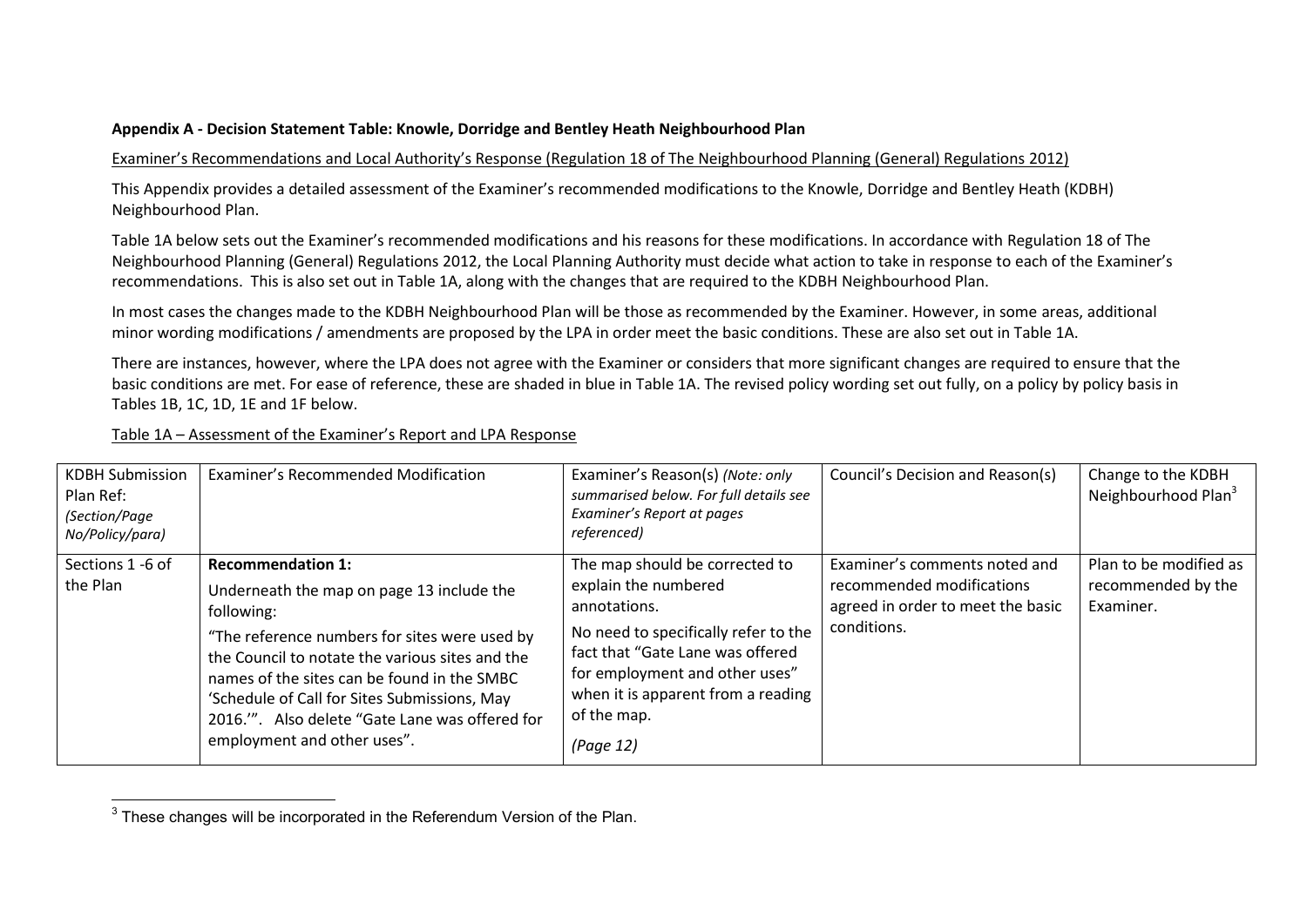#### **Appendix A - Decision Statement Table: Knowle, Dorridge and Bentley Heath Neighbourhood Plan**

#### Examiner's Recommendations and Local Authority's Response (Regulation 18 of The Neighbourhood Planning (General) Regulations 2012)

This Appendix provides a detailed assessment of the Examiner's recommended modifications to the Knowle, Dorridge and Bentley Heath (KDBH) Neighbourhood Plan.

Table 1A below sets out the Examiner's recommended modifications and his reasons for these modifications. In accordance with Regulation 18 of The Neighbourhood Planning (General) Regulations 2012, the Local Planning Authority must decide what action to take in response to each of the Examiner's recommendations. This is also set out in Table 1A, along with the changes that are required to the KDBH Neighbourhood Plan.

In most cases the changes made to the KDBH Neighbourhood Plan will be those as recommended by the Examiner. However, in some areas, additional minor wording modifications / amendments are proposed by the LPA in order meet the basic conditions. These are also set out in Table 1A.

There are instances, however, where the LPA does not agree with the Examiner or considers that more significant changes are required to ensure that the basic conditions are met. For ease of reference, these are shaded in blue in Table 1A. The revised policy wording set out fully, on a policy by policy basis in Tables 1B, 1C, 1D, 1E and 1F below.

#### Table 1A – Assessment of the Examiner's Report and LPA Response

| <b>KDBH Submission</b><br>Plan Ref:<br>(Section/Page<br>No/Policy/para) | Examiner's Recommended Modification                                                                                                                                                                                                                                                                                                                                     | Examiner's Reason(s) (Note: only<br>summarised below. For full details see<br>Examiner's Report at pages<br>referenced)                                                                                                                                | Council's Decision and Reason(s)                                                                               | Change to the KDBH<br>Neighbourhood Plan <sup>3</sup>     |
|-------------------------------------------------------------------------|-------------------------------------------------------------------------------------------------------------------------------------------------------------------------------------------------------------------------------------------------------------------------------------------------------------------------------------------------------------------------|--------------------------------------------------------------------------------------------------------------------------------------------------------------------------------------------------------------------------------------------------------|----------------------------------------------------------------------------------------------------------------|-----------------------------------------------------------|
| Sections 1 -6 of<br>the Plan                                            | <b>Recommendation 1:</b><br>Underneath the map on page 13 include the<br>following:<br>"The reference numbers for sites were used by<br>the Council to notate the various sites and the<br>names of the sites can be found in the SMBC<br>'Schedule of Call for Sites Submissions, May<br>2016.". Also delete "Gate Lane was offered for<br>employment and other uses". | The map should be corrected to<br>explain the numbered<br>annotations.<br>No need to specifically refer to the<br>fact that "Gate Lane was offered<br>for employment and other uses"<br>when it is apparent from a reading<br>of the map.<br>(Page 12) | Examiner's comments noted and<br>recommended modifications<br>agreed in order to meet the basic<br>conditions. | Plan to be modified as<br>recommended by the<br>Examiner. |

**EXECUTE:**<br><sup>3</sup> These changes will be incorporated in the Referendum Version of the Plan.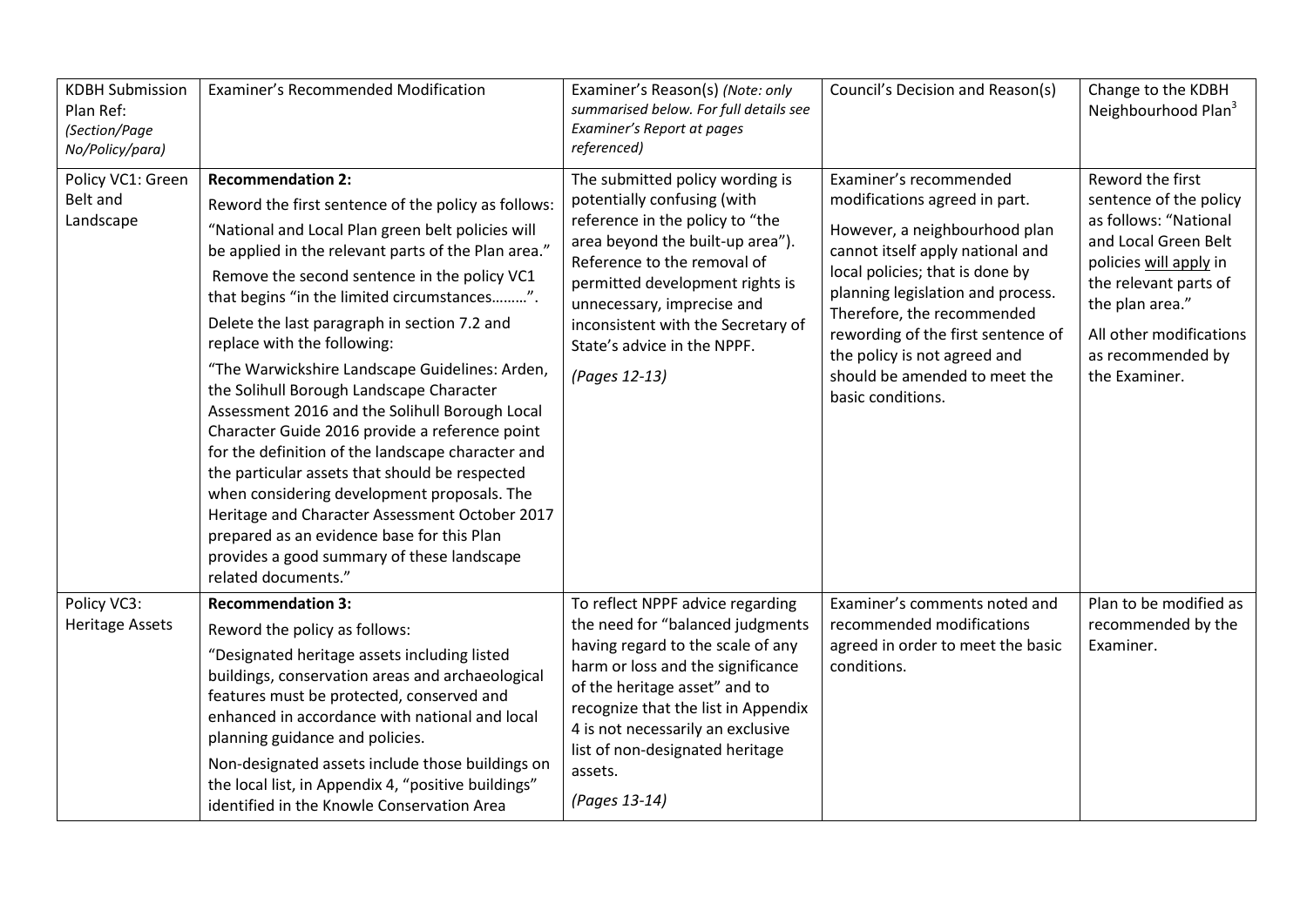| <b>KDBH Submission</b><br>Plan Ref:<br>(Section/Page<br>No/Policy/para) | Examiner's Recommended Modification                                                                                                                                                                                                                                                                                                                                                                                                                                                                                                                                                                                                                                                                                                                                                                                                                                                                    | Examiner's Reason(s) (Note: only<br>summarised below. For full details see<br>Examiner's Report at pages<br>referenced)                                                                                                                                                                                                     | Council's Decision and Reason(s)                                                                                                                                                                                                                                                                                                                               | Change to the KDBH<br>Neighbourhood Plan <sup>3</sup>                                                                                                                                                                              |
|-------------------------------------------------------------------------|--------------------------------------------------------------------------------------------------------------------------------------------------------------------------------------------------------------------------------------------------------------------------------------------------------------------------------------------------------------------------------------------------------------------------------------------------------------------------------------------------------------------------------------------------------------------------------------------------------------------------------------------------------------------------------------------------------------------------------------------------------------------------------------------------------------------------------------------------------------------------------------------------------|-----------------------------------------------------------------------------------------------------------------------------------------------------------------------------------------------------------------------------------------------------------------------------------------------------------------------------|----------------------------------------------------------------------------------------------------------------------------------------------------------------------------------------------------------------------------------------------------------------------------------------------------------------------------------------------------------------|------------------------------------------------------------------------------------------------------------------------------------------------------------------------------------------------------------------------------------|
| Policy VC1: Green<br>Belt and<br>Landscape                              | <b>Recommendation 2:</b><br>Reword the first sentence of the policy as follows:<br>"National and Local Plan green belt policies will<br>be applied in the relevant parts of the Plan area."<br>Remove the second sentence in the policy VC1<br>that begins "in the limited circumstances".<br>Delete the last paragraph in section 7.2 and<br>replace with the following:<br>"The Warwickshire Landscape Guidelines: Arden,<br>the Solihull Borough Landscape Character<br>Assessment 2016 and the Solihull Borough Local<br>Character Guide 2016 provide a reference point<br>for the definition of the landscape character and<br>the particular assets that should be respected<br>when considering development proposals. The<br>Heritage and Character Assessment October 2017<br>prepared as an evidence base for this Plan<br>provides a good summary of these landscape<br>related documents." | The submitted policy wording is<br>potentially confusing (with<br>reference in the policy to "the<br>area beyond the built-up area").<br>Reference to the removal of<br>permitted development rights is<br>unnecessary, imprecise and<br>inconsistent with the Secretary of<br>State's advice in the NPPF.<br>(Pages 12-13) | Examiner's recommended<br>modifications agreed in part.<br>However, a neighbourhood plan<br>cannot itself apply national and<br>local policies; that is done by<br>planning legislation and process.<br>Therefore, the recommended<br>rewording of the first sentence of<br>the policy is not agreed and<br>should be amended to meet the<br>basic conditions. | Reword the first<br>sentence of the policy<br>as follows: "National<br>and Local Green Belt<br>policies will apply in<br>the relevant parts of<br>the plan area."<br>All other modifications<br>as recommended by<br>the Examiner. |
| Policy VC3:<br><b>Heritage Assets</b>                                   | <b>Recommendation 3:</b><br>Reword the policy as follows:<br>"Designated heritage assets including listed<br>buildings, conservation areas and archaeological<br>features must be protected, conserved and<br>enhanced in accordance with national and local<br>planning guidance and policies.<br>Non-designated assets include those buildings on<br>the local list, in Appendix 4, "positive buildings"<br>identified in the Knowle Conservation Area                                                                                                                                                                                                                                                                                                                                                                                                                                               | To reflect NPPF advice regarding<br>the need for "balanced judgments<br>having regard to the scale of any<br>harm or loss and the significance<br>of the heritage asset" and to<br>recognize that the list in Appendix<br>4 is not necessarily an exclusive<br>list of non-designated heritage<br>assets.<br>(Pages 13-14)  | Examiner's comments noted and<br>recommended modifications<br>agreed in order to meet the basic<br>conditions.                                                                                                                                                                                                                                                 | Plan to be modified as<br>recommended by the<br>Examiner.                                                                                                                                                                          |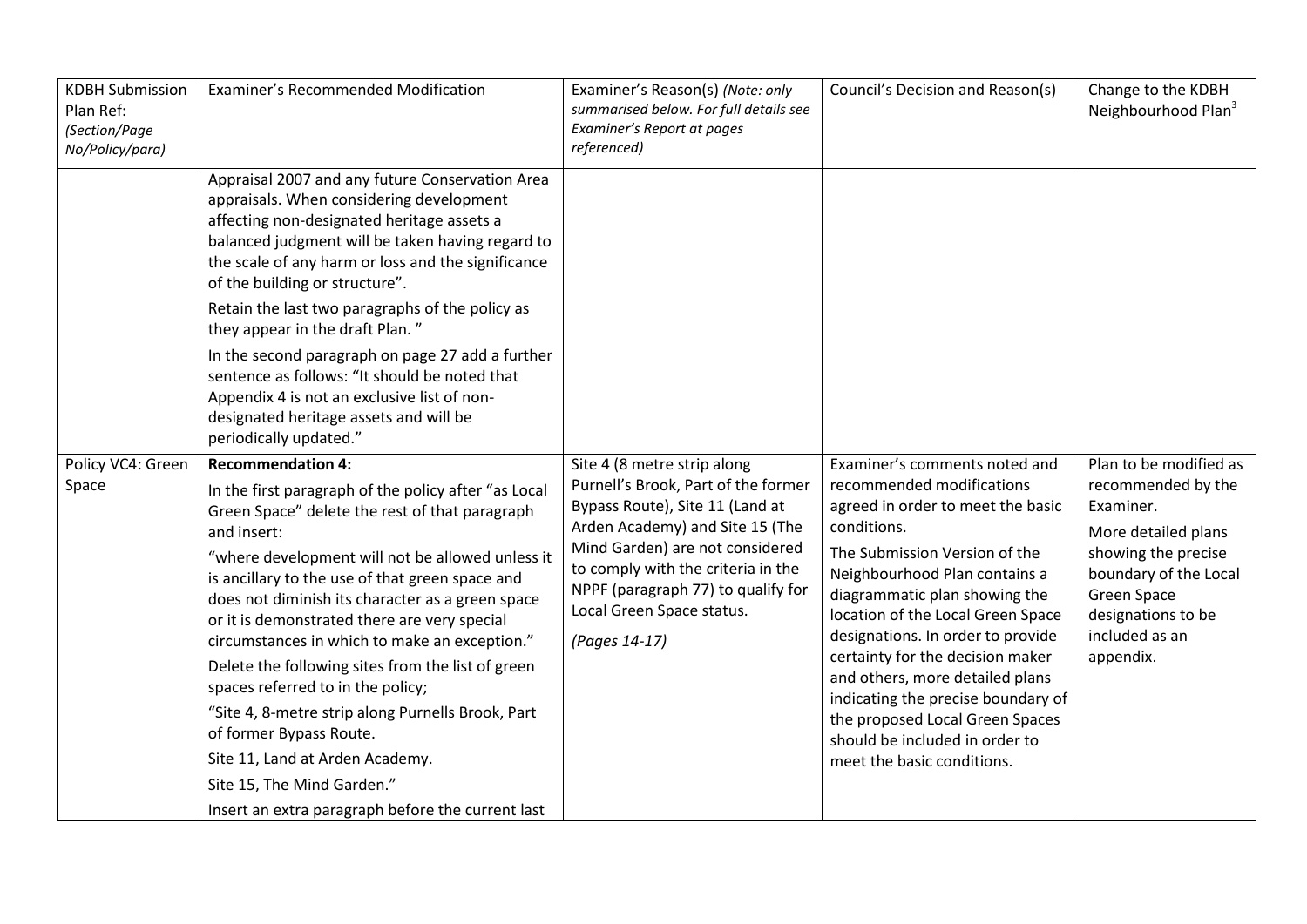| <b>KDBH Submission</b><br>Plan Ref:<br>(Section/Page<br>No/Policy/para) | Examiner's Recommended Modification                                                                                                                                                                                                                                                                                                                                                                                                                                                                                                                                                                                                                      | Examiner's Reason(s) (Note: only<br>summarised below. For full details see<br>Examiner's Report at pages<br>referenced)                                                                                                                                                                               | Council's Decision and Reason(s)                                                                                                                                                                                                                                                                                                                                                                                                                                                                            | Change to the KDBH<br>Neighbourhood Plan <sup>3</sup>                                                                                                                                                       |
|-------------------------------------------------------------------------|----------------------------------------------------------------------------------------------------------------------------------------------------------------------------------------------------------------------------------------------------------------------------------------------------------------------------------------------------------------------------------------------------------------------------------------------------------------------------------------------------------------------------------------------------------------------------------------------------------------------------------------------------------|-------------------------------------------------------------------------------------------------------------------------------------------------------------------------------------------------------------------------------------------------------------------------------------------------------|-------------------------------------------------------------------------------------------------------------------------------------------------------------------------------------------------------------------------------------------------------------------------------------------------------------------------------------------------------------------------------------------------------------------------------------------------------------------------------------------------------------|-------------------------------------------------------------------------------------------------------------------------------------------------------------------------------------------------------------|
|                                                                         | Appraisal 2007 and any future Conservation Area<br>appraisals. When considering development<br>affecting non-designated heritage assets a<br>balanced judgment will be taken having regard to<br>the scale of any harm or loss and the significance<br>of the building or structure".<br>Retain the last two paragraphs of the policy as<br>they appear in the draft Plan."<br>In the second paragraph on page 27 add a further                                                                                                                                                                                                                          |                                                                                                                                                                                                                                                                                                       |                                                                                                                                                                                                                                                                                                                                                                                                                                                                                                             |                                                                                                                                                                                                             |
|                                                                         | sentence as follows: "It should be noted that<br>Appendix 4 is not an exclusive list of non-<br>designated heritage assets and will be<br>periodically updated."                                                                                                                                                                                                                                                                                                                                                                                                                                                                                         |                                                                                                                                                                                                                                                                                                       |                                                                                                                                                                                                                                                                                                                                                                                                                                                                                                             |                                                                                                                                                                                                             |
| Policy VC4: Green<br>Space                                              | <b>Recommendation 4:</b><br>In the first paragraph of the policy after "as Local<br>Green Space" delete the rest of that paragraph<br>and insert:<br>"where development will not be allowed unless it<br>is ancillary to the use of that green space and<br>does not diminish its character as a green space<br>or it is demonstrated there are very special<br>circumstances in which to make an exception."<br>Delete the following sites from the list of green<br>spaces referred to in the policy;<br>"Site 4, 8-metre strip along Purnells Brook, Part<br>of former Bypass Route.<br>Site 11, Land at Arden Academy.<br>Site 15, The Mind Garden." | Site 4 (8 metre strip along<br>Purnell's Brook, Part of the former<br>Bypass Route), Site 11 (Land at<br>Arden Academy) and Site 15 (The<br>Mind Garden) are not considered<br>to comply with the criteria in the<br>NPPF (paragraph 77) to qualify for<br>Local Green Space status.<br>(Pages 14-17) | Examiner's comments noted and<br>recommended modifications<br>agreed in order to meet the basic<br>conditions.<br>The Submission Version of the<br>Neighbourhood Plan contains a<br>diagrammatic plan showing the<br>location of the Local Green Space<br>designations. In order to provide<br>certainty for the decision maker<br>and others, more detailed plans<br>indicating the precise boundary of<br>the proposed Local Green Spaces<br>should be included in order to<br>meet the basic conditions. | Plan to be modified as<br>recommended by the<br>Examiner.<br>More detailed plans<br>showing the precise<br>boundary of the Local<br><b>Green Space</b><br>designations to be<br>included as an<br>appendix. |
|                                                                         | Insert an extra paragraph before the current last                                                                                                                                                                                                                                                                                                                                                                                                                                                                                                                                                                                                        |                                                                                                                                                                                                                                                                                                       |                                                                                                                                                                                                                                                                                                                                                                                                                                                                                                             |                                                                                                                                                                                                             |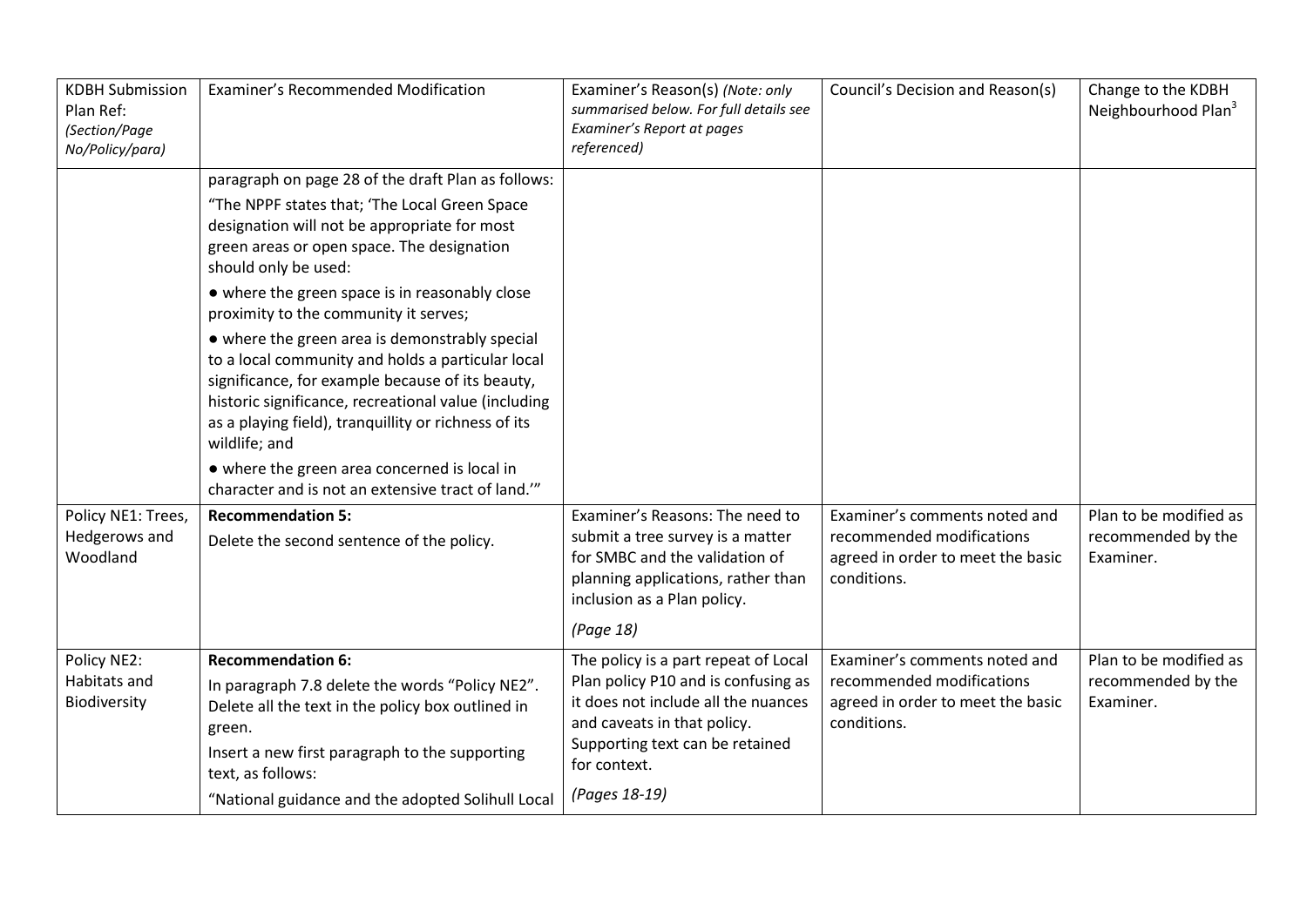| <b>KDBH Submission</b><br>Plan Ref:<br>(Section/Page<br>No/Policy/para) | <b>Examiner's Recommended Modification</b>                                                                                                                                                                                                                                                                                                                                                                                                                                                                                                                                                                                                                                                                                                         | Examiner's Reason(s) (Note: only<br>summarised below. For full details see<br>Examiner's Report at pages<br>referenced)                                                                                               | Council's Decision and Reason(s)                                                                               | Change to the KDBH<br>Neighbourhood Plan <sup>3</sup>     |
|-------------------------------------------------------------------------|----------------------------------------------------------------------------------------------------------------------------------------------------------------------------------------------------------------------------------------------------------------------------------------------------------------------------------------------------------------------------------------------------------------------------------------------------------------------------------------------------------------------------------------------------------------------------------------------------------------------------------------------------------------------------------------------------------------------------------------------------|-----------------------------------------------------------------------------------------------------------------------------------------------------------------------------------------------------------------------|----------------------------------------------------------------------------------------------------------------|-----------------------------------------------------------|
| Policy NE1: Trees,                                                      | paragraph on page 28 of the draft Plan as follows:<br>"The NPPF states that; 'The Local Green Space<br>designation will not be appropriate for most<br>green areas or open space. The designation<br>should only be used:<br>• where the green space is in reasonably close<br>proximity to the community it serves;<br>• where the green area is demonstrably special<br>to a local community and holds a particular local<br>significance, for example because of its beauty,<br>historic significance, recreational value (including<br>as a playing field), tranquillity or richness of its<br>wildlife; and<br>• where the green area concerned is local in<br>character and is not an extensive tract of land.""<br><b>Recommendation 5:</b> | Examiner's Reasons: The need to                                                                                                                                                                                       | Examiner's comments noted and                                                                                  | Plan to be modified as                                    |
| Hedgerows and<br>Woodland                                               | Delete the second sentence of the policy.                                                                                                                                                                                                                                                                                                                                                                                                                                                                                                                                                                                                                                                                                                          | submit a tree survey is a matter<br>for SMBC and the validation of<br>planning applications, rather than<br>inclusion as a Plan policy.<br>(Page 18)                                                                  | recommended modifications<br>agreed in order to meet the basic<br>conditions.                                  | recommended by the<br>Examiner.                           |
| Policy NE2:<br>Habitats and<br>Biodiversity                             | <b>Recommendation 6:</b><br>In paragraph 7.8 delete the words "Policy NE2".<br>Delete all the text in the policy box outlined in<br>green.<br>Insert a new first paragraph to the supporting<br>text, as follows:<br>"National guidance and the adopted Solihull Local                                                                                                                                                                                                                                                                                                                                                                                                                                                                             | The policy is a part repeat of Local<br>Plan policy P10 and is confusing as<br>it does not include all the nuances<br>and caveats in that policy.<br>Supporting text can be retained<br>for context.<br>(Pages 18-19) | Examiner's comments noted and<br>recommended modifications<br>agreed in order to meet the basic<br>conditions. | Plan to be modified as<br>recommended by the<br>Examiner. |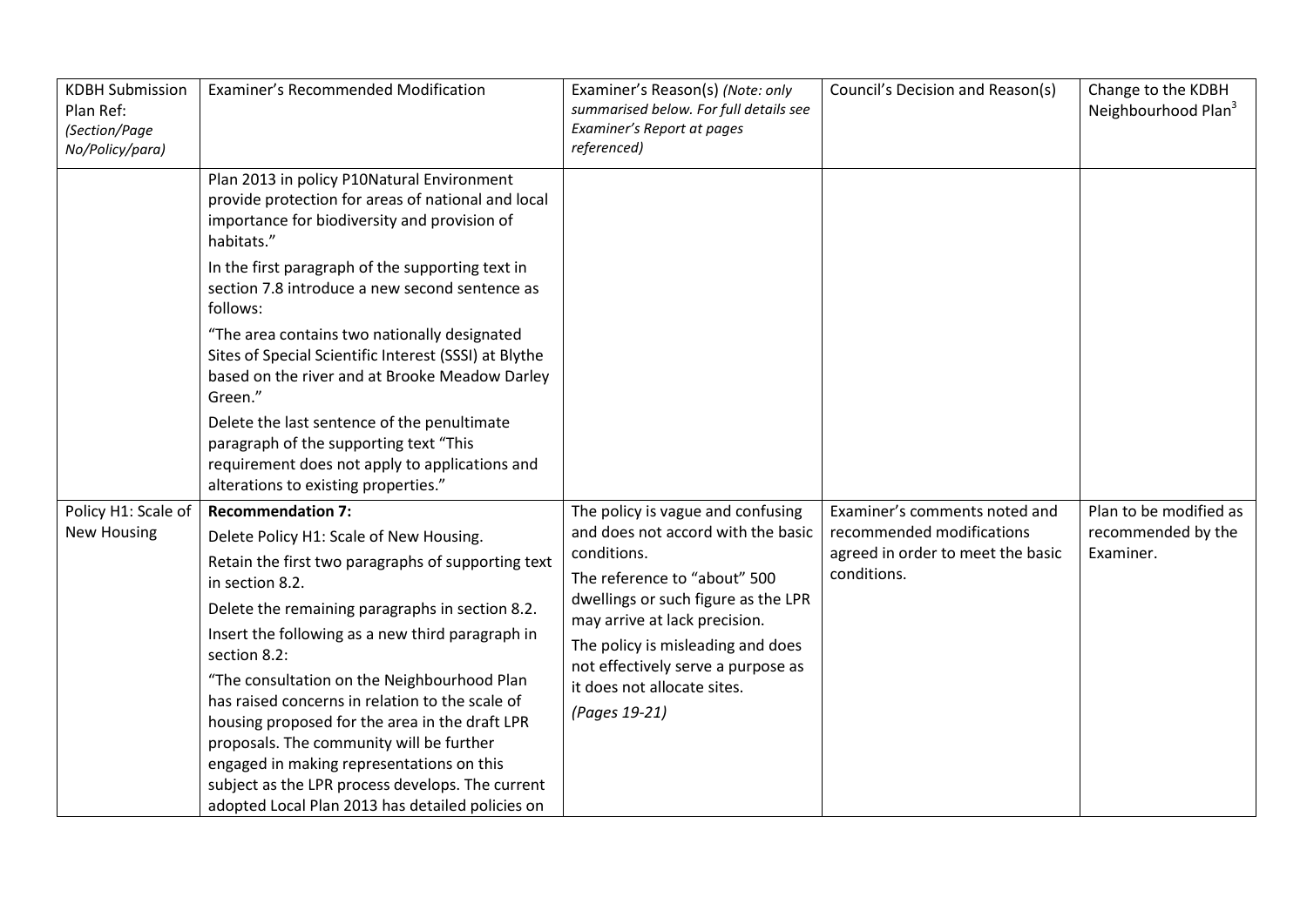| <b>KDBH Submission</b><br>Plan Ref:<br>(Section/Page<br>No/Policy/para) | Examiner's Recommended Modification                                                                                                                                                                                | Examiner's Reason(s) (Note: only<br>summarised below. For full details see<br>Examiner's Report at pages<br>referenced) | Council's Decision and Reason(s)                 | Change to the KDBH<br>Neighbourhood Plan <sup>3</sup> |
|-------------------------------------------------------------------------|--------------------------------------------------------------------------------------------------------------------------------------------------------------------------------------------------------------------|-------------------------------------------------------------------------------------------------------------------------|--------------------------------------------------|-------------------------------------------------------|
|                                                                         | Plan 2013 in policy P10Natural Environment<br>provide protection for areas of national and local<br>importance for biodiversity and provision of<br>habitats."<br>In the first paragraph of the supporting text in |                                                                                                                         |                                                  |                                                       |
|                                                                         | section 7.8 introduce a new second sentence as<br>follows:                                                                                                                                                         |                                                                                                                         |                                                  |                                                       |
|                                                                         | "The area contains two nationally designated<br>Sites of Special Scientific Interest (SSSI) at Blythe<br>based on the river and at Brooke Meadow Darley<br>Green."                                                 |                                                                                                                         |                                                  |                                                       |
|                                                                         | Delete the last sentence of the penultimate<br>paragraph of the supporting text "This<br>requirement does not apply to applications and<br>alterations to existing properties."                                    |                                                                                                                         |                                                  |                                                       |
| Policy H1: Scale of                                                     | <b>Recommendation 7:</b>                                                                                                                                                                                           | The policy is vague and confusing                                                                                       | Examiner's comments noted and                    | Plan to be modified as                                |
| <b>New Housing</b>                                                      | Delete Policy H1: Scale of New Housing.                                                                                                                                                                            | and does not accord with the basic                                                                                      | recommended modifications                        | recommended by the                                    |
|                                                                         | Retain the first two paragraphs of supporting text<br>in section 8.2.                                                                                                                                              | conditions.<br>The reference to "about" 500                                                                             | agreed in order to meet the basic<br>conditions. | Examiner.                                             |
|                                                                         | Delete the remaining paragraphs in section 8.2.                                                                                                                                                                    | dwellings or such figure as the LPR<br>may arrive at lack precision.                                                    |                                                  |                                                       |
|                                                                         | Insert the following as a new third paragraph in<br>section 8.2:                                                                                                                                                   | The policy is misleading and does<br>not effectively serve a purpose as                                                 |                                                  |                                                       |
|                                                                         | "The consultation on the Neighbourhood Plan                                                                                                                                                                        | it does not allocate sites.                                                                                             |                                                  |                                                       |
|                                                                         | has raised concerns in relation to the scale of<br>housing proposed for the area in the draft LPR                                                                                                                  | (Pages 19-21)                                                                                                           |                                                  |                                                       |
|                                                                         | proposals. The community will be further                                                                                                                                                                           |                                                                                                                         |                                                  |                                                       |
|                                                                         | engaged in making representations on this<br>subject as the LPR process develops. The current                                                                                                                      |                                                                                                                         |                                                  |                                                       |
|                                                                         | adopted Local Plan 2013 has detailed policies on                                                                                                                                                                   |                                                                                                                         |                                                  |                                                       |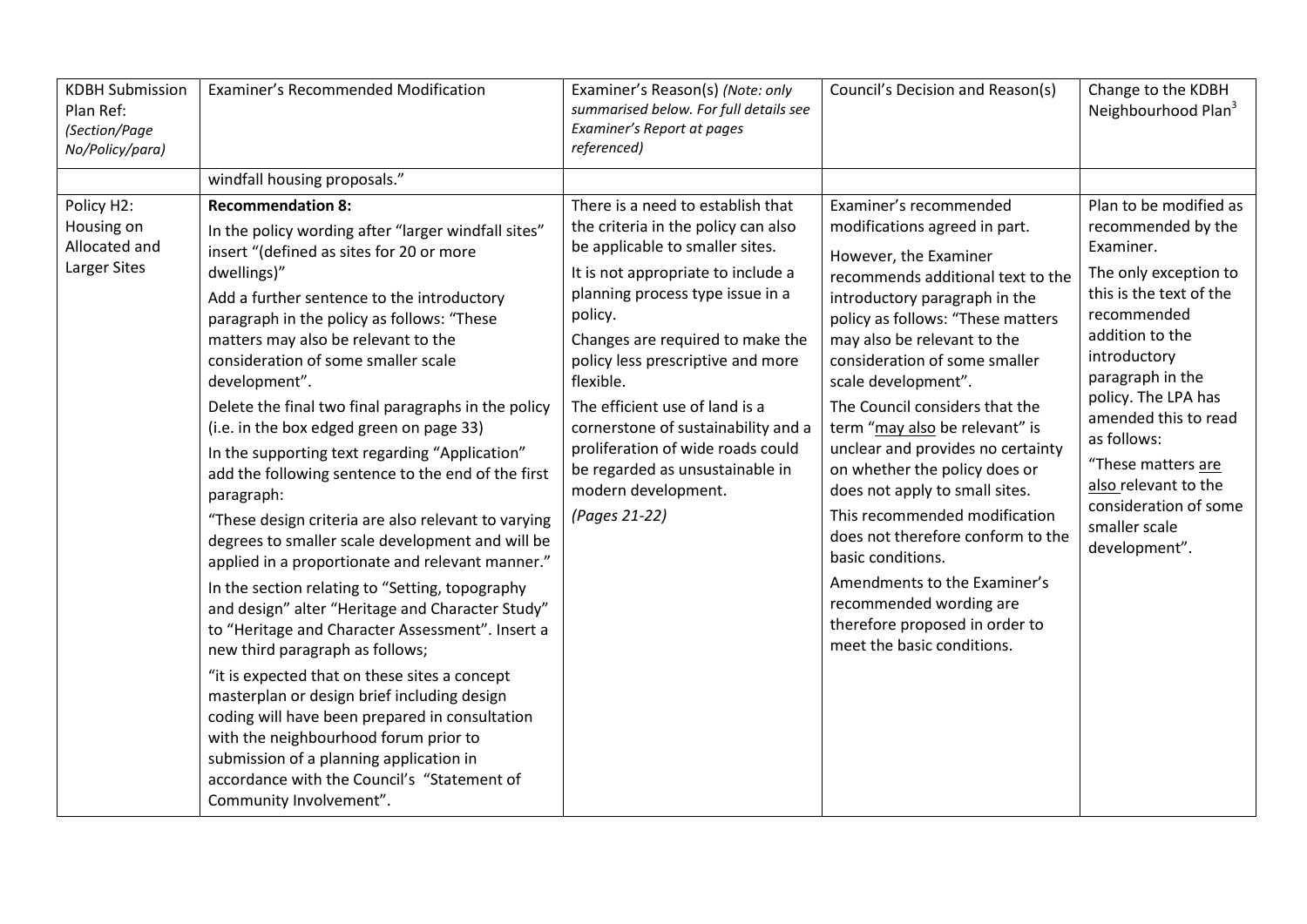| <b>KDBH Submission</b><br>Plan Ref:<br>(Section/Page<br>No/Policy/para) | Examiner's Recommended Modification                                                                                                                                                                                                                                                                                                                                                                                                                                                                                                                                                                                                                                                                                                                                                                                                                                                                                                                                                                                                                                                                                                                                                                                                         | Examiner's Reason(s) (Note: only<br>summarised below. For full details see<br>Examiner's Report at pages<br>referenced)                                                                                                                                                                                                                                                                                                                                                         | Council's Decision and Reason(s)                                                                                                                                                                                                                                                                                                                                                                                                                                                                                                                                                                                                                                                     | Change to the KDBH<br>Neighbourhood Plan <sup>3</sup>                                                                                                                                                                                                                                                                                                      |
|-------------------------------------------------------------------------|---------------------------------------------------------------------------------------------------------------------------------------------------------------------------------------------------------------------------------------------------------------------------------------------------------------------------------------------------------------------------------------------------------------------------------------------------------------------------------------------------------------------------------------------------------------------------------------------------------------------------------------------------------------------------------------------------------------------------------------------------------------------------------------------------------------------------------------------------------------------------------------------------------------------------------------------------------------------------------------------------------------------------------------------------------------------------------------------------------------------------------------------------------------------------------------------------------------------------------------------|---------------------------------------------------------------------------------------------------------------------------------------------------------------------------------------------------------------------------------------------------------------------------------------------------------------------------------------------------------------------------------------------------------------------------------------------------------------------------------|--------------------------------------------------------------------------------------------------------------------------------------------------------------------------------------------------------------------------------------------------------------------------------------------------------------------------------------------------------------------------------------------------------------------------------------------------------------------------------------------------------------------------------------------------------------------------------------------------------------------------------------------------------------------------------------|------------------------------------------------------------------------------------------------------------------------------------------------------------------------------------------------------------------------------------------------------------------------------------------------------------------------------------------------------------|
|                                                                         | windfall housing proposals."                                                                                                                                                                                                                                                                                                                                                                                                                                                                                                                                                                                                                                                                                                                                                                                                                                                                                                                                                                                                                                                                                                                                                                                                                |                                                                                                                                                                                                                                                                                                                                                                                                                                                                                 |                                                                                                                                                                                                                                                                                                                                                                                                                                                                                                                                                                                                                                                                                      |                                                                                                                                                                                                                                                                                                                                                            |
| Policy H2:<br>Housing on<br>Allocated and<br>Larger Sites               | <b>Recommendation 8:</b><br>In the policy wording after "larger windfall sites"<br>insert "(defined as sites for 20 or more<br>dwellings)"<br>Add a further sentence to the introductory<br>paragraph in the policy as follows: "These<br>matters may also be relevant to the<br>consideration of some smaller scale<br>development".<br>Delete the final two final paragraphs in the policy<br>(i.e. in the box edged green on page 33)<br>In the supporting text regarding "Application"<br>add the following sentence to the end of the first<br>paragraph:<br>"These design criteria are also relevant to varying<br>degrees to smaller scale development and will be<br>applied in a proportionate and relevant manner."<br>In the section relating to "Setting, topography<br>and design" alter "Heritage and Character Study"<br>to "Heritage and Character Assessment". Insert a<br>new third paragraph as follows;<br>"it is expected that on these sites a concept<br>masterplan or design brief including design<br>coding will have been prepared in consultation<br>with the neighbourhood forum prior to<br>submission of a planning application in<br>accordance with the Council's "Statement of<br>Community Involvement". | There is a need to establish that<br>the criteria in the policy can also<br>be applicable to smaller sites.<br>It is not appropriate to include a<br>planning process type issue in a<br>policy.<br>Changes are required to make the<br>policy less prescriptive and more<br>flexible.<br>The efficient use of land is a<br>cornerstone of sustainability and a<br>proliferation of wide roads could<br>be regarded as unsustainable in<br>modern development.<br>(Pages 21-22) | Examiner's recommended<br>modifications agreed in part.<br>However, the Examiner<br>recommends additional text to the<br>introductory paragraph in the<br>policy as follows: "These matters<br>may also be relevant to the<br>consideration of some smaller<br>scale development".<br>The Council considers that the<br>term "may also be relevant" is<br>unclear and provides no certainty<br>on whether the policy does or<br>does not apply to small sites.<br>This recommended modification<br>does not therefore conform to the<br>basic conditions.<br>Amendments to the Examiner's<br>recommended wording are<br>therefore proposed in order to<br>meet the basic conditions. | Plan to be modified as<br>recommended by the<br>Examiner.<br>The only exception to<br>this is the text of the<br>recommended<br>addition to the<br>introductory<br>paragraph in the<br>policy. The LPA has<br>amended this to read<br>as follows:<br>"These matters are<br>also relevant to the<br>consideration of some<br>smaller scale<br>development". |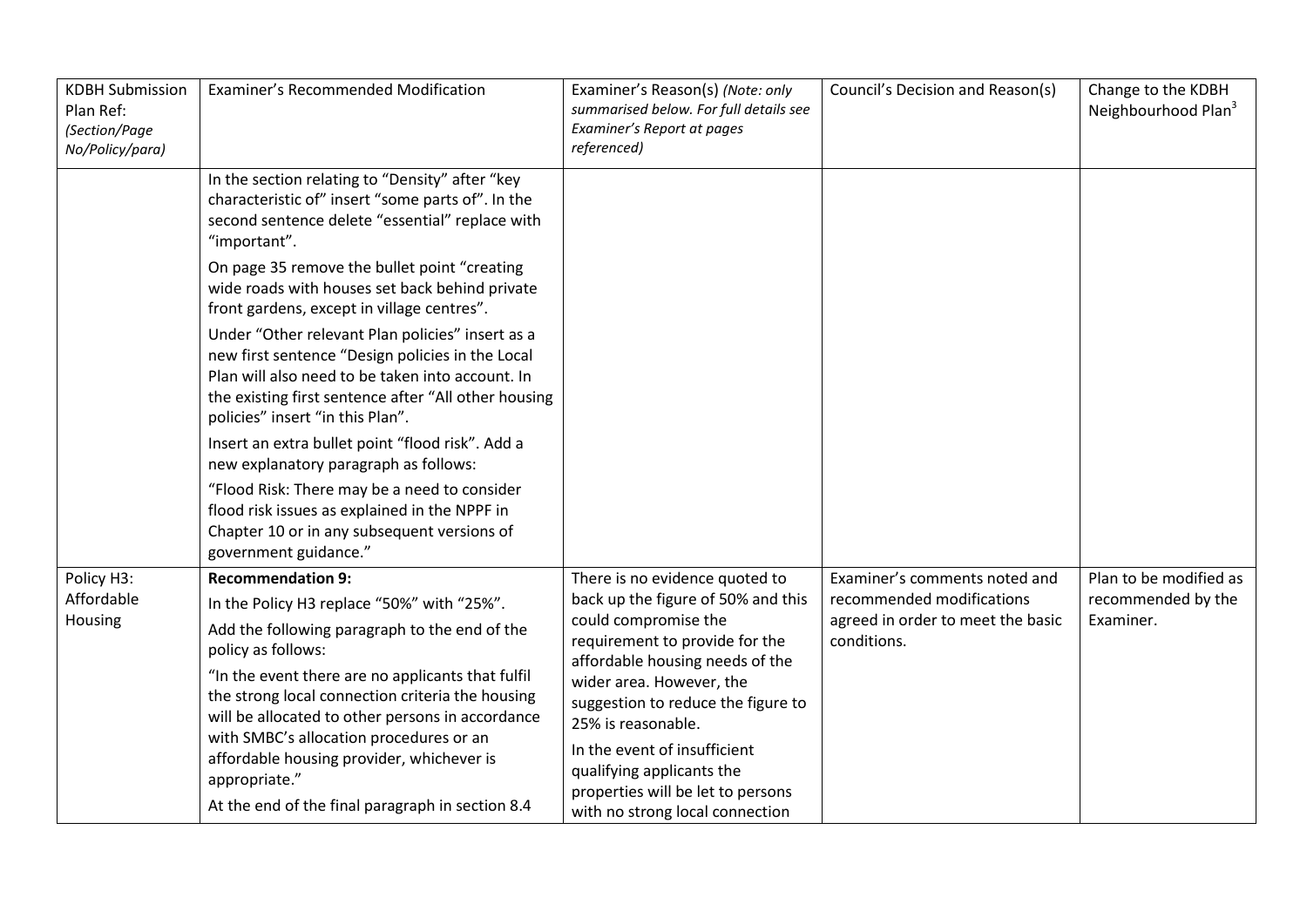| <b>KDBH Submission</b><br>Plan Ref:<br>(Section/Page<br>No/Policy/para) | Examiner's Recommended Modification                                                                                                                                                                                                                                                                                                                                                                                                         | Examiner's Reason(s) (Note: only<br>summarised below. For full details see<br>Examiner's Report at pages<br>referenced)                                                                                                                                                                                                                                      | Council's Decision and Reason(s)                                              | Change to the KDBH<br>Neighbourhood Plan <sup>3</sup> |
|-------------------------------------------------------------------------|---------------------------------------------------------------------------------------------------------------------------------------------------------------------------------------------------------------------------------------------------------------------------------------------------------------------------------------------------------------------------------------------------------------------------------------------|--------------------------------------------------------------------------------------------------------------------------------------------------------------------------------------------------------------------------------------------------------------------------------------------------------------------------------------------------------------|-------------------------------------------------------------------------------|-------------------------------------------------------|
|                                                                         | In the section relating to "Density" after "key<br>characteristic of" insert "some parts of". In the<br>second sentence delete "essential" replace with<br>"important".                                                                                                                                                                                                                                                                     |                                                                                                                                                                                                                                                                                                                                                              |                                                                               |                                                       |
|                                                                         | On page 35 remove the bullet point "creating<br>wide roads with houses set back behind private<br>front gardens, except in village centres".                                                                                                                                                                                                                                                                                                |                                                                                                                                                                                                                                                                                                                                                              |                                                                               |                                                       |
|                                                                         | Under "Other relevant Plan policies" insert as a<br>new first sentence "Design policies in the Local<br>Plan will also need to be taken into account. In<br>the existing first sentence after "All other housing<br>policies" insert "in this Plan".                                                                                                                                                                                        |                                                                                                                                                                                                                                                                                                                                                              |                                                                               |                                                       |
|                                                                         | Insert an extra bullet point "flood risk". Add a<br>new explanatory paragraph as follows:                                                                                                                                                                                                                                                                                                                                                   |                                                                                                                                                                                                                                                                                                                                                              |                                                                               |                                                       |
|                                                                         | "Flood Risk: There may be a need to consider<br>flood risk issues as explained in the NPPF in<br>Chapter 10 or in any subsequent versions of<br>government guidance."                                                                                                                                                                                                                                                                       |                                                                                                                                                                                                                                                                                                                                                              |                                                                               |                                                       |
| Policy H3:                                                              | <b>Recommendation 9:</b>                                                                                                                                                                                                                                                                                                                                                                                                                    | There is no evidence quoted to                                                                                                                                                                                                                                                                                                                               | Examiner's comments noted and                                                 | Plan to be modified as                                |
| Affordable<br>Housing                                                   | In the Policy H3 replace "50%" with "25%".<br>Add the following paragraph to the end of the<br>policy as follows:<br>"In the event there are no applicants that fulfil<br>the strong local connection criteria the housing<br>will be allocated to other persons in accordance<br>with SMBC's allocation procedures or an<br>affordable housing provider, whichever is<br>appropriate."<br>At the end of the final paragraph in section 8.4 | back up the figure of 50% and this<br>could compromise the<br>requirement to provide for the<br>affordable housing needs of the<br>wider area. However, the<br>suggestion to reduce the figure to<br>25% is reasonable.<br>In the event of insufficient<br>qualifying applicants the<br>properties will be let to persons<br>with no strong local connection | recommended modifications<br>agreed in order to meet the basic<br>conditions. | recommended by the<br>Examiner.                       |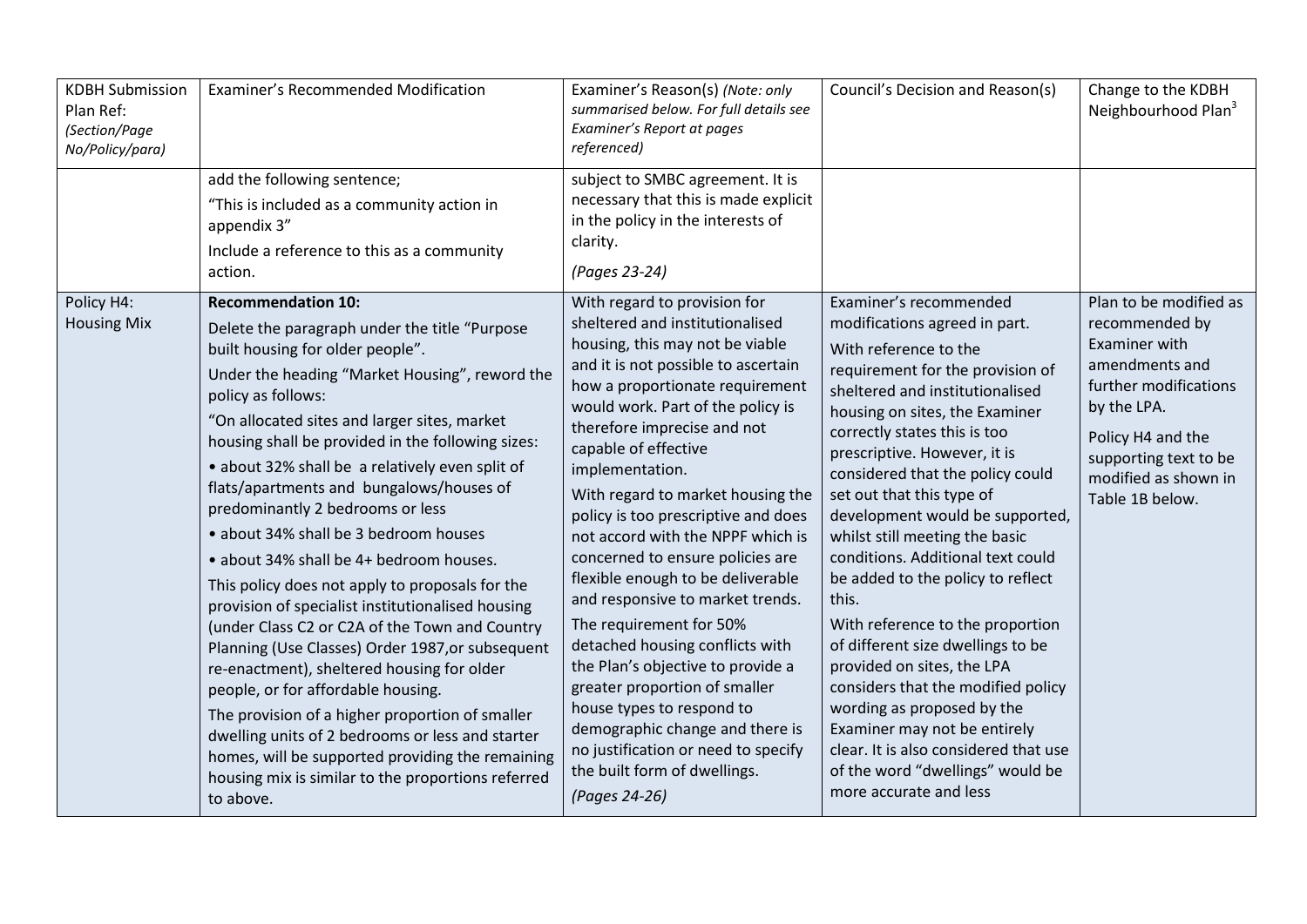| <b>KDBH Submission</b><br>Plan Ref:<br>(Section/Page<br>No/Policy/para) | <b>Examiner's Recommended Modification</b>                                                                                                                                                                                                                                                                                                                                                                                                                                                                                                                                                                                                                                                                                                                                                                                                                                                                                                                                                                                                         | Examiner's Reason(s) (Note: only<br>summarised below. For full details see<br>Examiner's Report at pages<br>referenced)                                                                                                                                                                                                                                                                                                                                                                                                                                                                                                                                                                                                                                                                                               | Council's Decision and Reason(s)                                                                                                                                                                                                                                                                                                                                                                                                                                                                                                                                                                                                                                                                                                                                                                     | Change to the KDBH<br>Neighbourhood Plan <sup>3</sup>                                                                                                                                                               |
|-------------------------------------------------------------------------|----------------------------------------------------------------------------------------------------------------------------------------------------------------------------------------------------------------------------------------------------------------------------------------------------------------------------------------------------------------------------------------------------------------------------------------------------------------------------------------------------------------------------------------------------------------------------------------------------------------------------------------------------------------------------------------------------------------------------------------------------------------------------------------------------------------------------------------------------------------------------------------------------------------------------------------------------------------------------------------------------------------------------------------------------|-----------------------------------------------------------------------------------------------------------------------------------------------------------------------------------------------------------------------------------------------------------------------------------------------------------------------------------------------------------------------------------------------------------------------------------------------------------------------------------------------------------------------------------------------------------------------------------------------------------------------------------------------------------------------------------------------------------------------------------------------------------------------------------------------------------------------|------------------------------------------------------------------------------------------------------------------------------------------------------------------------------------------------------------------------------------------------------------------------------------------------------------------------------------------------------------------------------------------------------------------------------------------------------------------------------------------------------------------------------------------------------------------------------------------------------------------------------------------------------------------------------------------------------------------------------------------------------------------------------------------------------|---------------------------------------------------------------------------------------------------------------------------------------------------------------------------------------------------------------------|
|                                                                         | add the following sentence;<br>"This is included as a community action in<br>appendix 3"<br>Include a reference to this as a community<br>action.                                                                                                                                                                                                                                                                                                                                                                                                                                                                                                                                                                                                                                                                                                                                                                                                                                                                                                  | subject to SMBC agreement. It is<br>necessary that this is made explicit<br>in the policy in the interests of<br>clarity.<br>(Pages 23-24)                                                                                                                                                                                                                                                                                                                                                                                                                                                                                                                                                                                                                                                                            |                                                                                                                                                                                                                                                                                                                                                                                                                                                                                                                                                                                                                                                                                                                                                                                                      |                                                                                                                                                                                                                     |
| Policy H4:<br><b>Housing Mix</b>                                        | <b>Recommendation 10:</b><br>Delete the paragraph under the title "Purpose<br>built housing for older people".<br>Under the heading "Market Housing", reword the<br>policy as follows:<br>"On allocated sites and larger sites, market<br>housing shall be provided in the following sizes:<br>· about 32% shall be a relatively even split of<br>flats/apartments and bungalows/houses of<br>predominantly 2 bedrooms or less<br>• about 34% shall be 3 bedroom houses<br>· about 34% shall be 4+ bedroom houses.<br>This policy does not apply to proposals for the<br>provision of specialist institutionalised housing<br>(under Class C2 or C2A of the Town and Country<br>Planning (Use Classes) Order 1987, or subsequent<br>re-enactment), sheltered housing for older<br>people, or for affordable housing.<br>The provision of a higher proportion of smaller<br>dwelling units of 2 bedrooms or less and starter<br>homes, will be supported providing the remaining<br>housing mix is similar to the proportions referred<br>to above. | With regard to provision for<br>sheltered and institutionalised<br>housing, this may not be viable<br>and it is not possible to ascertain<br>how a proportionate requirement<br>would work. Part of the policy is<br>therefore imprecise and not<br>capable of effective<br>implementation.<br>With regard to market housing the<br>policy is too prescriptive and does<br>not accord with the NPPF which is<br>concerned to ensure policies are<br>flexible enough to be deliverable<br>and responsive to market trends.<br>The requirement for 50%<br>detached housing conflicts with<br>the Plan's objective to provide a<br>greater proportion of smaller<br>house types to respond to<br>demographic change and there is<br>no justification or need to specify<br>the built form of dwellings.<br>(Pages 24-26) | Examiner's recommended<br>modifications agreed in part.<br>With reference to the<br>requirement for the provision of<br>sheltered and institutionalised<br>housing on sites, the Examiner<br>correctly states this is too<br>prescriptive. However, it is<br>considered that the policy could<br>set out that this type of<br>development would be supported,<br>whilst still meeting the basic<br>conditions. Additional text could<br>be added to the policy to reflect<br>this.<br>With reference to the proportion<br>of different size dwellings to be<br>provided on sites, the LPA<br>considers that the modified policy<br>wording as proposed by the<br>Examiner may not be entirely<br>clear. It is also considered that use<br>of the word "dwellings" would be<br>more accurate and less | Plan to be modified as<br>recommended by<br><b>Examiner with</b><br>amendments and<br>further modifications<br>by the LPA.<br>Policy H4 and the<br>supporting text to be<br>modified as shown in<br>Table 1B below. |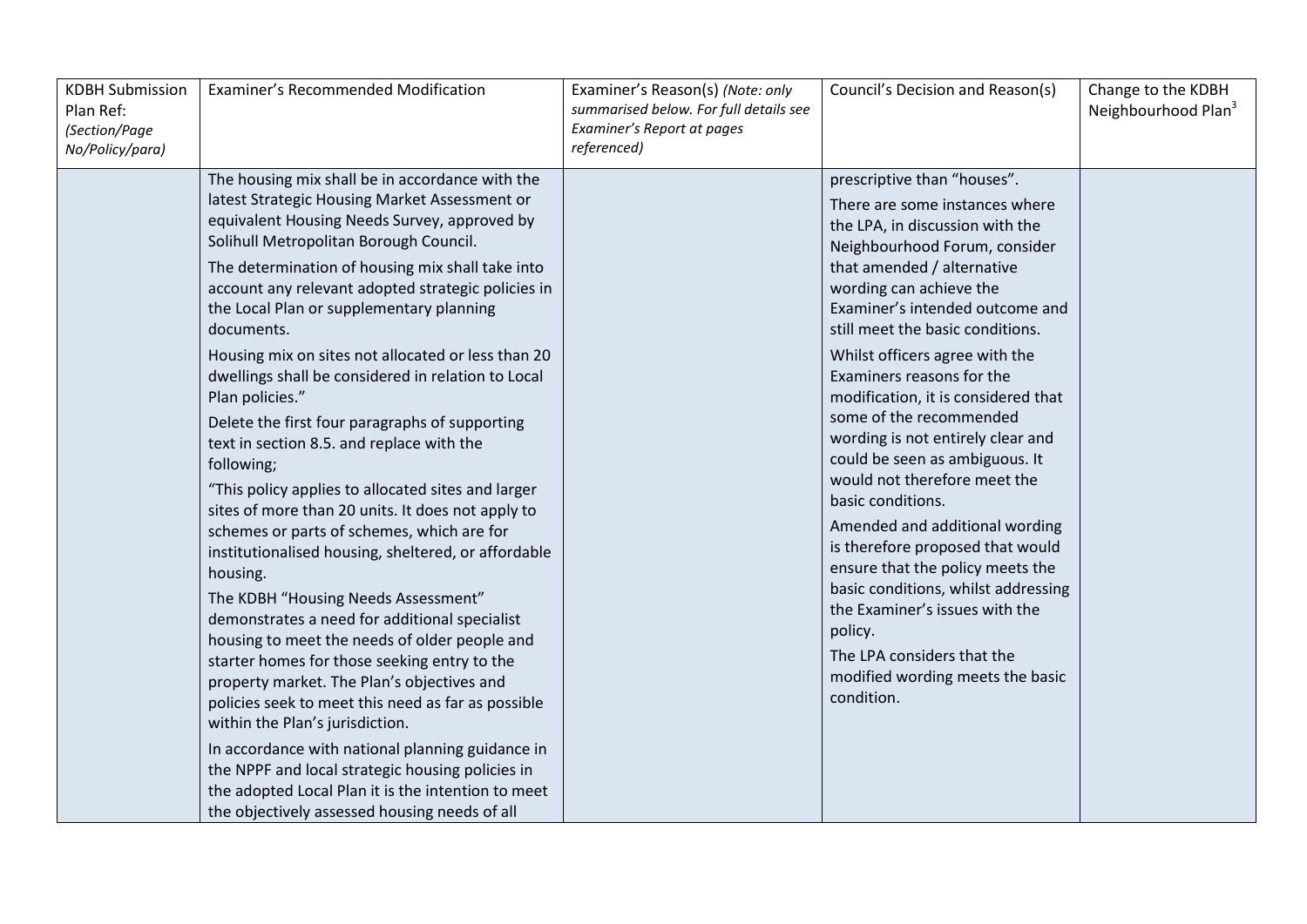| <b>KDBH Submission</b><br>Plan Ref:<br>(Section/Page<br>No/Policy/para) | Examiner's Recommended Modification                                                                                                                                                                                                                                                                                                                                                                                                                                                                                                                                                                                                                                                                                                                                                                                                                                                                                                                                                                                                                                                                                                                                                                                                                                                                                                                                                   | Examiner's Reason(s) (Note: only<br>summarised below. For full details see<br>Examiner's Report at pages<br>referenced) | Council's Decision and Reason(s)                                                                                                                                                                                                                                                                                                                                                                                                                                                                                                                                                                                                                                                                                                                                                                             | Change to the KDBH<br>Neighbourhood Plan <sup>3</sup> |
|-------------------------------------------------------------------------|---------------------------------------------------------------------------------------------------------------------------------------------------------------------------------------------------------------------------------------------------------------------------------------------------------------------------------------------------------------------------------------------------------------------------------------------------------------------------------------------------------------------------------------------------------------------------------------------------------------------------------------------------------------------------------------------------------------------------------------------------------------------------------------------------------------------------------------------------------------------------------------------------------------------------------------------------------------------------------------------------------------------------------------------------------------------------------------------------------------------------------------------------------------------------------------------------------------------------------------------------------------------------------------------------------------------------------------------------------------------------------------|-------------------------------------------------------------------------------------------------------------------------|--------------------------------------------------------------------------------------------------------------------------------------------------------------------------------------------------------------------------------------------------------------------------------------------------------------------------------------------------------------------------------------------------------------------------------------------------------------------------------------------------------------------------------------------------------------------------------------------------------------------------------------------------------------------------------------------------------------------------------------------------------------------------------------------------------------|-------------------------------------------------------|
|                                                                         | The housing mix shall be in accordance with the<br>latest Strategic Housing Market Assessment or<br>equivalent Housing Needs Survey, approved by<br>Solihull Metropolitan Borough Council.<br>The determination of housing mix shall take into<br>account any relevant adopted strategic policies in<br>the Local Plan or supplementary planning<br>documents.<br>Housing mix on sites not allocated or less than 20<br>dwellings shall be considered in relation to Local<br>Plan policies."<br>Delete the first four paragraphs of supporting<br>text in section 8.5. and replace with the<br>following;<br>"This policy applies to allocated sites and larger<br>sites of more than 20 units. It does not apply to<br>schemes or parts of schemes, which are for<br>institutionalised housing, sheltered, or affordable<br>housing.<br>The KDBH "Housing Needs Assessment"<br>demonstrates a need for additional specialist<br>housing to meet the needs of older people and<br>starter homes for those seeking entry to the<br>property market. The Plan's objectives and<br>policies seek to meet this need as far as possible<br>within the Plan's jurisdiction.<br>In accordance with national planning guidance in<br>the NPPF and local strategic housing policies in<br>the adopted Local Plan it is the intention to meet<br>the objectively assessed housing needs of all |                                                                                                                         | prescriptive than "houses".<br>There are some instances where<br>the LPA, in discussion with the<br>Neighbourhood Forum, consider<br>that amended / alternative<br>wording can achieve the<br>Examiner's intended outcome and<br>still meet the basic conditions.<br>Whilst officers agree with the<br>Examiners reasons for the<br>modification, it is considered that<br>some of the recommended<br>wording is not entirely clear and<br>could be seen as ambiguous. It<br>would not therefore meet the<br>basic conditions.<br>Amended and additional wording<br>is therefore proposed that would<br>ensure that the policy meets the<br>basic conditions, whilst addressing<br>the Examiner's issues with the<br>policy.<br>The LPA considers that the<br>modified wording meets the basic<br>condition. |                                                       |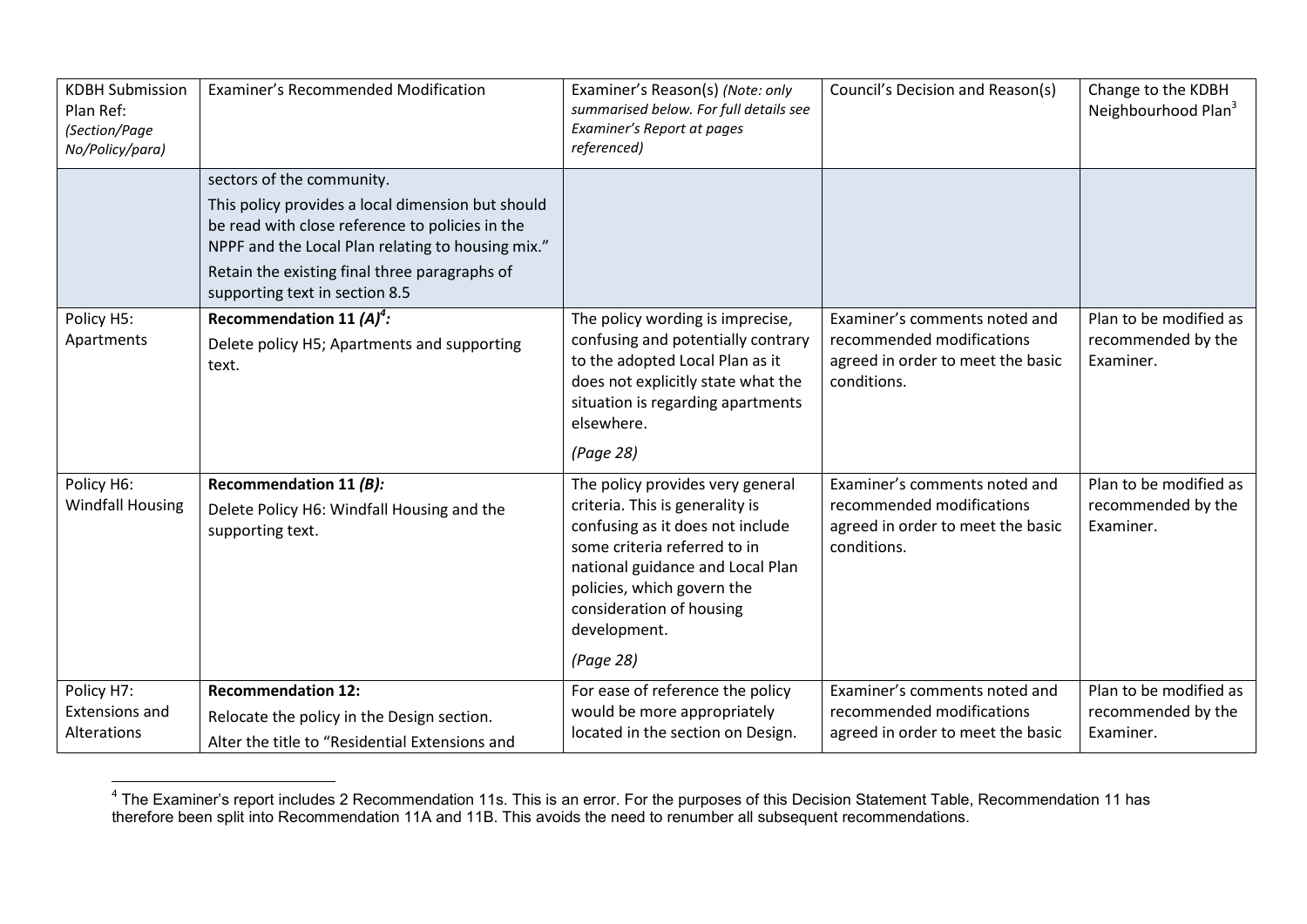| <b>KDBH Submission</b><br>Plan Ref:<br>(Section/Page<br>No/Policy/para) | <b>Examiner's Recommended Modification</b>                                                                                                                                                                                                                                | Examiner's Reason(s) (Note: only<br>summarised below. For full details see<br>Examiner's Report at pages<br>referenced)                                                                                                                                            | Council's Decision and Reason(s)                                                                               | Change to the KDBH<br>Neighbourhood Plan <sup>3</sup>     |
|-------------------------------------------------------------------------|---------------------------------------------------------------------------------------------------------------------------------------------------------------------------------------------------------------------------------------------------------------------------|--------------------------------------------------------------------------------------------------------------------------------------------------------------------------------------------------------------------------------------------------------------------|----------------------------------------------------------------------------------------------------------------|-----------------------------------------------------------|
|                                                                         | sectors of the community.<br>This policy provides a local dimension but should<br>be read with close reference to policies in the<br>NPPF and the Local Plan relating to housing mix."<br>Retain the existing final three paragraphs of<br>supporting text in section 8.5 |                                                                                                                                                                                                                                                                    |                                                                                                                |                                                           |
| Policy H5:<br>Apartments                                                | Recommendation 11 $(A)^4$ :<br>Delete policy H5; Apartments and supporting<br>text.                                                                                                                                                                                       | The policy wording is imprecise,<br>confusing and potentially contrary<br>to the adopted Local Plan as it<br>does not explicitly state what the<br>situation is regarding apartments<br>elsewhere.<br>(Page 28)                                                    | Examiner's comments noted and<br>recommended modifications<br>agreed in order to meet the basic<br>conditions. | Plan to be modified as<br>recommended by the<br>Examiner. |
| Policy H6:<br><b>Windfall Housing</b>                                   | Recommendation 11 (B):<br>Delete Policy H6: Windfall Housing and the<br>supporting text.                                                                                                                                                                                  | The policy provides very general<br>criteria. This is generality is<br>confusing as it does not include<br>some criteria referred to in<br>national guidance and Local Plan<br>policies, which govern the<br>consideration of housing<br>development.<br>(Page 28) | Examiner's comments noted and<br>recommended modifications<br>agreed in order to meet the basic<br>conditions. | Plan to be modified as<br>recommended by the<br>Examiner. |
| Policy H7:<br><b>Extensions and</b><br>Alterations                      | <b>Recommendation 12:</b><br>Relocate the policy in the Design section.<br>Alter the title to "Residential Extensions and                                                                                                                                                 | For ease of reference the policy<br>would be more appropriately<br>located in the section on Design.                                                                                                                                                               | Examiner's comments noted and<br>recommended modifications<br>agreed in order to meet the basic                | Plan to be modified as<br>recommended by the<br>Examiner. |

<sup>————————————————————&</sup>lt;br><sup>4</sup> The Examiner's report includes 2 Recommendation 11s. This is an error. For the purposes of this Decision Statement Table, Recommendation 11 has therefore been split into Recommendation 11A and 11B. This avoids the need to renumber all subsequent recommendations.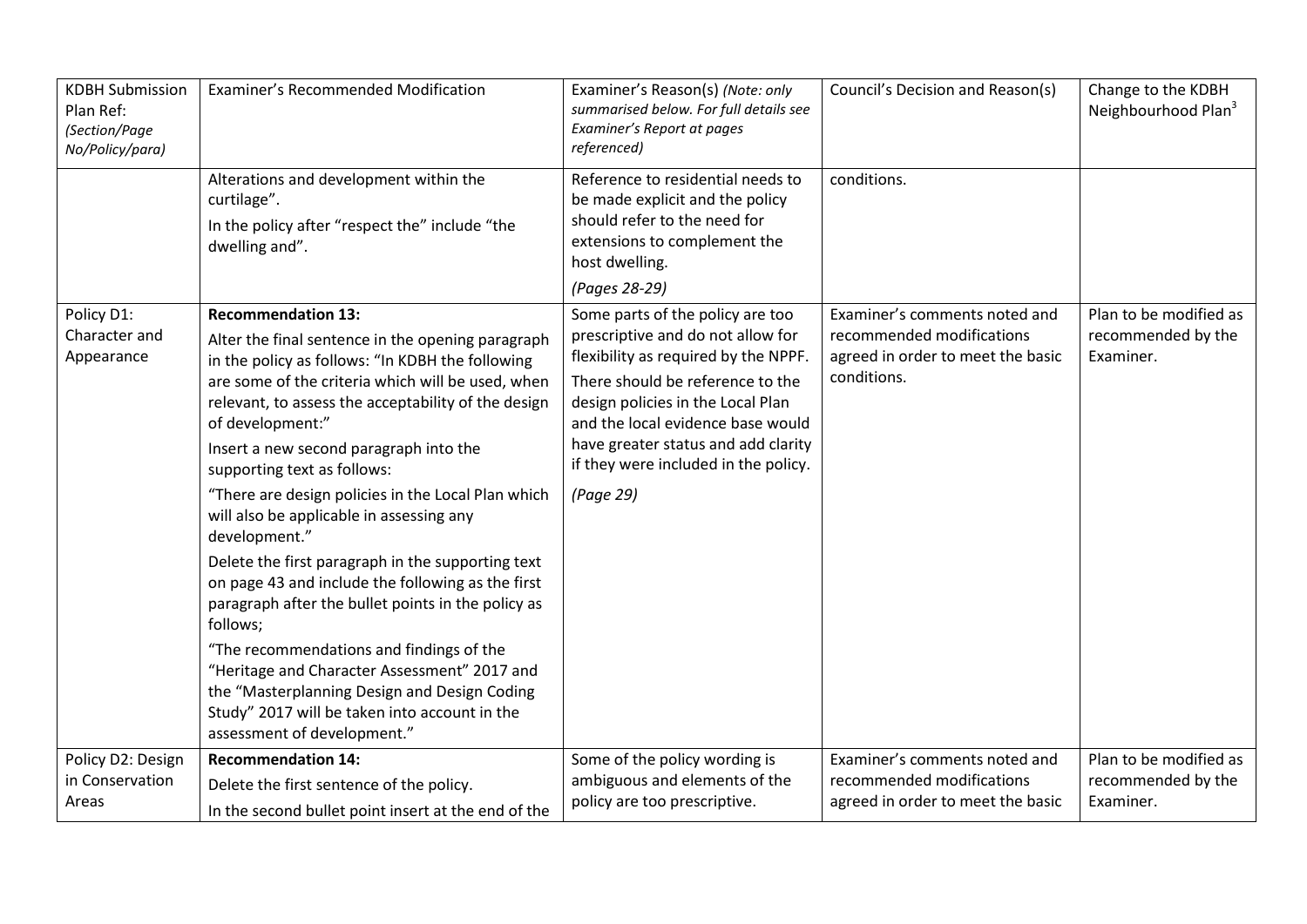| <b>KDBH Submission</b><br>Plan Ref:<br>(Section/Page<br>No/Policy/para) | Examiner's Recommended Modification                                                                                                                                                                                                                                                                                                                                                                                                                                                                                                                                                                                                                                                                                                                                                                                                                                    | Examiner's Reason(s) (Note: only<br>summarised below. For full details see<br>Examiner's Report at pages<br>referenced)                                                                                                                                                                                                 | Council's Decision and Reason(s)                                                                               | Change to the KDBH<br>Neighbourhood Plan <sup>3</sup>     |
|-------------------------------------------------------------------------|------------------------------------------------------------------------------------------------------------------------------------------------------------------------------------------------------------------------------------------------------------------------------------------------------------------------------------------------------------------------------------------------------------------------------------------------------------------------------------------------------------------------------------------------------------------------------------------------------------------------------------------------------------------------------------------------------------------------------------------------------------------------------------------------------------------------------------------------------------------------|-------------------------------------------------------------------------------------------------------------------------------------------------------------------------------------------------------------------------------------------------------------------------------------------------------------------------|----------------------------------------------------------------------------------------------------------------|-----------------------------------------------------------|
|                                                                         | Alterations and development within the<br>curtilage".<br>In the policy after "respect the" include "the<br>dwelling and".                                                                                                                                                                                                                                                                                                                                                                                                                                                                                                                                                                                                                                                                                                                                              | Reference to residential needs to<br>be made explicit and the policy<br>should refer to the need for<br>extensions to complement the<br>host dwelling.<br>(Pages 28-29)                                                                                                                                                 | conditions.                                                                                                    |                                                           |
| Policy D1:<br>Character and<br>Appearance                               | <b>Recommendation 13:</b><br>Alter the final sentence in the opening paragraph<br>in the policy as follows: "In KDBH the following<br>are some of the criteria which will be used, when<br>relevant, to assess the acceptability of the design<br>of development:"<br>Insert a new second paragraph into the<br>supporting text as follows:<br>"There are design policies in the Local Plan which<br>will also be applicable in assessing any<br>development."<br>Delete the first paragraph in the supporting text<br>on page 43 and include the following as the first<br>paragraph after the bullet points in the policy as<br>follows;<br>"The recommendations and findings of the<br>"Heritage and Character Assessment" 2017 and<br>the "Masterplanning Design and Design Coding<br>Study" 2017 will be taken into account in the<br>assessment of development." | Some parts of the policy are too<br>prescriptive and do not allow for<br>flexibility as required by the NPPF.<br>There should be reference to the<br>design policies in the Local Plan<br>and the local evidence base would<br>have greater status and add clarity<br>if they were included in the policy.<br>(Page 29) | Examiner's comments noted and<br>recommended modifications<br>agreed in order to meet the basic<br>conditions. | Plan to be modified as<br>recommended by the<br>Examiner. |
| Policy D2: Design<br>in Conservation<br>Areas                           | <b>Recommendation 14:</b><br>Delete the first sentence of the policy.<br>In the second bullet point insert at the end of the                                                                                                                                                                                                                                                                                                                                                                                                                                                                                                                                                                                                                                                                                                                                           | Some of the policy wording is<br>ambiguous and elements of the<br>policy are too prescriptive.                                                                                                                                                                                                                          | Examiner's comments noted and<br>recommended modifications<br>agreed in order to meet the basic                | Plan to be modified as<br>recommended by the<br>Examiner. |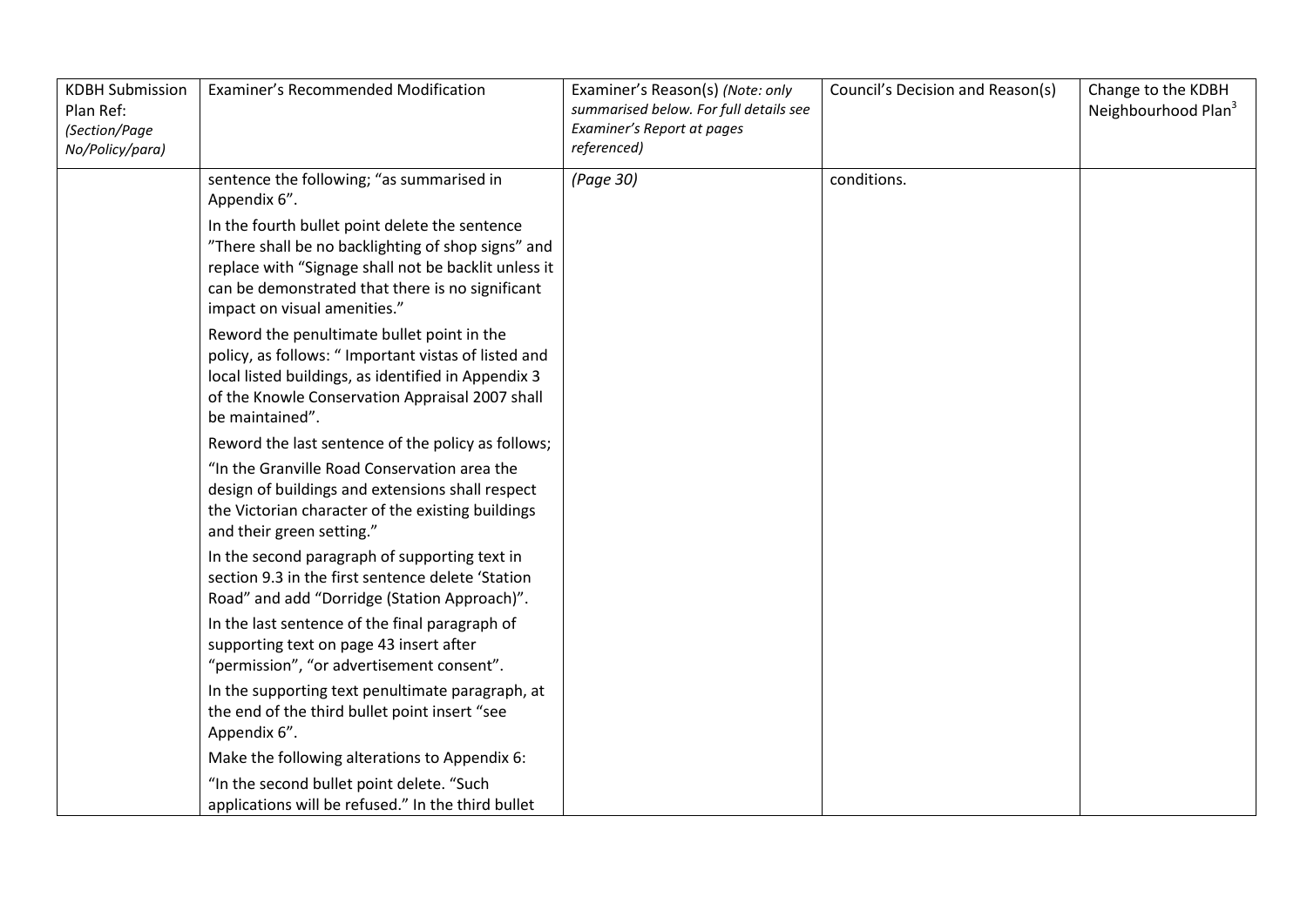| <b>KDBH Submission</b><br>Plan Ref:<br>(Section/Page<br>No/Policy/para) | Examiner's Recommended Modification                                                                                                                                                                                                                                                                                                                                                                                                                                        | Examiner's Reason(s) (Note: only<br>summarised below. For full details see<br>Examiner's Report at pages<br>referenced) | Council's Decision and Reason(s) | Change to the KDBH<br>Neighbourhood Plan <sup>3</sup> |
|-------------------------------------------------------------------------|----------------------------------------------------------------------------------------------------------------------------------------------------------------------------------------------------------------------------------------------------------------------------------------------------------------------------------------------------------------------------------------------------------------------------------------------------------------------------|-------------------------------------------------------------------------------------------------------------------------|----------------------------------|-------------------------------------------------------|
|                                                                         | sentence the following; "as summarised in<br>Appendix 6".<br>In the fourth bullet point delete the sentence<br>"There shall be no backlighting of shop signs" and<br>replace with "Signage shall not be backlit unless it<br>can be demonstrated that there is no significant<br>impact on visual amenities."<br>Reword the penultimate bullet point in the<br>policy, as follows: " Important vistas of listed and<br>local listed buildings, as identified in Appendix 3 | (Page 30)                                                                                                               | conditions.                      |                                                       |
|                                                                         | of the Knowle Conservation Appraisal 2007 shall<br>be maintained".                                                                                                                                                                                                                                                                                                                                                                                                         |                                                                                                                         |                                  |                                                       |
|                                                                         | Reword the last sentence of the policy as follows;<br>"In the Granville Road Conservation area the<br>design of buildings and extensions shall respect<br>the Victorian character of the existing buildings<br>and their green setting."                                                                                                                                                                                                                                   |                                                                                                                         |                                  |                                                       |
|                                                                         | In the second paragraph of supporting text in<br>section 9.3 in the first sentence delete 'Station<br>Road" and add "Dorridge (Station Approach)".                                                                                                                                                                                                                                                                                                                         |                                                                                                                         |                                  |                                                       |
|                                                                         | In the last sentence of the final paragraph of<br>supporting text on page 43 insert after<br>"permission", "or advertisement consent".                                                                                                                                                                                                                                                                                                                                     |                                                                                                                         |                                  |                                                       |
|                                                                         | In the supporting text penultimate paragraph, at<br>the end of the third bullet point insert "see<br>Appendix 6".                                                                                                                                                                                                                                                                                                                                                          |                                                                                                                         |                                  |                                                       |
|                                                                         | Make the following alterations to Appendix 6:                                                                                                                                                                                                                                                                                                                                                                                                                              |                                                                                                                         |                                  |                                                       |
|                                                                         | "In the second bullet point delete. "Such<br>applications will be refused." In the third bullet                                                                                                                                                                                                                                                                                                                                                                            |                                                                                                                         |                                  |                                                       |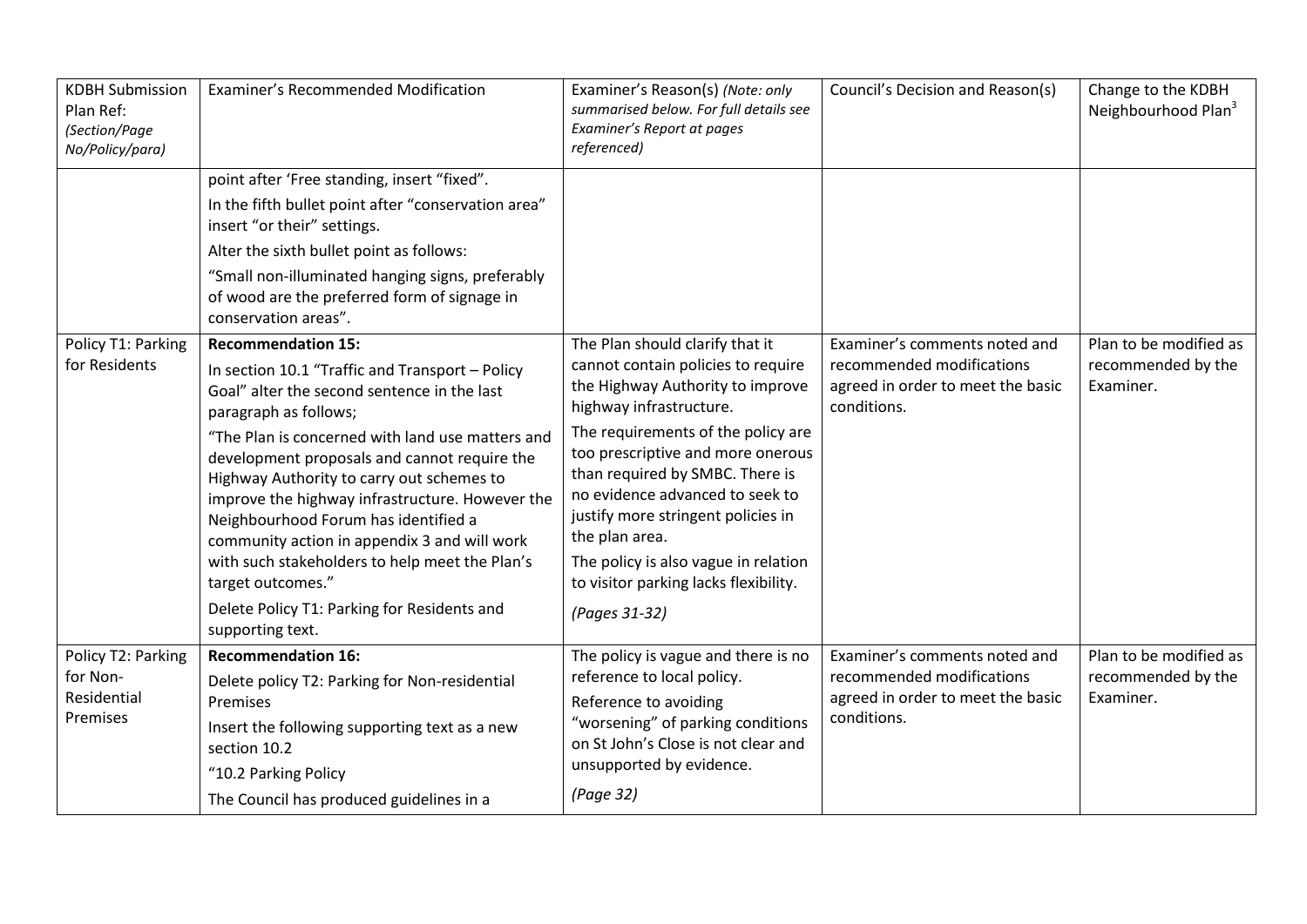| <b>KDBH Submission</b><br>Plan Ref:<br>(Section/Page<br>No/Policy/para) | Examiner's Recommended Modification                                                                                                                                                                                                                                                                                                                                                                                                                                                                                                                                                                                | Examiner's Reason(s) (Note: only<br>summarised below. For full details see<br>Examiner's Report at pages<br>referenced)                                                                                                                                                                                                                                                                                                                         | Council's Decision and Reason(s)                                                                               | Change to the KDBH<br>Neighbourhood Plan <sup>3</sup>     |
|-------------------------------------------------------------------------|--------------------------------------------------------------------------------------------------------------------------------------------------------------------------------------------------------------------------------------------------------------------------------------------------------------------------------------------------------------------------------------------------------------------------------------------------------------------------------------------------------------------------------------------------------------------------------------------------------------------|-------------------------------------------------------------------------------------------------------------------------------------------------------------------------------------------------------------------------------------------------------------------------------------------------------------------------------------------------------------------------------------------------------------------------------------------------|----------------------------------------------------------------------------------------------------------------|-----------------------------------------------------------|
|                                                                         | point after 'Free standing, insert "fixed".<br>In the fifth bullet point after "conservation area"<br>insert "or their" settings.<br>Alter the sixth bullet point as follows:<br>"Small non-illuminated hanging signs, preferably<br>of wood are the preferred form of signage in                                                                                                                                                                                                                                                                                                                                  |                                                                                                                                                                                                                                                                                                                                                                                                                                                 |                                                                                                                |                                                           |
| Policy T1: Parking<br>for Residents                                     | conservation areas".<br><b>Recommendation 15:</b><br>In section 10.1 "Traffic and Transport - Policy<br>Goal" alter the second sentence in the last<br>paragraph as follows;<br>"The Plan is concerned with land use matters and<br>development proposals and cannot require the<br>Highway Authority to carry out schemes to<br>improve the highway infrastructure. However the<br>Neighbourhood Forum has identified a<br>community action in appendix 3 and will work<br>with such stakeholders to help meet the Plan's<br>target outcomes."<br>Delete Policy T1: Parking for Residents and<br>supporting text. | The Plan should clarify that it<br>cannot contain policies to require<br>the Highway Authority to improve<br>highway infrastructure.<br>The requirements of the policy are<br>too prescriptive and more onerous<br>than required by SMBC. There is<br>no evidence advanced to seek to<br>justify more stringent policies in<br>the plan area.<br>The policy is also vague in relation<br>to visitor parking lacks flexibility.<br>(Pages 31-32) | Examiner's comments noted and<br>recommended modifications<br>agreed in order to meet the basic<br>conditions. | Plan to be modified as<br>recommended by the<br>Examiner. |
| Policy T2: Parking<br>for Non-<br>Residential<br>Premises               | <b>Recommendation 16:</b><br>Delete policy T2: Parking for Non-residential<br>Premises<br>Insert the following supporting text as a new<br>section 10.2<br>"10.2 Parking Policy<br>The Council has produced guidelines in a                                                                                                                                                                                                                                                                                                                                                                                        | The policy is vague and there is no<br>reference to local policy.<br>Reference to avoiding<br>"worsening" of parking conditions<br>on St John's Close is not clear and<br>unsupported by evidence.<br>(Page 32)                                                                                                                                                                                                                                 | Examiner's comments noted and<br>recommended modifications<br>agreed in order to meet the basic<br>conditions. | Plan to be modified as<br>recommended by the<br>Examiner. |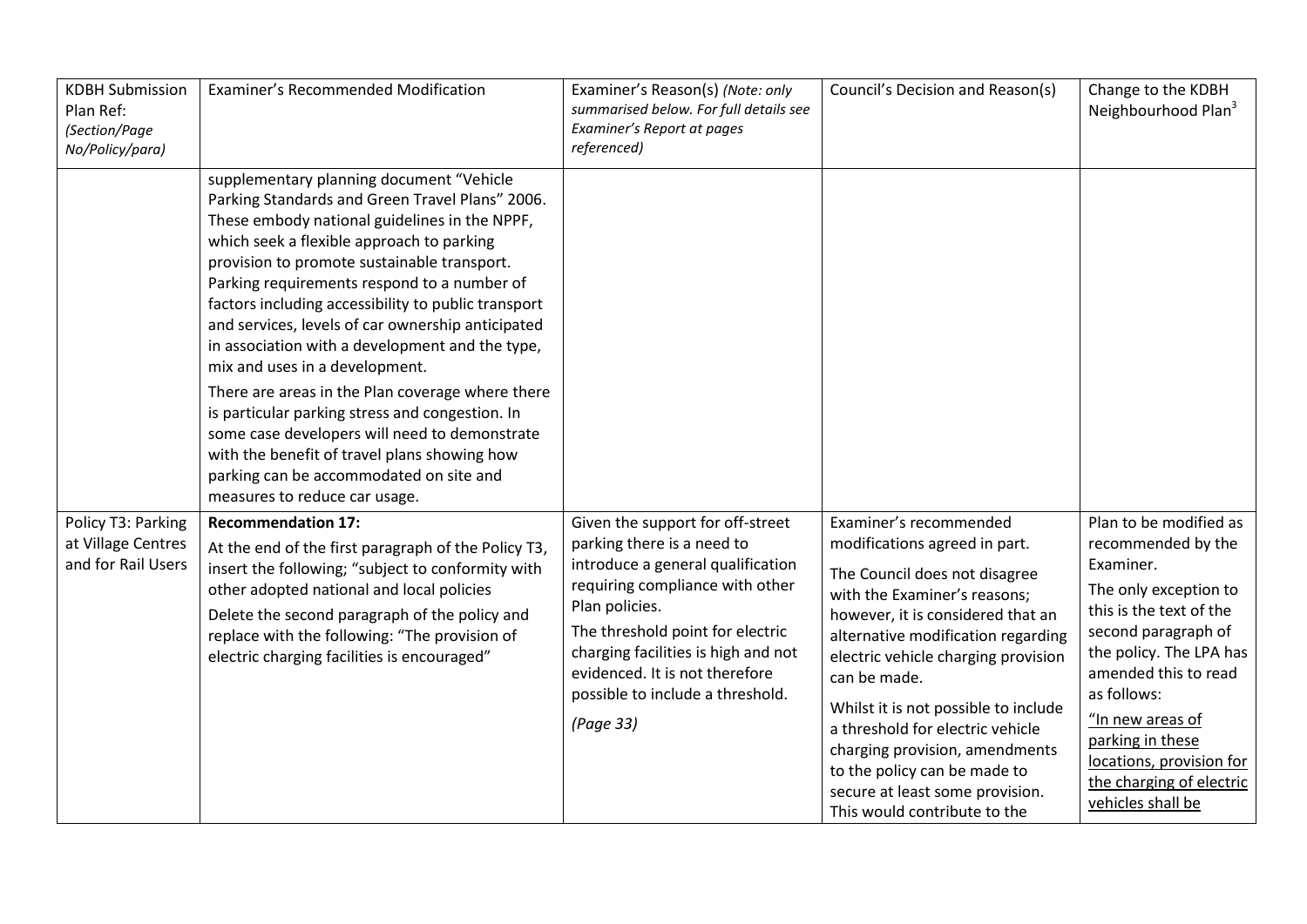| <b>KDBH Submission</b><br>Plan Ref:<br>(Section/Page<br>No/Policy/para) | Examiner's Recommended Modification                                                                                                                                                                                                                                                                                                                                                                                                                                                                                                                                                                                                                                                                                                                                          | Examiner's Reason(s) (Note: only<br>summarised below. For full details see<br>Examiner's Report at pages<br>referenced)                                                                                                                                                                                                | Council's Decision and Reason(s)                                                                                                                                                                                                                                                                                                                                                                                                                                            | Change to the KDBH<br>Neighbourhood Plan <sup>3</sup>                                                                                                                                                                                                                                                                       |
|-------------------------------------------------------------------------|------------------------------------------------------------------------------------------------------------------------------------------------------------------------------------------------------------------------------------------------------------------------------------------------------------------------------------------------------------------------------------------------------------------------------------------------------------------------------------------------------------------------------------------------------------------------------------------------------------------------------------------------------------------------------------------------------------------------------------------------------------------------------|------------------------------------------------------------------------------------------------------------------------------------------------------------------------------------------------------------------------------------------------------------------------------------------------------------------------|-----------------------------------------------------------------------------------------------------------------------------------------------------------------------------------------------------------------------------------------------------------------------------------------------------------------------------------------------------------------------------------------------------------------------------------------------------------------------------|-----------------------------------------------------------------------------------------------------------------------------------------------------------------------------------------------------------------------------------------------------------------------------------------------------------------------------|
|                                                                         | supplementary planning document "Vehicle<br>Parking Standards and Green Travel Plans" 2006.<br>These embody national guidelines in the NPPF,<br>which seek a flexible approach to parking<br>provision to promote sustainable transport.<br>Parking requirements respond to a number of<br>factors including accessibility to public transport<br>and services, levels of car ownership anticipated<br>in association with a development and the type,<br>mix and uses in a development.<br>There are areas in the Plan coverage where there<br>is particular parking stress and congestion. In<br>some case developers will need to demonstrate<br>with the benefit of travel plans showing how<br>parking can be accommodated on site and<br>measures to reduce car usage. |                                                                                                                                                                                                                                                                                                                        |                                                                                                                                                                                                                                                                                                                                                                                                                                                                             |                                                                                                                                                                                                                                                                                                                             |
| Policy T3: Parking<br>at Village Centres<br>and for Rail Users          | <b>Recommendation 17:</b><br>At the end of the first paragraph of the Policy T3,<br>insert the following; "subject to conformity with<br>other adopted national and local policies<br>Delete the second paragraph of the policy and<br>replace with the following: "The provision of<br>electric charging facilities is encouraged"                                                                                                                                                                                                                                                                                                                                                                                                                                          | Given the support for off-street<br>parking there is a need to<br>introduce a general qualification<br>requiring compliance with other<br>Plan policies.<br>The threshold point for electric<br>charging facilities is high and not<br>evidenced. It is not therefore<br>possible to include a threshold.<br>(Page 33) | Examiner's recommended<br>modifications agreed in part.<br>The Council does not disagree<br>with the Examiner's reasons;<br>however, it is considered that an<br>alternative modification regarding<br>electric vehicle charging provision<br>can be made.<br>Whilst it is not possible to include<br>a threshold for electric vehicle<br>charging provision, amendments<br>to the policy can be made to<br>secure at least some provision.<br>This would contribute to the | Plan to be modified as<br>recommended by the<br>Examiner.<br>The only exception to<br>this is the text of the<br>second paragraph of<br>the policy. The LPA has<br>amended this to read<br>as follows:<br>"In new areas of<br>parking in these<br>locations, provision for<br>the charging of electric<br>vehicles shall be |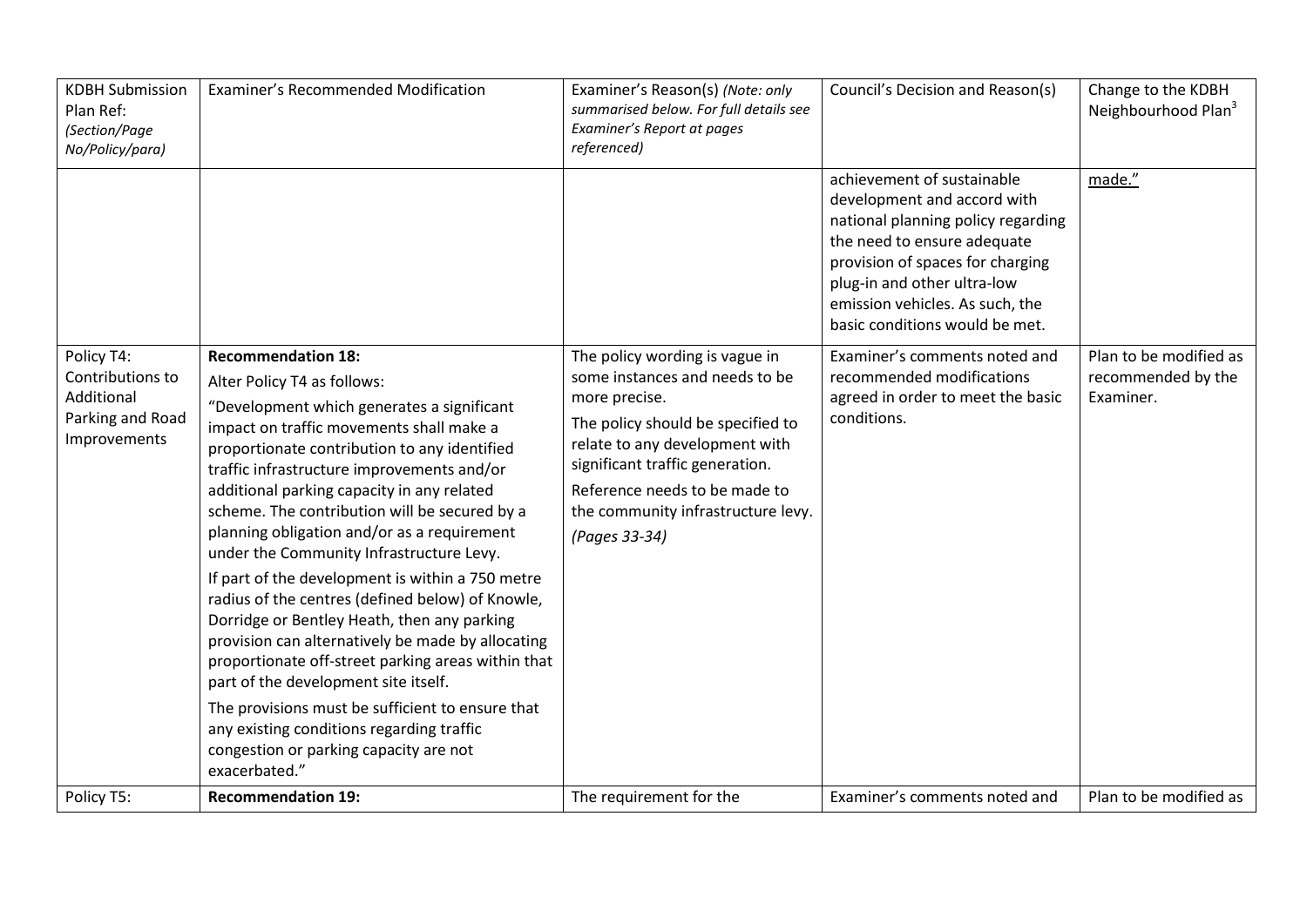| <b>KDBH Submission</b><br>Plan Ref:<br>(Section/Page<br>No/Policy/para)          | Examiner's Recommended Modification                                                                                                                                                                                                                                                                                                                                                                                                                                                                                                                                                                                                                                                                                                                                                                                                                                                                              | Examiner's Reason(s) (Note: only<br>summarised below. For full details see<br>Examiner's Report at pages<br>referenced)                                                                                                                                                             | Council's Decision and Reason(s)                                                                                                                                                                                                                                       | Change to the KDBH<br>Neighbourhood Plan <sup>3</sup>     |
|----------------------------------------------------------------------------------|------------------------------------------------------------------------------------------------------------------------------------------------------------------------------------------------------------------------------------------------------------------------------------------------------------------------------------------------------------------------------------------------------------------------------------------------------------------------------------------------------------------------------------------------------------------------------------------------------------------------------------------------------------------------------------------------------------------------------------------------------------------------------------------------------------------------------------------------------------------------------------------------------------------|-------------------------------------------------------------------------------------------------------------------------------------------------------------------------------------------------------------------------------------------------------------------------------------|------------------------------------------------------------------------------------------------------------------------------------------------------------------------------------------------------------------------------------------------------------------------|-----------------------------------------------------------|
|                                                                                  |                                                                                                                                                                                                                                                                                                                                                                                                                                                                                                                                                                                                                                                                                                                                                                                                                                                                                                                  |                                                                                                                                                                                                                                                                                     | achievement of sustainable<br>development and accord with<br>national planning policy regarding<br>the need to ensure adequate<br>provision of spaces for charging<br>plug-in and other ultra-low<br>emission vehicles. As such, the<br>basic conditions would be met. | made."                                                    |
| Policy T4:<br>Contributions to<br>Additional<br>Parking and Road<br>Improvements | <b>Recommendation 18:</b><br>Alter Policy T4 as follows:<br>"Development which generates a significant<br>impact on traffic movements shall make a<br>proportionate contribution to any identified<br>traffic infrastructure improvements and/or<br>additional parking capacity in any related<br>scheme. The contribution will be secured by a<br>planning obligation and/or as a requirement<br>under the Community Infrastructure Levy.<br>If part of the development is within a 750 metre<br>radius of the centres (defined below) of Knowle,<br>Dorridge or Bentley Heath, then any parking<br>provision can alternatively be made by allocating<br>proportionate off-street parking areas within that<br>part of the development site itself.<br>The provisions must be sufficient to ensure that<br>any existing conditions regarding traffic<br>congestion or parking capacity are not<br>exacerbated." | The policy wording is vague in<br>some instances and needs to be<br>more precise.<br>The policy should be specified to<br>relate to any development with<br>significant traffic generation.<br>Reference needs to be made to<br>the community infrastructure levy.<br>(Pages 33-34) | Examiner's comments noted and<br>recommended modifications<br>agreed in order to meet the basic<br>conditions.                                                                                                                                                         | Plan to be modified as<br>recommended by the<br>Examiner. |
| Policy T5:                                                                       | <b>Recommendation 19:</b>                                                                                                                                                                                                                                                                                                                                                                                                                                                                                                                                                                                                                                                                                                                                                                                                                                                                                        | The requirement for the                                                                                                                                                                                                                                                             | Examiner's comments noted and                                                                                                                                                                                                                                          | Plan to be modified as                                    |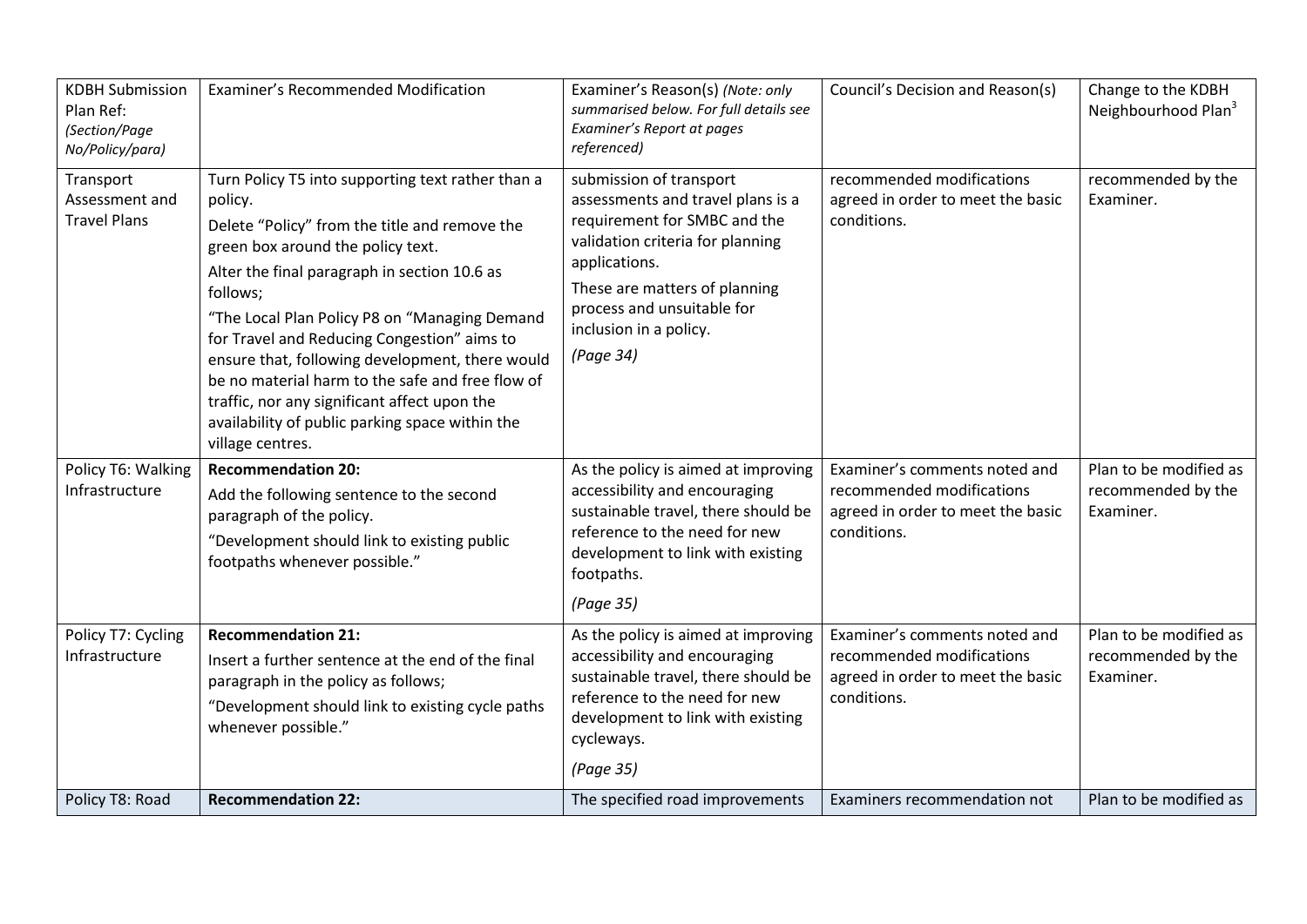| <b>KDBH Submission</b><br>Plan Ref:<br>(Section/Page<br>No/Policy/para)                    | Examiner's Recommended Modification                                                                                                                                                                                                                                                                                                                                                                                                                                                                                                                                                                                   | Examiner's Reason(s) (Note: only<br>summarised below. For full details see<br>Examiner's Report at pages<br>referenced)                                                                                                                                                                                                         | Council's Decision and Reason(s)                                                                                                            | Change to the KDBH<br>Neighbourhood Plan <sup>3</sup>                           |
|--------------------------------------------------------------------------------------------|-----------------------------------------------------------------------------------------------------------------------------------------------------------------------------------------------------------------------------------------------------------------------------------------------------------------------------------------------------------------------------------------------------------------------------------------------------------------------------------------------------------------------------------------------------------------------------------------------------------------------|---------------------------------------------------------------------------------------------------------------------------------------------------------------------------------------------------------------------------------------------------------------------------------------------------------------------------------|---------------------------------------------------------------------------------------------------------------------------------------------|---------------------------------------------------------------------------------|
| Transport<br>Assessment and<br><b>Travel Plans</b><br>Policy T6: Walking<br>Infrastructure | Turn Policy T5 into supporting text rather than a<br>policy.<br>Delete "Policy" from the title and remove the<br>green box around the policy text.<br>Alter the final paragraph in section 10.6 as<br>follows;<br>"The Local Plan Policy P8 on "Managing Demand<br>for Travel and Reducing Congestion" aims to<br>ensure that, following development, there would<br>be no material harm to the safe and free flow of<br>traffic, nor any significant affect upon the<br>availability of public parking space within the<br>village centres.<br><b>Recommendation 20:</b><br>Add the following sentence to the second | submission of transport<br>assessments and travel plans is a<br>requirement for SMBC and the<br>validation criteria for planning<br>applications.<br>These are matters of planning<br>process and unsuitable for<br>inclusion in a policy.<br>(Page 34)<br>As the policy is aimed at improving<br>accessibility and encouraging | recommended modifications<br>agreed in order to meet the basic<br>conditions.<br>Examiner's comments noted and<br>recommended modifications | recommended by the<br>Examiner.<br>Plan to be modified as<br>recommended by the |
|                                                                                            | paragraph of the policy.<br>"Development should link to existing public<br>footpaths whenever possible."                                                                                                                                                                                                                                                                                                                                                                                                                                                                                                              | sustainable travel, there should be<br>reference to the need for new<br>development to link with existing<br>footpaths.<br>(Page 35)                                                                                                                                                                                            | agreed in order to meet the basic<br>conditions.                                                                                            | Examiner.                                                                       |
| Policy T7: Cycling<br>Infrastructure                                                       | <b>Recommendation 21:</b><br>Insert a further sentence at the end of the final<br>paragraph in the policy as follows;<br>"Development should link to existing cycle paths<br>whenever possible."                                                                                                                                                                                                                                                                                                                                                                                                                      | As the policy is aimed at improving<br>accessibility and encouraging<br>sustainable travel, there should be<br>reference to the need for new<br>development to link with existing<br>cycleways.<br>(Page 35)                                                                                                                    | Examiner's comments noted and<br>recommended modifications<br>agreed in order to meet the basic<br>conditions.                              | Plan to be modified as<br>recommended by the<br>Examiner.                       |
| Policy T8: Road                                                                            | <b>Recommendation 22:</b>                                                                                                                                                                                                                                                                                                                                                                                                                                                                                                                                                                                             | The specified road improvements                                                                                                                                                                                                                                                                                                 | Examiners recommendation not                                                                                                                | Plan to be modified as                                                          |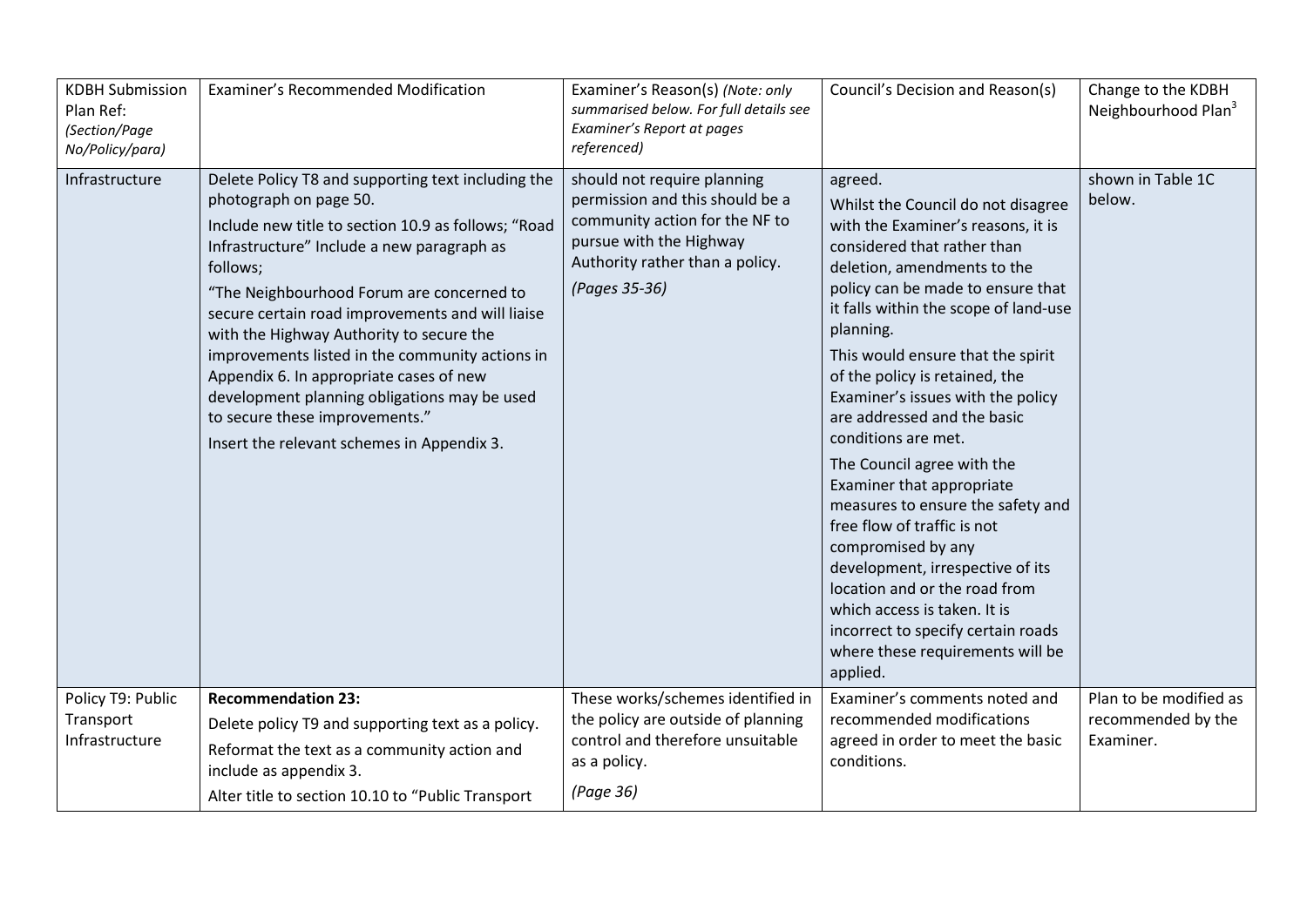| <b>KDBH Submission</b><br>Plan Ref:<br>(Section/Page<br>No/Policy/para) | Examiner's Recommended Modification                                                                                                                                                                                                                                                                                                                                                                                                                                                                                                                                      | Examiner's Reason(s) (Note: only<br>summarised below. For full details see<br>Examiner's Report at pages<br>referenced)                                                         | Council's Decision and Reason(s)                                                                                                                                                                                                                                                                                                                                                                                                                                                                                                                                                                                                                                                                                                                               | Change to the KDBH<br>Neighbourhood Plan <sup>3</sup>     |
|-------------------------------------------------------------------------|--------------------------------------------------------------------------------------------------------------------------------------------------------------------------------------------------------------------------------------------------------------------------------------------------------------------------------------------------------------------------------------------------------------------------------------------------------------------------------------------------------------------------------------------------------------------------|---------------------------------------------------------------------------------------------------------------------------------------------------------------------------------|----------------------------------------------------------------------------------------------------------------------------------------------------------------------------------------------------------------------------------------------------------------------------------------------------------------------------------------------------------------------------------------------------------------------------------------------------------------------------------------------------------------------------------------------------------------------------------------------------------------------------------------------------------------------------------------------------------------------------------------------------------------|-----------------------------------------------------------|
| Infrastructure                                                          | Delete Policy T8 and supporting text including the<br>photograph on page 50.<br>Include new title to section 10.9 as follows; "Road<br>Infrastructure" Include a new paragraph as<br>follows;<br>"The Neighbourhood Forum are concerned to<br>secure certain road improvements and will liaise<br>with the Highway Authority to secure the<br>improvements listed in the community actions in<br>Appendix 6. In appropriate cases of new<br>development planning obligations may be used<br>to secure these improvements."<br>Insert the relevant schemes in Appendix 3. | should not require planning<br>permission and this should be a<br>community action for the NF to<br>pursue with the Highway<br>Authority rather than a policy.<br>(Pages 35-36) | agreed.<br>Whilst the Council do not disagree<br>with the Examiner's reasons, it is<br>considered that rather than<br>deletion, amendments to the<br>policy can be made to ensure that<br>it falls within the scope of land-use<br>planning.<br>This would ensure that the spirit<br>of the policy is retained, the<br>Examiner's issues with the policy<br>are addressed and the basic<br>conditions are met.<br>The Council agree with the<br>Examiner that appropriate<br>measures to ensure the safety and<br>free flow of traffic is not<br>compromised by any<br>development, irrespective of its<br>location and or the road from<br>which access is taken. It is<br>incorrect to specify certain roads<br>where these requirements will be<br>applied. | shown in Table 1C<br>below.                               |
| Policy T9: Public<br>Transport<br>Infrastructure                        | <b>Recommendation 23:</b><br>Delete policy T9 and supporting text as a policy.<br>Reformat the text as a community action and<br>include as appendix 3.<br>Alter title to section 10.10 to "Public Transport                                                                                                                                                                                                                                                                                                                                                             | These works/schemes identified in<br>the policy are outside of planning<br>control and therefore unsuitable<br>as a policy.<br>(Page 36)                                        | Examiner's comments noted and<br>recommended modifications<br>agreed in order to meet the basic<br>conditions.                                                                                                                                                                                                                                                                                                                                                                                                                                                                                                                                                                                                                                                 | Plan to be modified as<br>recommended by the<br>Examiner. |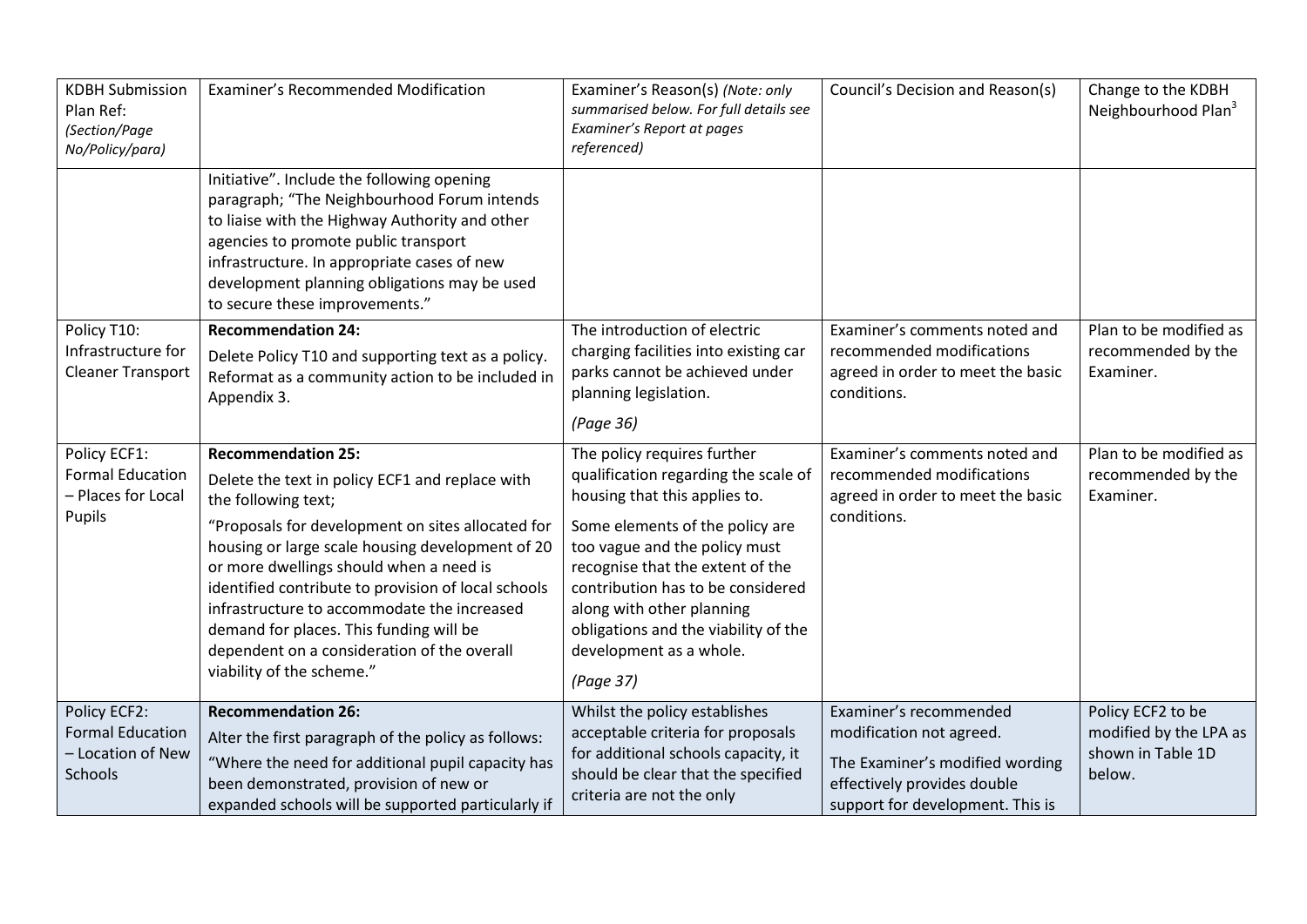| <b>KDBH Submission</b><br>Plan Ref:<br>(Section/Page<br>No/Policy/para) | Examiner's Recommended Modification                                                                                                                                                                                                                                                                                                                                                                                                                                                  | Examiner's Reason(s) (Note: only<br>summarised below. For full details see<br>Examiner's Report at pages<br>referenced)                                                                                                                                                                                                                                        | Council's Decision and Reason(s)                                                                                                                         | Change to the KDBH<br>Neighbourhood Plan <sup>3</sup>                      |
|-------------------------------------------------------------------------|--------------------------------------------------------------------------------------------------------------------------------------------------------------------------------------------------------------------------------------------------------------------------------------------------------------------------------------------------------------------------------------------------------------------------------------------------------------------------------------|----------------------------------------------------------------------------------------------------------------------------------------------------------------------------------------------------------------------------------------------------------------------------------------------------------------------------------------------------------------|----------------------------------------------------------------------------------------------------------------------------------------------------------|----------------------------------------------------------------------------|
|                                                                         | Initiative". Include the following opening<br>paragraph; "The Neighbourhood Forum intends<br>to liaise with the Highway Authority and other<br>agencies to promote public transport<br>infrastructure. In appropriate cases of new<br>development planning obligations may be used<br>to secure these improvements."                                                                                                                                                                 |                                                                                                                                                                                                                                                                                                                                                                |                                                                                                                                                          |                                                                            |
| Policy T10:<br>Infrastructure for<br><b>Cleaner Transport</b>           | <b>Recommendation 24:</b><br>Delete Policy T10 and supporting text as a policy.<br>Reformat as a community action to be included in<br>Appendix 3.                                                                                                                                                                                                                                                                                                                                   | The introduction of electric<br>charging facilities into existing car<br>parks cannot be achieved under<br>planning legislation.<br>(Page 36)                                                                                                                                                                                                                  | Examiner's comments noted and<br>recommended modifications<br>agreed in order to meet the basic<br>conditions.                                           | Plan to be modified as<br>recommended by the<br>Examiner.                  |
| Policy ECF1:<br><b>Formal Education</b><br>- Places for Local<br>Pupils | <b>Recommendation 25:</b><br>Delete the text in policy ECF1 and replace with<br>the following text;<br>"Proposals for development on sites allocated for<br>housing or large scale housing development of 20<br>or more dwellings should when a need is<br>identified contribute to provision of local schools<br>infrastructure to accommodate the increased<br>demand for places. This funding will be<br>dependent on a consideration of the overall<br>viability of the scheme." | The policy requires further<br>qualification regarding the scale of<br>housing that this applies to.<br>Some elements of the policy are<br>too vague and the policy must<br>recognise that the extent of the<br>contribution has to be considered<br>along with other planning<br>obligations and the viability of the<br>development as a whole.<br>(Page 37) | Examiner's comments noted and<br>recommended modifications<br>agreed in order to meet the basic<br>conditions.                                           | Plan to be modified as<br>recommended by the<br>Examiner.                  |
| Policy ECF2:<br><b>Formal Education</b><br>- Location of New<br>Schools | <b>Recommendation 26:</b><br>Alter the first paragraph of the policy as follows:<br>"Where the need for additional pupil capacity has<br>been demonstrated, provision of new or<br>expanded schools will be supported particularly if                                                                                                                                                                                                                                                | Whilst the policy establishes<br>acceptable criteria for proposals<br>for additional schools capacity, it<br>should be clear that the specified<br>criteria are not the only                                                                                                                                                                                   | Examiner's recommended<br>modification not agreed.<br>The Examiner's modified wording<br>effectively provides double<br>support for development. This is | Policy ECF2 to be<br>modified by the LPA as<br>shown in Table 1D<br>below. |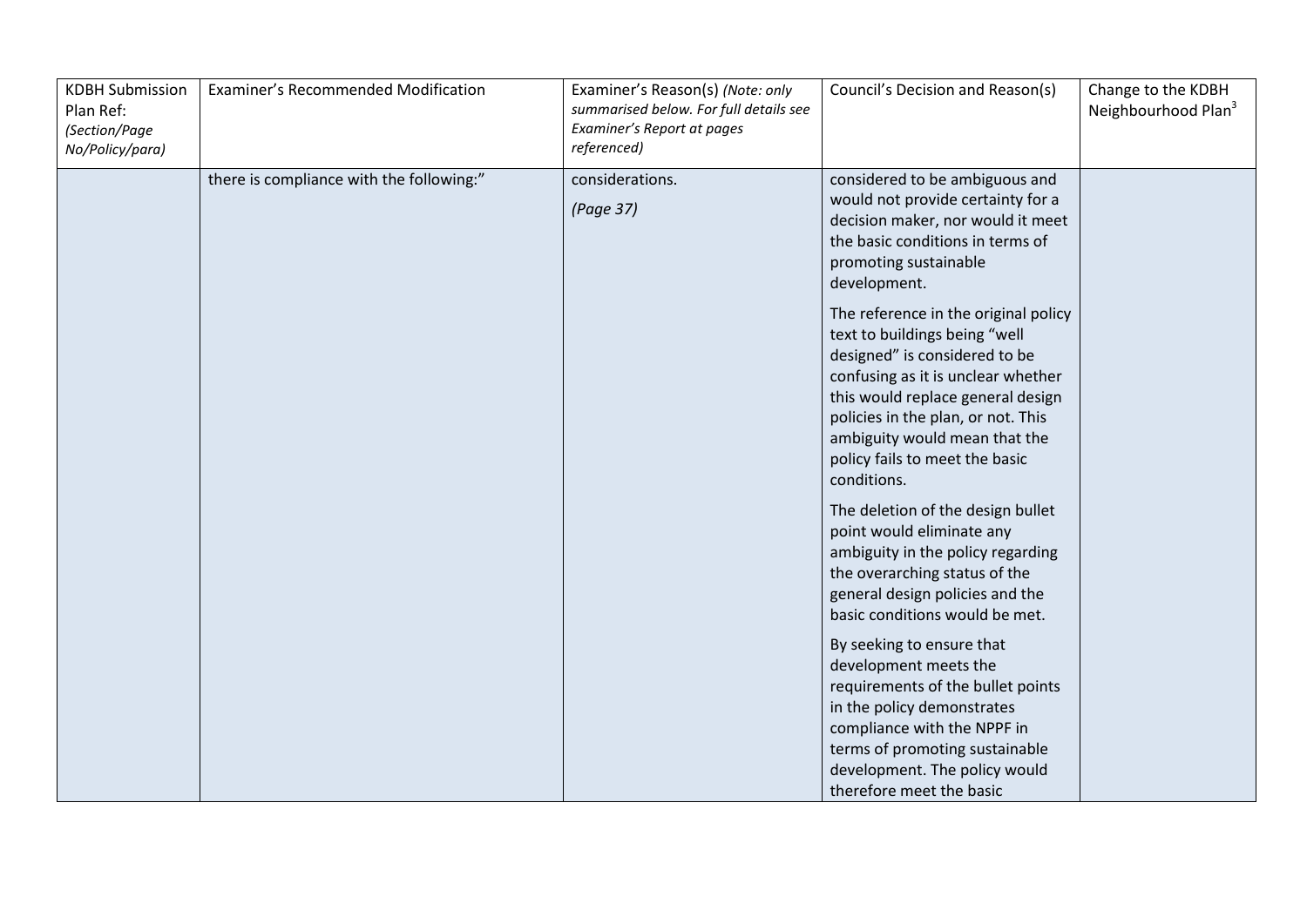| <b>KDBH Submission</b><br>Plan Ref:<br>(Section/Page<br>No/Policy/para) | Examiner's Recommended Modification      | Examiner's Reason(s) (Note: only<br>summarised below. For full details see<br>Examiner's Report at pages<br>referenced) | Council's Decision and Reason(s)                                                                                                                                                                                                                                                                          | Change to the KDBH<br>Neighbourhood Plan <sup>3</sup> |
|-------------------------------------------------------------------------|------------------------------------------|-------------------------------------------------------------------------------------------------------------------------|-----------------------------------------------------------------------------------------------------------------------------------------------------------------------------------------------------------------------------------------------------------------------------------------------------------|-------------------------------------------------------|
|                                                                         | there is compliance with the following:" | considerations.<br>(Page 37)                                                                                            | considered to be ambiguous and<br>would not provide certainty for a<br>decision maker, nor would it meet<br>the basic conditions in terms of<br>promoting sustainable<br>development.                                                                                                                     |                                                       |
|                                                                         |                                          |                                                                                                                         | The reference in the original policy<br>text to buildings being "well<br>designed" is considered to be<br>confusing as it is unclear whether<br>this would replace general design<br>policies in the plan, or not. This<br>ambiguity would mean that the<br>policy fails to meet the basic<br>conditions. |                                                       |
|                                                                         |                                          |                                                                                                                         | The deletion of the design bullet<br>point would eliminate any<br>ambiguity in the policy regarding<br>the overarching status of the<br>general design policies and the<br>basic conditions would be met.                                                                                                 |                                                       |
|                                                                         |                                          |                                                                                                                         | By seeking to ensure that<br>development meets the<br>requirements of the bullet points<br>in the policy demonstrates<br>compliance with the NPPF in<br>terms of promoting sustainable<br>development. The policy would<br>therefore meet the basic                                                       |                                                       |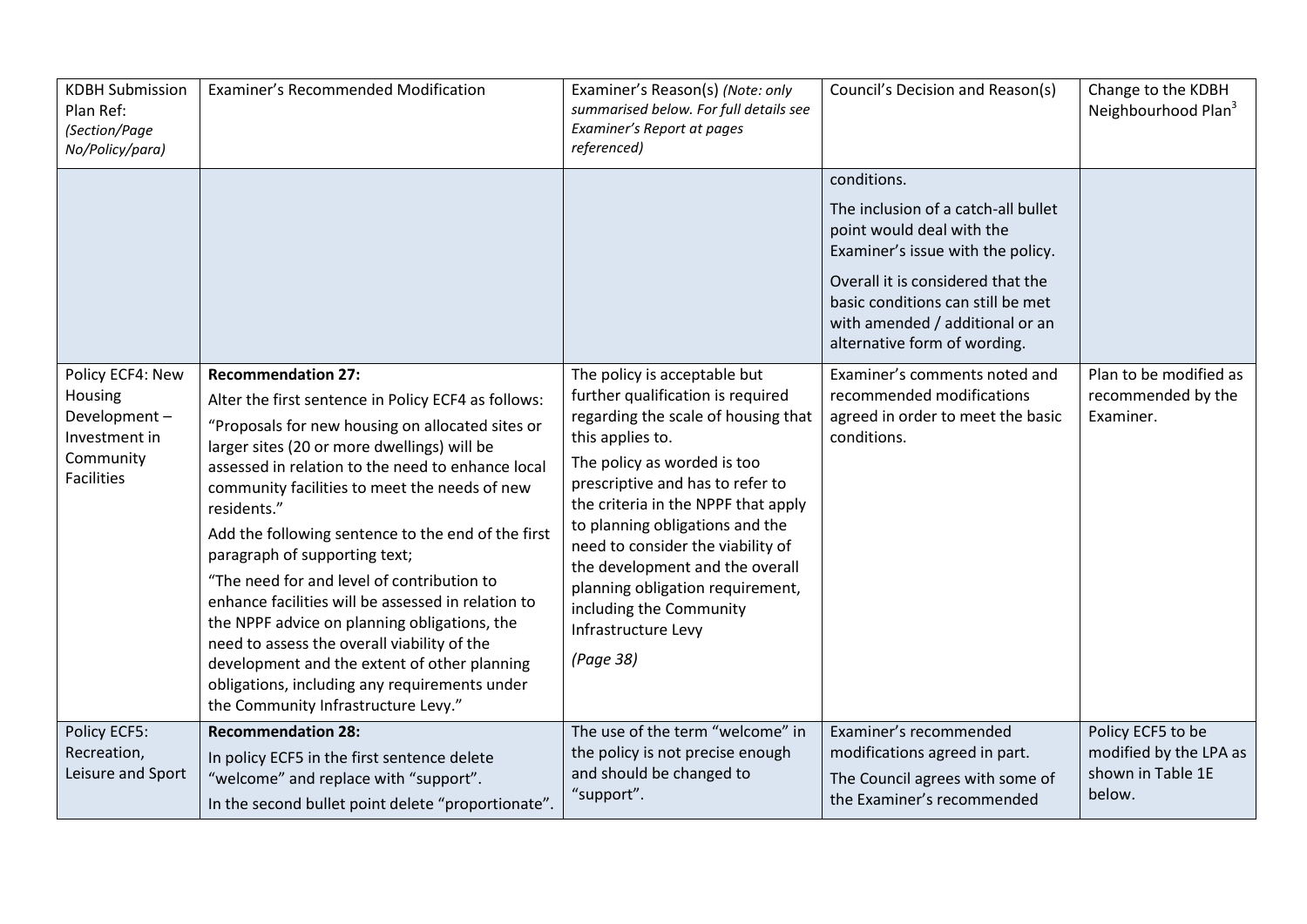| <b>KDBH Submission</b><br>Plan Ref:<br>(Section/Page<br>No/Policy/para)                        | Examiner's Recommended Modification                                                                                                                                                                                                                                                                                                                                                                                                                                                                                                                                                                                                                                                                                                        | Examiner's Reason(s) (Note: only<br>summarised below. For full details see<br>Examiner's Report at pages<br>referenced)                                                                                                                                                                                                                                                                                                                              | Council's Decision and Reason(s)                                                                                                                                                                                                                                  | Change to the KDBH<br>Neighbourhood Plan <sup>3</sup>                      |
|------------------------------------------------------------------------------------------------|--------------------------------------------------------------------------------------------------------------------------------------------------------------------------------------------------------------------------------------------------------------------------------------------------------------------------------------------------------------------------------------------------------------------------------------------------------------------------------------------------------------------------------------------------------------------------------------------------------------------------------------------------------------------------------------------------------------------------------------------|------------------------------------------------------------------------------------------------------------------------------------------------------------------------------------------------------------------------------------------------------------------------------------------------------------------------------------------------------------------------------------------------------------------------------------------------------|-------------------------------------------------------------------------------------------------------------------------------------------------------------------------------------------------------------------------------------------------------------------|----------------------------------------------------------------------------|
|                                                                                                |                                                                                                                                                                                                                                                                                                                                                                                                                                                                                                                                                                                                                                                                                                                                            |                                                                                                                                                                                                                                                                                                                                                                                                                                                      | conditions.<br>The inclusion of a catch-all bullet<br>point would deal with the<br>Examiner's issue with the policy.<br>Overall it is considered that the<br>basic conditions can still be met<br>with amended / additional or an<br>alternative form of wording. |                                                                            |
| Policy ECF4: New<br>Housing<br>Development-<br>Investment in<br>Community<br><b>Facilities</b> | <b>Recommendation 27:</b><br>Alter the first sentence in Policy ECF4 as follows:<br>"Proposals for new housing on allocated sites or<br>larger sites (20 or more dwellings) will be<br>assessed in relation to the need to enhance local<br>community facilities to meet the needs of new<br>residents."<br>Add the following sentence to the end of the first<br>paragraph of supporting text;<br>"The need for and level of contribution to<br>enhance facilities will be assessed in relation to<br>the NPPF advice on planning obligations, the<br>need to assess the overall viability of the<br>development and the extent of other planning<br>obligations, including any requirements under<br>the Community Infrastructure Levy." | The policy is acceptable but<br>further qualification is required<br>regarding the scale of housing that<br>this applies to.<br>The policy as worded is too<br>prescriptive and has to refer to<br>the criteria in the NPPF that apply<br>to planning obligations and the<br>need to consider the viability of<br>the development and the overall<br>planning obligation requirement,<br>including the Community<br>Infrastructure Levy<br>(Page 38) | Examiner's comments noted and<br>recommended modifications<br>agreed in order to meet the basic<br>conditions.                                                                                                                                                    | Plan to be modified as<br>recommended by the<br>Examiner.                  |
| Policy ECF5:<br>Recreation,<br>Leisure and Sport                                               | <b>Recommendation 28:</b><br>In policy ECF5 in the first sentence delete<br>"welcome" and replace with "support".<br>In the second bullet point delete "proportionate".                                                                                                                                                                                                                                                                                                                                                                                                                                                                                                                                                                    | The use of the term "welcome" in<br>the policy is not precise enough<br>and should be changed to<br>"support".                                                                                                                                                                                                                                                                                                                                       | Examiner's recommended<br>modifications agreed in part.<br>The Council agrees with some of<br>the Examiner's recommended                                                                                                                                          | Policy ECF5 to be<br>modified by the LPA as<br>shown in Table 1E<br>below. |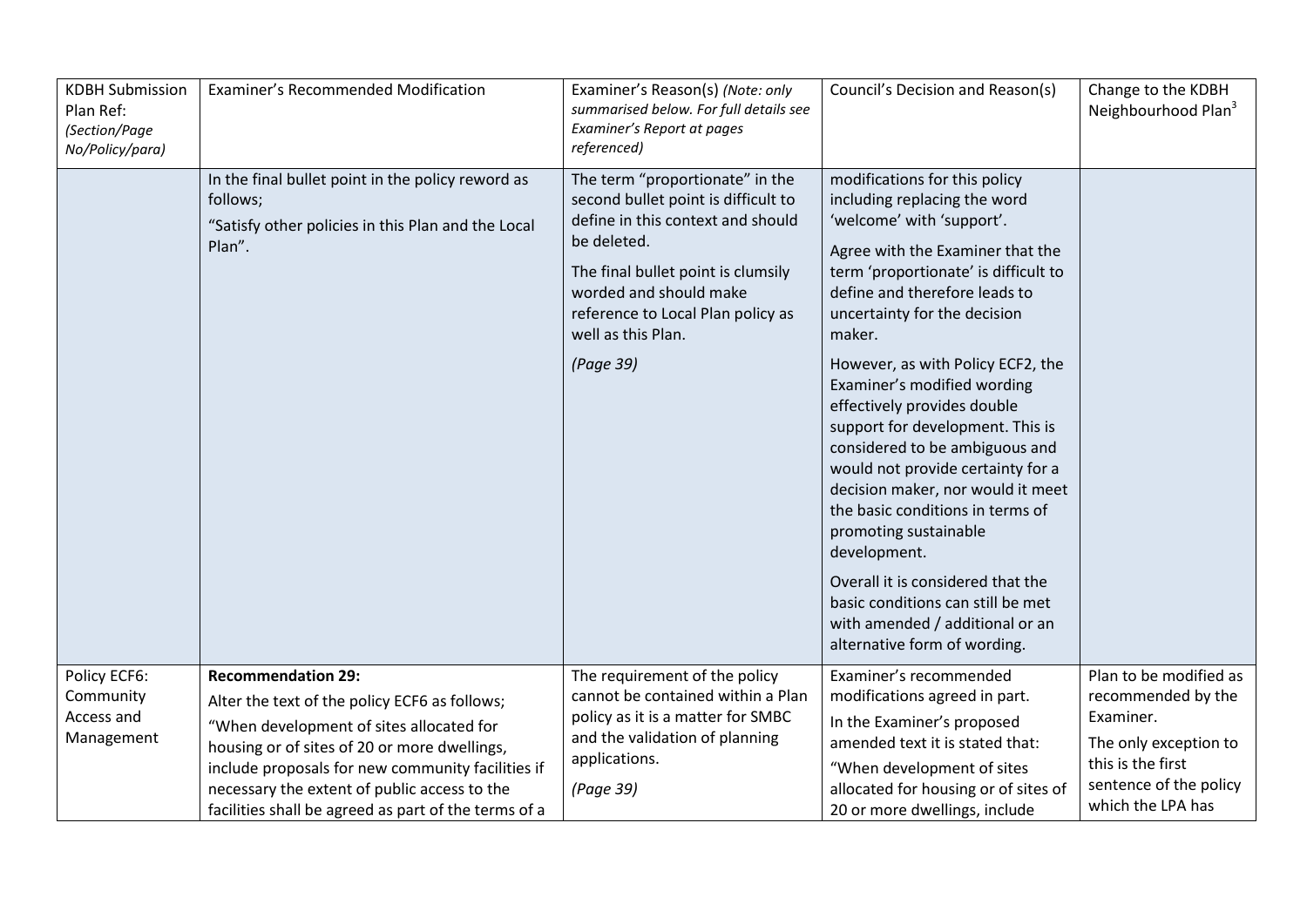| <b>KDBH Submission</b><br>Plan Ref:<br>(Section/Page<br>No/Policy/para) | Examiner's Recommended Modification                                                                                                                                                                                                                                                                                                 | Examiner's Reason(s) (Note: only<br>summarised below. For full details see<br>Examiner's Report at pages<br>referenced)                                                                                                                               | Council's Decision and Reason(s)                                                                                                                                                                                                                                                                                             | Change to the KDBH<br>Neighbourhood Plan <sup>3</sup>                                                                                                  |
|-------------------------------------------------------------------------|-------------------------------------------------------------------------------------------------------------------------------------------------------------------------------------------------------------------------------------------------------------------------------------------------------------------------------------|-------------------------------------------------------------------------------------------------------------------------------------------------------------------------------------------------------------------------------------------------------|------------------------------------------------------------------------------------------------------------------------------------------------------------------------------------------------------------------------------------------------------------------------------------------------------------------------------|--------------------------------------------------------------------------------------------------------------------------------------------------------|
|                                                                         | In the final bullet point in the policy reword as<br>follows;<br>"Satisfy other policies in this Plan and the Local<br>Plan".                                                                                                                                                                                                       | The term "proportionate" in the<br>second bullet point is difficult to<br>define in this context and should<br>be deleted.<br>The final bullet point is clumsily<br>worded and should make<br>reference to Local Plan policy as<br>well as this Plan. | modifications for this policy<br>including replacing the word<br>'welcome' with 'support'.<br>Agree with the Examiner that the<br>term 'proportionate' is difficult to<br>define and therefore leads to<br>uncertainty for the decision<br>maker.                                                                            |                                                                                                                                                        |
|                                                                         |                                                                                                                                                                                                                                                                                                                                     | (Page 39)                                                                                                                                                                                                                                             | However, as with Policy ECF2, the<br>Examiner's modified wording<br>effectively provides double<br>support for development. This is<br>considered to be ambiguous and<br>would not provide certainty for a<br>decision maker, nor would it meet<br>the basic conditions in terms of<br>promoting sustainable<br>development. |                                                                                                                                                        |
|                                                                         |                                                                                                                                                                                                                                                                                                                                     |                                                                                                                                                                                                                                                       | Overall it is considered that the<br>basic conditions can still be met<br>with amended / additional or an<br>alternative form of wording.                                                                                                                                                                                    |                                                                                                                                                        |
| Policy ECF6:<br>Community<br>Access and<br>Management                   | <b>Recommendation 29:</b><br>Alter the text of the policy ECF6 as follows;<br>"When development of sites allocated for<br>housing or of sites of 20 or more dwellings,<br>include proposals for new community facilities if<br>necessary the extent of public access to the<br>facilities shall be agreed as part of the terms of a | The requirement of the policy<br>cannot be contained within a Plan<br>policy as it is a matter for SMBC<br>and the validation of planning<br>applications.<br>(Page 39)                                                                               | Examiner's recommended<br>modifications agreed in part.<br>In the Examiner's proposed<br>amended text it is stated that:<br>"When development of sites<br>allocated for housing or of sites of<br>20 or more dwellings, include                                                                                              | Plan to be modified as<br>recommended by the<br>Examiner.<br>The only exception to<br>this is the first<br>sentence of the policy<br>which the LPA has |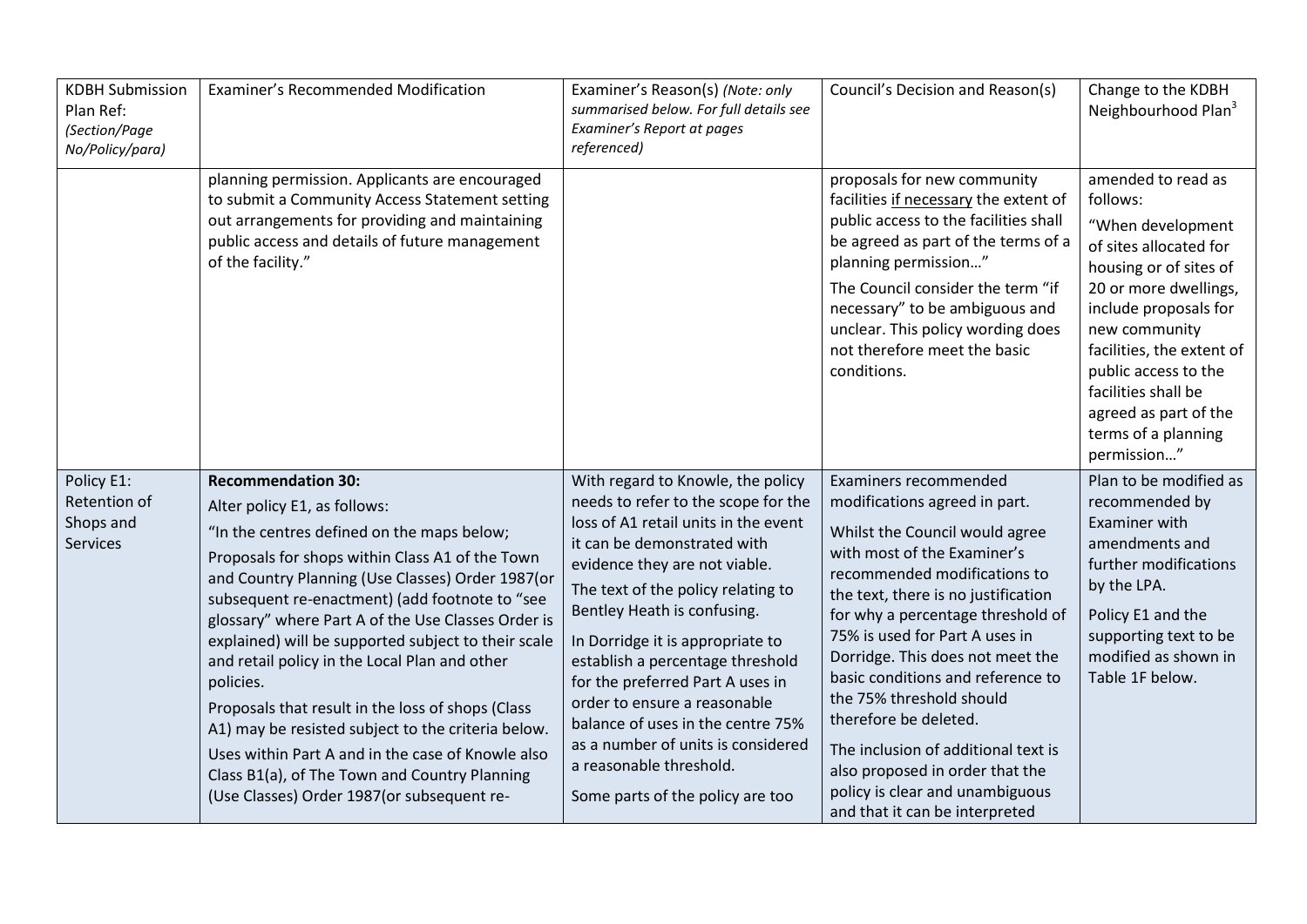| <b>KDBH Submission</b><br>Plan Ref:<br>(Section/Page<br>No/Policy/para) | Examiner's Recommended Modification                                                                                                                                                                                                                                                                                                                                                                                                                                                                                                                                                                                                                                                                         | Examiner's Reason(s) (Note: only<br>summarised below. For full details see<br>Examiner's Report at pages<br>referenced)                                                                                                                                                                                                                                                                                                                                                                                                                     | Council's Decision and Reason(s)                                                                                                                                                                                                                                                                                                                                                                                                                                                                                                                   | Change to the KDBH<br>Neighbourhood Plan <sup>3</sup>                                                                                                                                                                                                                                                                 |
|-------------------------------------------------------------------------|-------------------------------------------------------------------------------------------------------------------------------------------------------------------------------------------------------------------------------------------------------------------------------------------------------------------------------------------------------------------------------------------------------------------------------------------------------------------------------------------------------------------------------------------------------------------------------------------------------------------------------------------------------------------------------------------------------------|---------------------------------------------------------------------------------------------------------------------------------------------------------------------------------------------------------------------------------------------------------------------------------------------------------------------------------------------------------------------------------------------------------------------------------------------------------------------------------------------------------------------------------------------|----------------------------------------------------------------------------------------------------------------------------------------------------------------------------------------------------------------------------------------------------------------------------------------------------------------------------------------------------------------------------------------------------------------------------------------------------------------------------------------------------------------------------------------------------|-----------------------------------------------------------------------------------------------------------------------------------------------------------------------------------------------------------------------------------------------------------------------------------------------------------------------|
|                                                                         | planning permission. Applicants are encouraged<br>to submit a Community Access Statement setting<br>out arrangements for providing and maintaining<br>public access and details of future management<br>of the facility."                                                                                                                                                                                                                                                                                                                                                                                                                                                                                   |                                                                                                                                                                                                                                                                                                                                                                                                                                                                                                                                             | proposals for new community<br>facilities if necessary the extent of<br>public access to the facilities shall<br>be agreed as part of the terms of a<br>planning permission"<br>The Council consider the term "if<br>necessary" to be ambiguous and<br>unclear. This policy wording does<br>not therefore meet the basic<br>conditions.                                                                                                                                                                                                            | amended to read as<br>follows:<br>"When development<br>of sites allocated for<br>housing or of sites of<br>20 or more dwellings,<br>include proposals for<br>new community<br>facilities, the extent of<br>public access to the<br>facilities shall be<br>agreed as part of the<br>terms of a planning<br>permission" |
| Policy E1:<br>Retention of<br>Shops and<br><b>Services</b>              | <b>Recommendation 30:</b><br>Alter policy E1, as follows:<br>"In the centres defined on the maps below;<br>Proposals for shops within Class A1 of the Town<br>and Country Planning (Use Classes) Order 1987(or<br>subsequent re-enactment) (add footnote to "see<br>glossary" where Part A of the Use Classes Order is<br>explained) will be supported subject to their scale<br>and retail policy in the Local Plan and other<br>policies.<br>Proposals that result in the loss of shops (Class<br>A1) may be resisted subject to the criteria below.<br>Uses within Part A and in the case of Knowle also<br>Class B1(a), of The Town and Country Planning<br>(Use Classes) Order 1987 (or subsequent re- | With regard to Knowle, the policy<br>needs to refer to the scope for the<br>loss of A1 retail units in the event<br>it can be demonstrated with<br>evidence they are not viable.<br>The text of the policy relating to<br>Bentley Heath is confusing.<br>In Dorridge it is appropriate to<br>establish a percentage threshold<br>for the preferred Part A uses in<br>order to ensure a reasonable<br>balance of uses in the centre 75%<br>as a number of units is considered<br>a reasonable threshold.<br>Some parts of the policy are too | Examiners recommended<br>modifications agreed in part.<br>Whilst the Council would agree<br>with most of the Examiner's<br>recommended modifications to<br>the text, there is no justification<br>for why a percentage threshold of<br>75% is used for Part A uses in<br>Dorridge. This does not meet the<br>basic conditions and reference to<br>the 75% threshold should<br>therefore be deleted.<br>The inclusion of additional text is<br>also proposed in order that the<br>policy is clear and unambiguous<br>and that it can be interpreted | Plan to be modified as<br>recommended by<br><b>Examiner with</b><br>amendments and<br>further modifications<br>by the LPA.<br>Policy E1 and the<br>supporting text to be<br>modified as shown in<br>Table 1F below.                                                                                                   |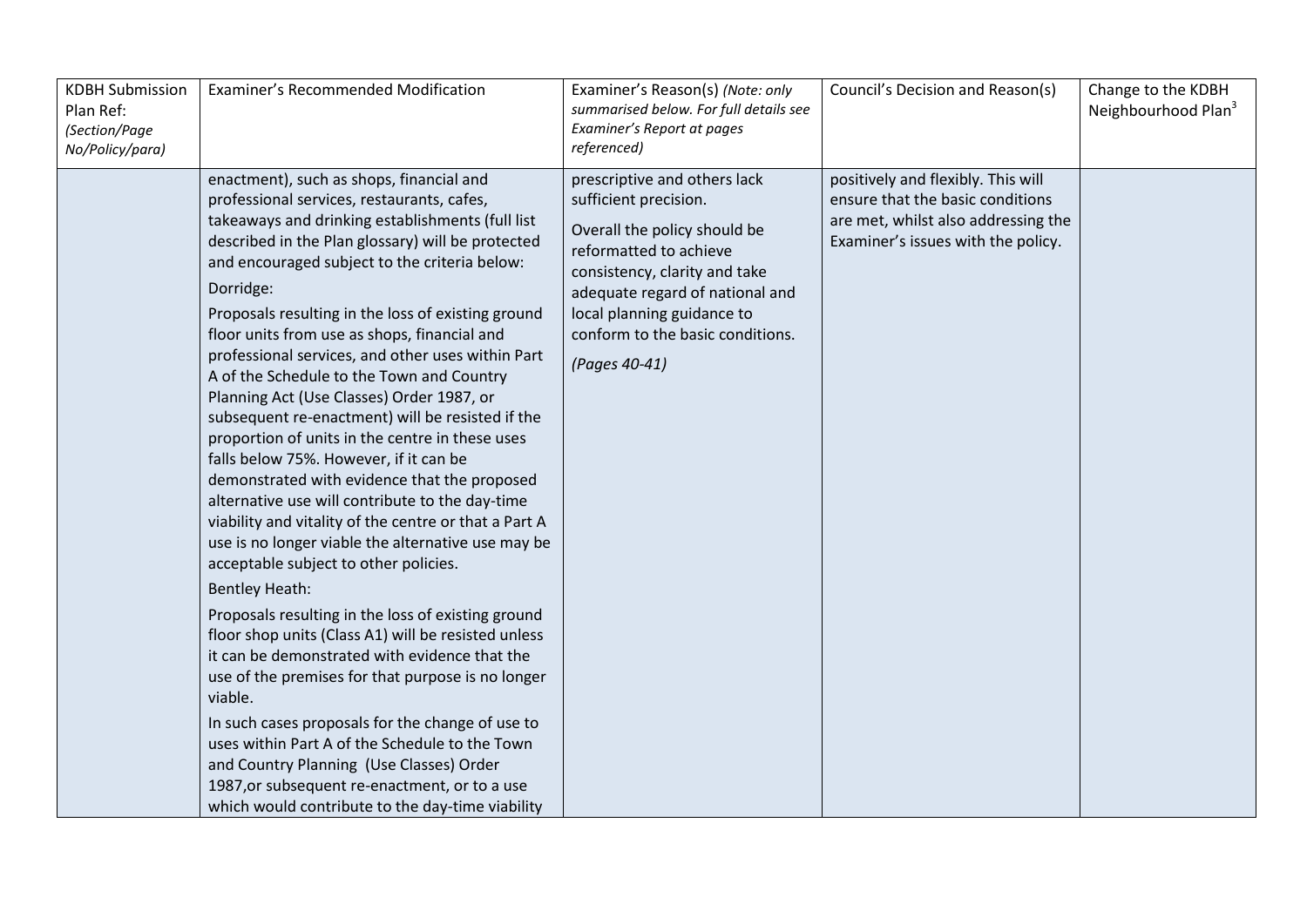| <b>KDBH Submission</b><br>Plan Ref:<br>(Section/Page<br>No/Policy/para) | Examiner's Recommended Modification                                                                                                                                                                                                                                                                                                                                                                                                                                                                                                                                                                                                                                                                                                                                                                                                                                                                                                                                                                                                                                                                                                                                                                                                                                                                                                                                                                                                          | Examiner's Reason(s) (Note: only<br>summarised below. For full details see<br>Examiner's Report at pages<br>referenced)                                                                                                                                                | Council's Decision and Reason(s)                                                                                                                    | Change to the KDBH<br>Neighbourhood Plan <sup>3</sup> |
|-------------------------------------------------------------------------|----------------------------------------------------------------------------------------------------------------------------------------------------------------------------------------------------------------------------------------------------------------------------------------------------------------------------------------------------------------------------------------------------------------------------------------------------------------------------------------------------------------------------------------------------------------------------------------------------------------------------------------------------------------------------------------------------------------------------------------------------------------------------------------------------------------------------------------------------------------------------------------------------------------------------------------------------------------------------------------------------------------------------------------------------------------------------------------------------------------------------------------------------------------------------------------------------------------------------------------------------------------------------------------------------------------------------------------------------------------------------------------------------------------------------------------------|------------------------------------------------------------------------------------------------------------------------------------------------------------------------------------------------------------------------------------------------------------------------|-----------------------------------------------------------------------------------------------------------------------------------------------------|-------------------------------------------------------|
|                                                                         | enactment), such as shops, financial and<br>professional services, restaurants, cafes,<br>takeaways and drinking establishments (full list<br>described in the Plan glossary) will be protected<br>and encouraged subject to the criteria below:<br>Dorridge:<br>Proposals resulting in the loss of existing ground<br>floor units from use as shops, financial and<br>professional services, and other uses within Part<br>A of the Schedule to the Town and Country<br>Planning Act (Use Classes) Order 1987, or<br>subsequent re-enactment) will be resisted if the<br>proportion of units in the centre in these uses<br>falls below 75%. However, if it can be<br>demonstrated with evidence that the proposed<br>alternative use will contribute to the day-time<br>viability and vitality of the centre or that a Part A<br>use is no longer viable the alternative use may be<br>acceptable subject to other policies.<br><b>Bentley Heath:</b><br>Proposals resulting in the loss of existing ground<br>floor shop units (Class A1) will be resisted unless<br>it can be demonstrated with evidence that the<br>use of the premises for that purpose is no longer<br>viable.<br>In such cases proposals for the change of use to<br>uses within Part A of the Schedule to the Town<br>and Country Planning (Use Classes) Order<br>1987, or subsequent re-enactment, or to a use<br>which would contribute to the day-time viability | prescriptive and others lack<br>sufficient precision.<br>Overall the policy should be<br>reformatted to achieve<br>consistency, clarity and take<br>adequate regard of national and<br>local planning guidance to<br>conform to the basic conditions.<br>(Pages 40-41) | positively and flexibly. This will<br>ensure that the basic conditions<br>are met, whilst also addressing the<br>Examiner's issues with the policy. |                                                       |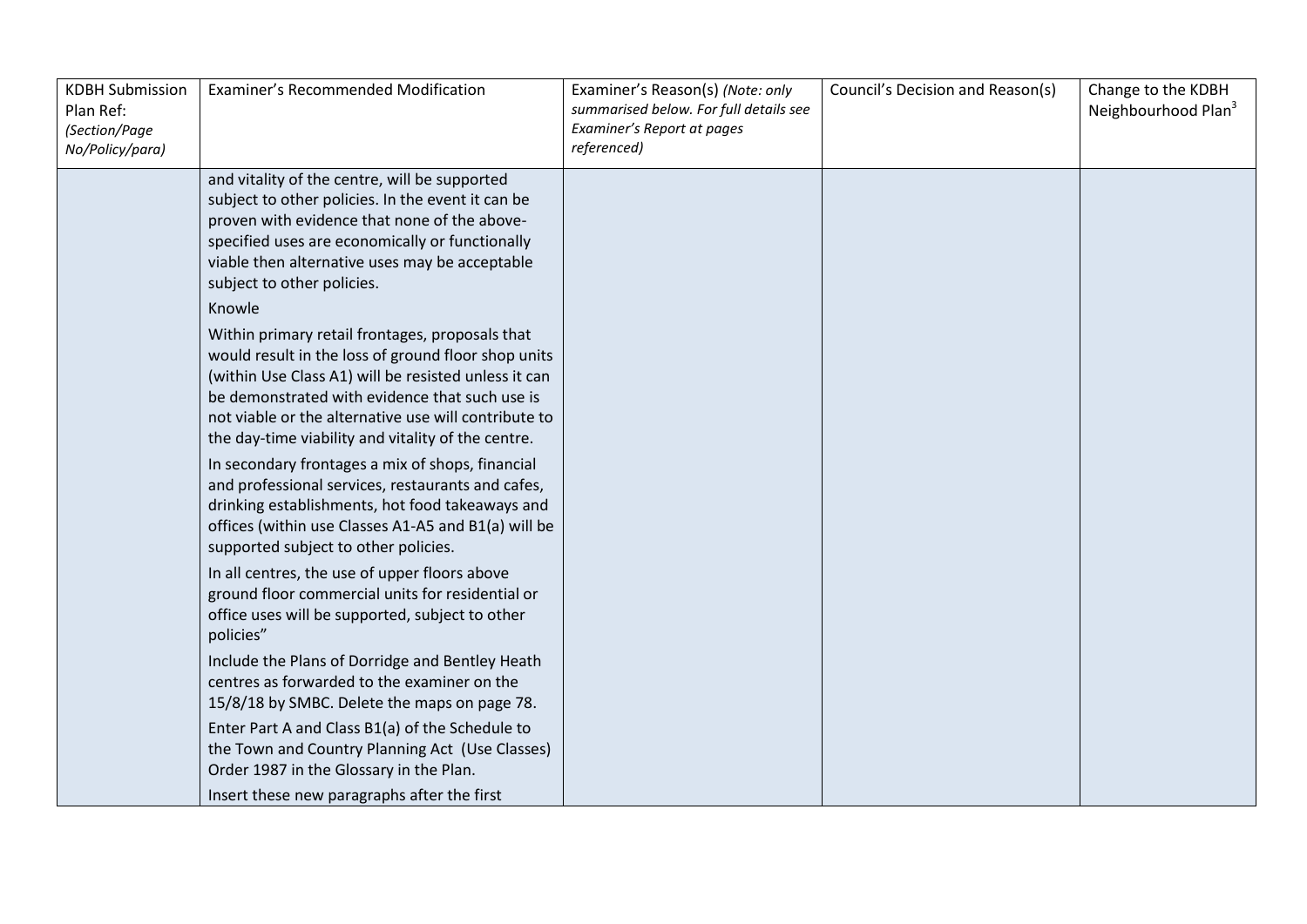| <b>KDBH Submission</b><br>Plan Ref:<br>(Section/Page<br>No/Policy/para) | Examiner's Recommended Modification                                                                                                                                                                                                                                                                                                                                                                                                                                                                                                                                                                                                                                                                                                                                                                                                                                                                                                                                                                                                                                                                                                                                                                                                                                                                                                                                                                                 | Examiner's Reason(s) (Note: only<br>summarised below. For full details see<br>Examiner's Report at pages<br>referenced) | Council's Decision and Reason(s) | Change to the KDBH<br>Neighbourhood Plan <sup>3</sup> |
|-------------------------------------------------------------------------|---------------------------------------------------------------------------------------------------------------------------------------------------------------------------------------------------------------------------------------------------------------------------------------------------------------------------------------------------------------------------------------------------------------------------------------------------------------------------------------------------------------------------------------------------------------------------------------------------------------------------------------------------------------------------------------------------------------------------------------------------------------------------------------------------------------------------------------------------------------------------------------------------------------------------------------------------------------------------------------------------------------------------------------------------------------------------------------------------------------------------------------------------------------------------------------------------------------------------------------------------------------------------------------------------------------------------------------------------------------------------------------------------------------------|-------------------------------------------------------------------------------------------------------------------------|----------------------------------|-------------------------------------------------------|
|                                                                         | and vitality of the centre, will be supported<br>subject to other policies. In the event it can be<br>proven with evidence that none of the above-<br>specified uses are economically or functionally<br>viable then alternative uses may be acceptable<br>subject to other policies.<br>Knowle<br>Within primary retail frontages, proposals that<br>would result in the loss of ground floor shop units<br>(within Use Class A1) will be resisted unless it can<br>be demonstrated with evidence that such use is<br>not viable or the alternative use will contribute to<br>the day-time viability and vitality of the centre.<br>In secondary frontages a mix of shops, financial<br>and professional services, restaurants and cafes,<br>drinking establishments, hot food takeaways and<br>offices (within use Classes A1-A5 and B1(a) will be<br>supported subject to other policies.<br>In all centres, the use of upper floors above<br>ground floor commercial units for residential or<br>office uses will be supported, subject to other<br>policies"<br>Include the Plans of Dorridge and Bentley Heath<br>centres as forwarded to the examiner on the<br>15/8/18 by SMBC. Delete the maps on page 78.<br>Enter Part A and Class B1(a) of the Schedule to<br>the Town and Country Planning Act (Use Classes)<br>Order 1987 in the Glossary in the Plan.<br>Insert these new paragraphs after the first |                                                                                                                         |                                  |                                                       |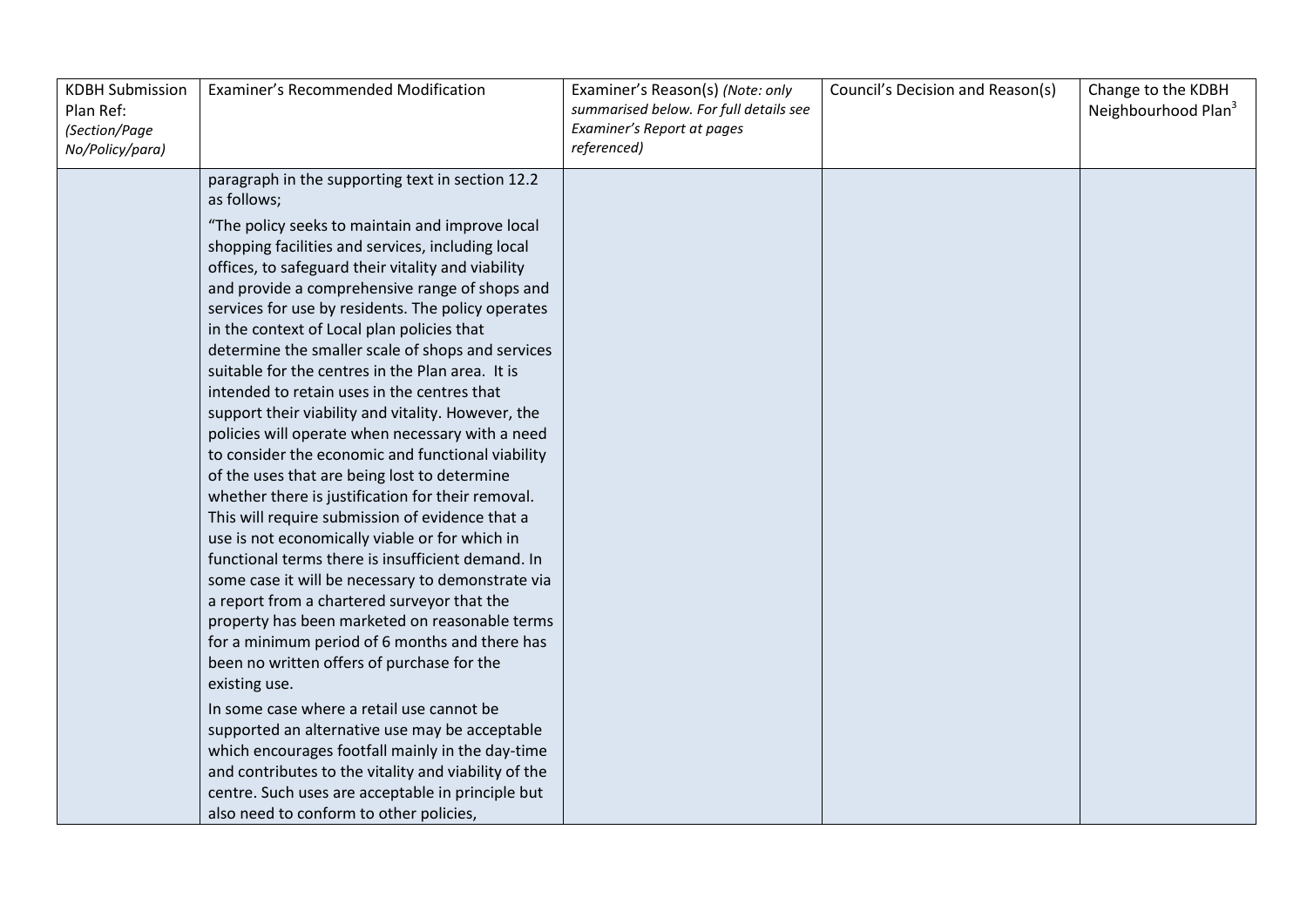| <b>KDBH Submission</b><br>Plan Ref:<br>(Section/Page<br>No/Policy/para) | Examiner's Recommended Modification                                                                                                                                                                                                                                                                                                                                                                                                                                                                                                                                                                                                                                                                                                                                                                                                                                                                                                                                                                                                                                                                                                                                                                                                                                                                                                                                                                                                                                                                                                                         | Examiner's Reason(s) (Note: only<br>summarised below. For full details see<br>Examiner's Report at pages<br>referenced) | Council's Decision and Reason(s) | Change to the KDBH<br>Neighbourhood Plan <sup>3</sup> |
|-------------------------------------------------------------------------|-------------------------------------------------------------------------------------------------------------------------------------------------------------------------------------------------------------------------------------------------------------------------------------------------------------------------------------------------------------------------------------------------------------------------------------------------------------------------------------------------------------------------------------------------------------------------------------------------------------------------------------------------------------------------------------------------------------------------------------------------------------------------------------------------------------------------------------------------------------------------------------------------------------------------------------------------------------------------------------------------------------------------------------------------------------------------------------------------------------------------------------------------------------------------------------------------------------------------------------------------------------------------------------------------------------------------------------------------------------------------------------------------------------------------------------------------------------------------------------------------------------------------------------------------------------|-------------------------------------------------------------------------------------------------------------------------|----------------------------------|-------------------------------------------------------|
|                                                                         | paragraph in the supporting text in section 12.2<br>as follows;<br>"The policy seeks to maintain and improve local<br>shopping facilities and services, including local<br>offices, to safeguard their vitality and viability<br>and provide a comprehensive range of shops and<br>services for use by residents. The policy operates<br>in the context of Local plan policies that<br>determine the smaller scale of shops and services<br>suitable for the centres in the Plan area. It is<br>intended to retain uses in the centres that<br>support their viability and vitality. However, the<br>policies will operate when necessary with a need<br>to consider the economic and functional viability<br>of the uses that are being lost to determine<br>whether there is justification for their removal.<br>This will require submission of evidence that a<br>use is not economically viable or for which in<br>functional terms there is insufficient demand. In<br>some case it will be necessary to demonstrate via<br>a report from a chartered surveyor that the<br>property has been marketed on reasonable terms<br>for a minimum period of 6 months and there has<br>been no written offers of purchase for the<br>existing use.<br>In some case where a retail use cannot be<br>supported an alternative use may be acceptable<br>which encourages footfall mainly in the day-time<br>and contributes to the vitality and viability of the<br>centre. Such uses are acceptable in principle but<br>also need to conform to other policies, |                                                                                                                         |                                  |                                                       |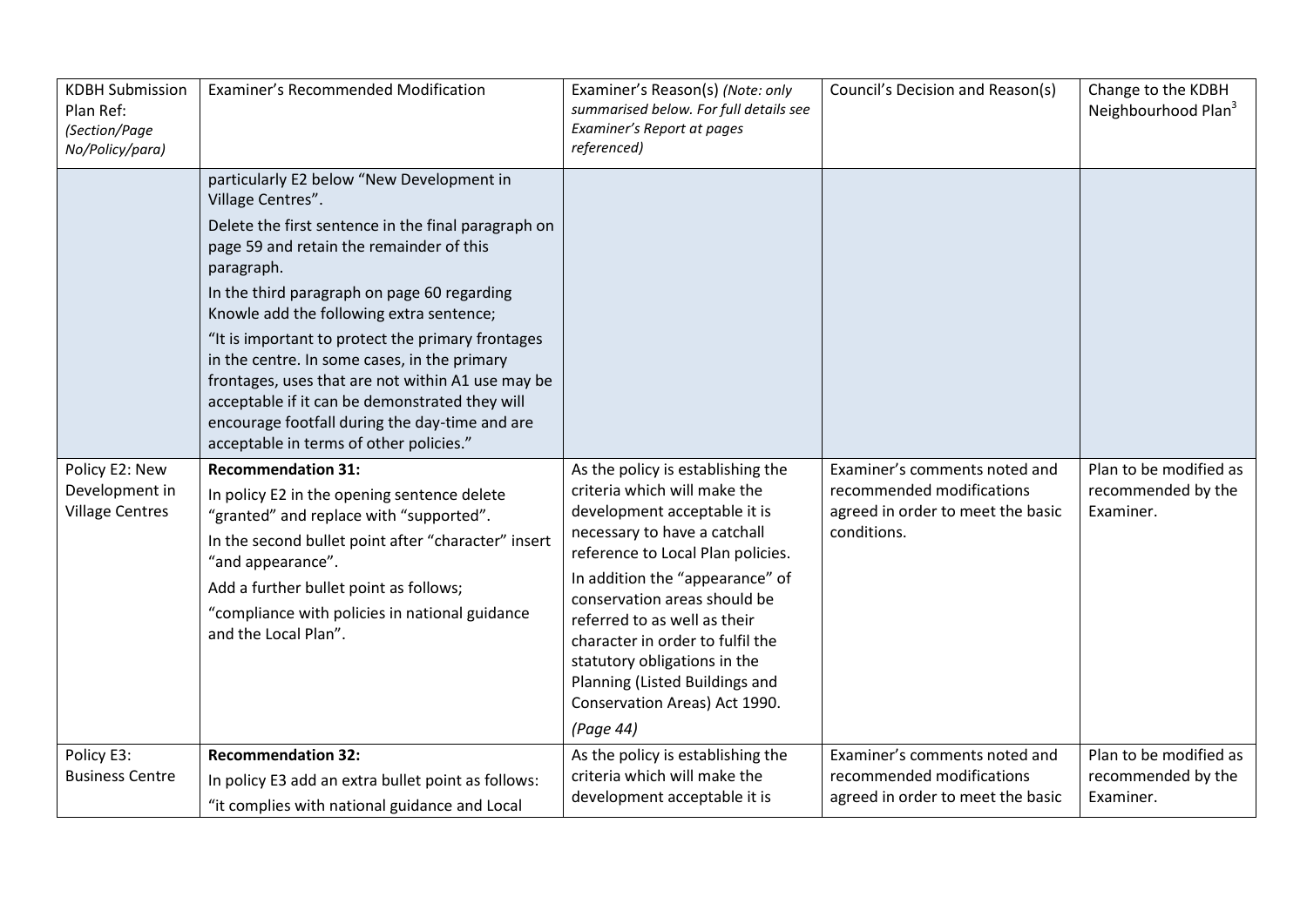| <b>KDBH Submission</b><br>Plan Ref:<br>(Section/Page<br>No/Policy/para) | Examiner's Recommended Modification                                                                                                                                                                                                                                                                                                                                                                                                                                                                                                                                                 | Examiner's Reason(s) (Note: only<br>summarised below. For full details see<br>Examiner's Report at pages<br>referenced)                                                                                                                                                                                                                                                                                                       | Council's Decision and Reason(s)                                                                               | Change to the KDBH<br>Neighbourhood Plan <sup>3</sup>     |
|-------------------------------------------------------------------------|-------------------------------------------------------------------------------------------------------------------------------------------------------------------------------------------------------------------------------------------------------------------------------------------------------------------------------------------------------------------------------------------------------------------------------------------------------------------------------------------------------------------------------------------------------------------------------------|-------------------------------------------------------------------------------------------------------------------------------------------------------------------------------------------------------------------------------------------------------------------------------------------------------------------------------------------------------------------------------------------------------------------------------|----------------------------------------------------------------------------------------------------------------|-----------------------------------------------------------|
|                                                                         | particularly E2 below "New Development in<br>Village Centres".<br>Delete the first sentence in the final paragraph on<br>page 59 and retain the remainder of this<br>paragraph.<br>In the third paragraph on page 60 regarding<br>Knowle add the following extra sentence;<br>"It is important to protect the primary frontages<br>in the centre. In some cases, in the primary<br>frontages, uses that are not within A1 use may be<br>acceptable if it can be demonstrated they will<br>encourage footfall during the day-time and are<br>acceptable in terms of other policies." |                                                                                                                                                                                                                                                                                                                                                                                                                               |                                                                                                                |                                                           |
| Policy E2: New<br>Development in<br><b>Village Centres</b>              | <b>Recommendation 31:</b><br>In policy E2 in the opening sentence delete<br>"granted" and replace with "supported".<br>In the second bullet point after "character" insert<br>"and appearance".<br>Add a further bullet point as follows;<br>"compliance with policies in national guidance<br>and the Local Plan".                                                                                                                                                                                                                                                                 | As the policy is establishing the<br>criteria which will make the<br>development acceptable it is<br>necessary to have a catchall<br>reference to Local Plan policies.<br>In addition the "appearance" of<br>conservation areas should be<br>referred to as well as their<br>character in order to fulfil the<br>statutory obligations in the<br>Planning (Listed Buildings and<br>Conservation Areas) Act 1990.<br>(Page 44) | Examiner's comments noted and<br>recommended modifications<br>agreed in order to meet the basic<br>conditions. | Plan to be modified as<br>recommended by the<br>Examiner. |
| Policy E3:<br><b>Business Centre</b>                                    | <b>Recommendation 32:</b><br>In policy E3 add an extra bullet point as follows:<br>"it complies with national guidance and Local                                                                                                                                                                                                                                                                                                                                                                                                                                                    | As the policy is establishing the<br>criteria which will make the<br>development acceptable it is                                                                                                                                                                                                                                                                                                                             | Examiner's comments noted and<br>recommended modifications<br>agreed in order to meet the basic                | Plan to be modified as<br>recommended by the<br>Examiner. |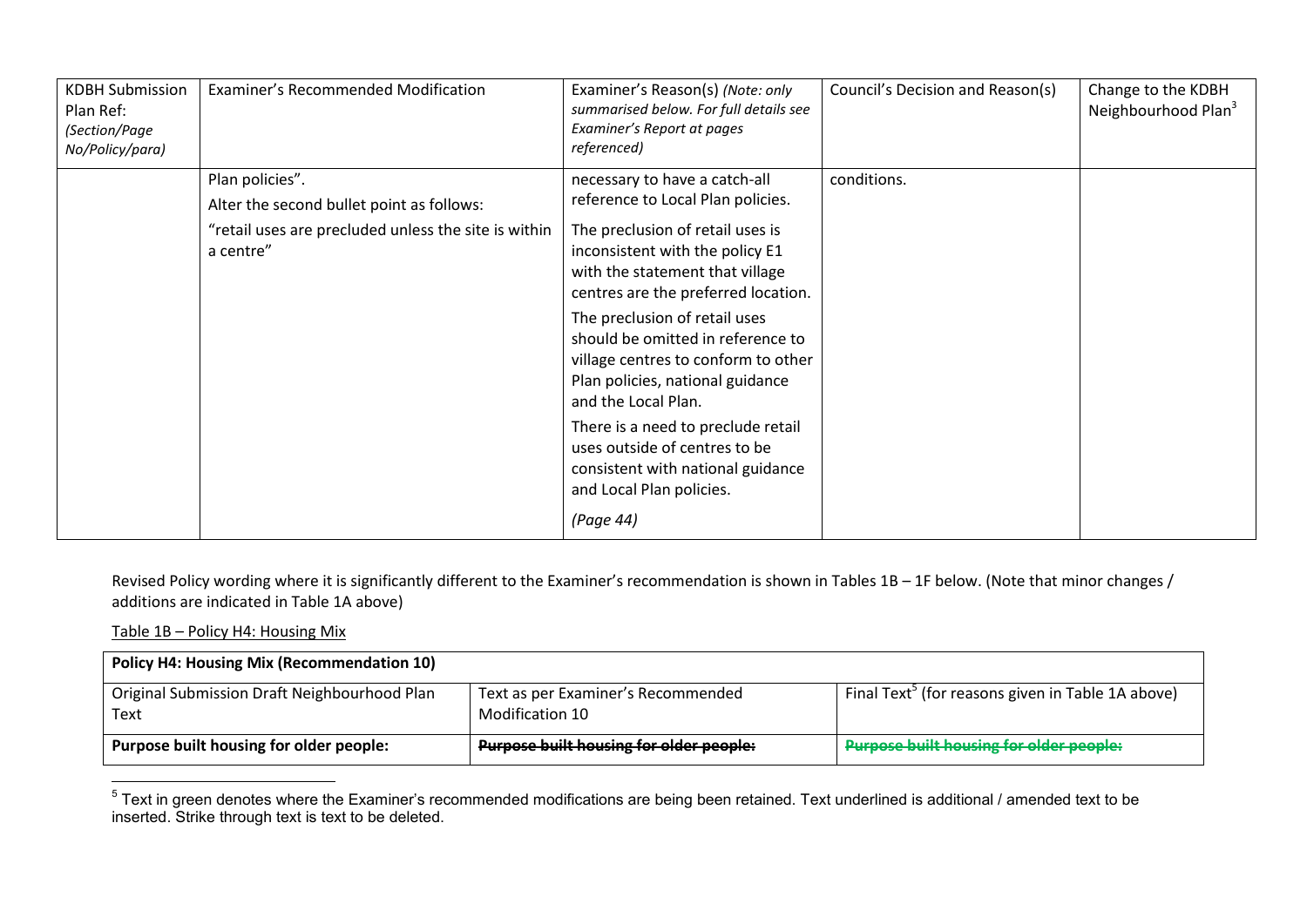| <b>KDBH Submission</b><br>Plan Ref:<br>(Section/Page<br>No/Policy/para) | Examiner's Recommended Modification                                                                                               | Examiner's Reason(s) (Note: only<br>summarised below. For full details see<br>Examiner's Report at pages<br>referenced)                                                                                                                                                                                                                                                                                                                                                                                                                          | Council's Decision and Reason(s) | Change to the KDBH<br>Neighbourhood Plan <sup>3</sup> |
|-------------------------------------------------------------------------|-----------------------------------------------------------------------------------------------------------------------------------|--------------------------------------------------------------------------------------------------------------------------------------------------------------------------------------------------------------------------------------------------------------------------------------------------------------------------------------------------------------------------------------------------------------------------------------------------------------------------------------------------------------------------------------------------|----------------------------------|-------------------------------------------------------|
|                                                                         | Plan policies".<br>Alter the second bullet point as follows:<br>"retail uses are precluded unless the site is within<br>a centre" | necessary to have a catch-all<br>reference to Local Plan policies.<br>The preclusion of retail uses is<br>inconsistent with the policy E1<br>with the statement that village<br>centres are the preferred location.<br>The preclusion of retail uses<br>should be omitted in reference to<br>village centres to conform to other<br>Plan policies, national guidance<br>and the Local Plan.<br>There is a need to preclude retail<br>uses outside of centres to be<br>consistent with national guidance<br>and Local Plan policies.<br>(Page 44) | conditions.                      |                                                       |

Revised Policy wording where it is significantly different to the Examiner's recommendation is shown in Tables 1B – 1F below. (Note that minor changes / additions are indicated in Table 1A above)

#### Table 1B – Policy H4: Housing Mix

| <b>Policy H4: Housing Mix (Recommendation 10)</b>    |                                                       |                                                               |  |  |
|------------------------------------------------------|-------------------------------------------------------|---------------------------------------------------------------|--|--|
| Original Submission Draft Neighbourhood Plan<br>Text | Text as per Examiner's Recommended<br>Modification 10 | Final Text <sup>3</sup> (for reasons given in Table 1A above) |  |  |
| Purpose built housing for older people:              | <b>Purpose built housing for older people:</b>        | <b>Purpose built housing for older people:</b>                |  |  |

 5 Text in green denotes where the Examiner's recommended modifications are being been retained. Text underlined is additional / amended text to be inserted. Strike through text is text to be deleted.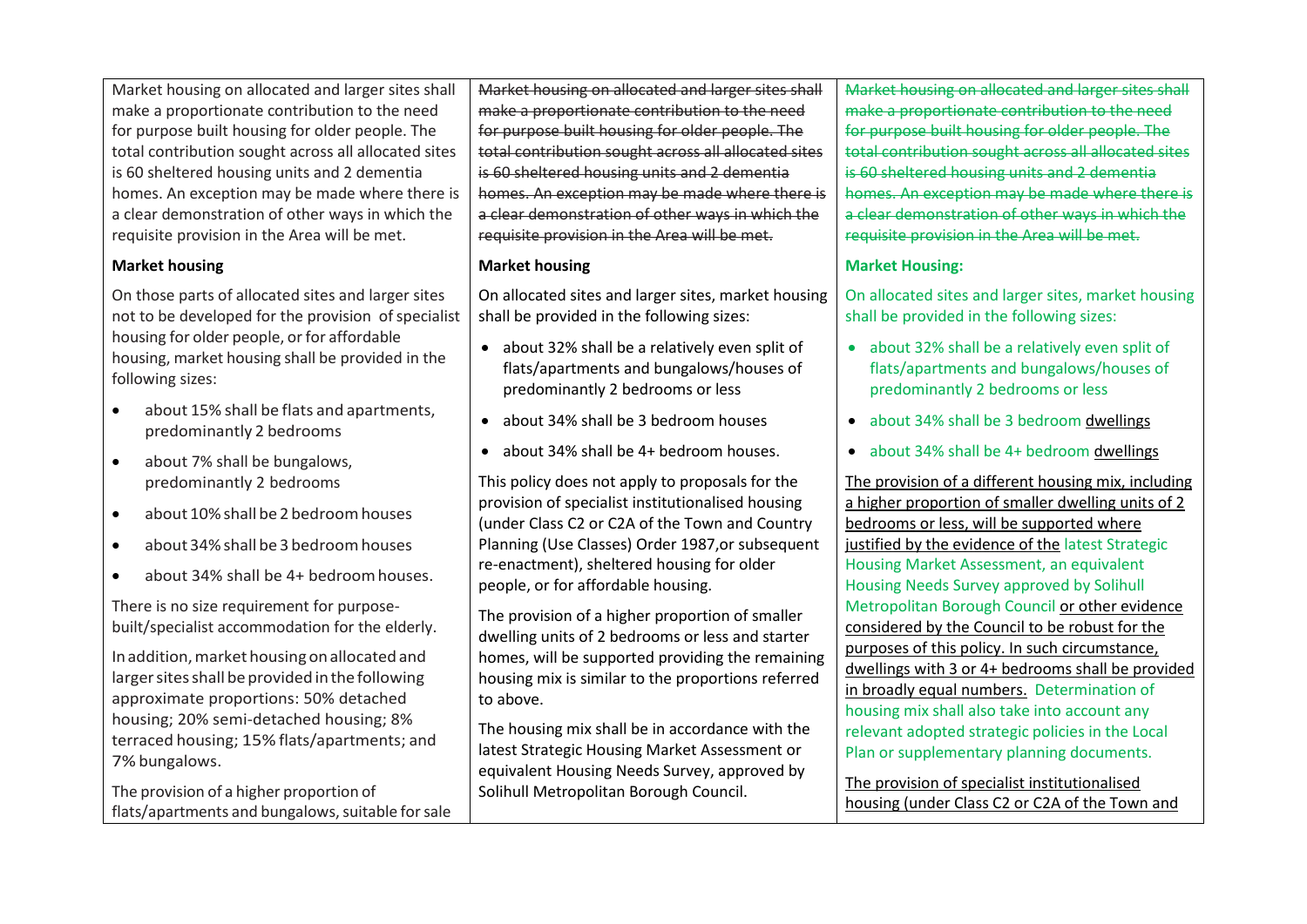Market housing on allocated and larger sites shall make a proportionate contribution to the need for purpose built housing for older people. The total contribution sought across all allocated sites is 60 sheltered housing units and 2 dementia homes. An exception may be made where there is a clear demonstration of other ways in which the requisite provision in the Area will be met.

### **Market housing**

On those parts of allocated sites and larger sites not to be developed for the provision of specialist housing for older people, or for affordable housing, market housing shall be provided in the following sizes:

- about 15% shall be flats and apartments, predominantly 2 bedrooms
- about 7% shall be bungalows, predominantly 2 bedrooms
- $\bullet$  about 10% shall be 2 bedroom houses
- about 34%shall be 3 bedroomhouses
- about 34% shall be 4+ bedroom houses.

There is no size requirement for purposebuilt/specialist accommodation for the elderly.

In addition, market housing on allocated and larger sites shall be provided in the following approximate proportions: 50% detached housing; 20% semi-detached housing; 8% terraced housing; 15% flats/apartments; and 7% bungalows.

The provision of a higher proportion of flats/apartments and bungalows, suitable for sale Market housing on allocated and larger sites shall make a proportionate contribution to the need for purpose built housing for older people. The total contribution sought across all allocated sites is 60 sheltered housing units and 2 dementia homes. An exception may be made where there is a clear demonstration of other ways in which the requisite provision in the Area will be met.

#### **Market housing**

On allocated sites and larger sites, market housing shall be provided in the following sizes:

- about 32% shall be a relatively even split of flats/apartments and bungalows/houses of predominantly 2 bedrooms or less
- about 34% shall be 3 bedroom houses
- about 34% shall be 4+ bedroom houses.

This policy does not apply to proposals for the provision of specialist institutionalised housing (under Class C2 or C2A of the Town and Country Planning (Use Classes) Order 1987,or subsequent re-enactment), sheltered housing for older people, or for affordable housing.

The provision of a higher proportion of smaller dwelling units of 2 bedrooms or less and starter homes, will be supported providing the remaining housing mix is similar to the proportions referred to above.

The housing mix shall be in accordance with the latest Strategic Housing Market Assessment or equivalent Housing Needs Survey, approved by Solihull Metropolitan Borough Council.

Market housing on allocated and larger sites shall make a proportionate contribution to the need for purpose built housing for older people. The total contribution sought across all allocated sites is 60 sheltered housing units and 2 dementia homes. An exception may be made where there is a clear demonstration of other ways in which the requisite provision in the Area will be met.

### **Market Housing:**

On allocated sites and larger sites, market housing shall be provided in the following sizes:

- about 32% shall be a relatively even split of flats/apartments and bungalows/houses of predominantly 2 bedrooms or less
- about 34% shall be 3 bedroom dwellings
- about 34% shall be 4+ bedroom dwellings

The provision of a different housing mix, including a higher proportion of smaller dwelling units of 2 bedrooms or less, will be supported where justified by the evidence of the latest Strategic Housing Market Assessment, an equivalent Housing Needs Survey approved by Solihull Metropolitan Borough Council or other evidence considered by the Council to be robust for the purposes of this policy. In such circumstance, dwellings with 3 or 4+ bedrooms shall be provided in broadly equal numbers. Determination of housing mix shall also take into account any relevant adopted strategic policies in the Local Plan or supplementary planning documents.

The provision of specialist institutionalised housing (under Class C2 or C2A of the Town and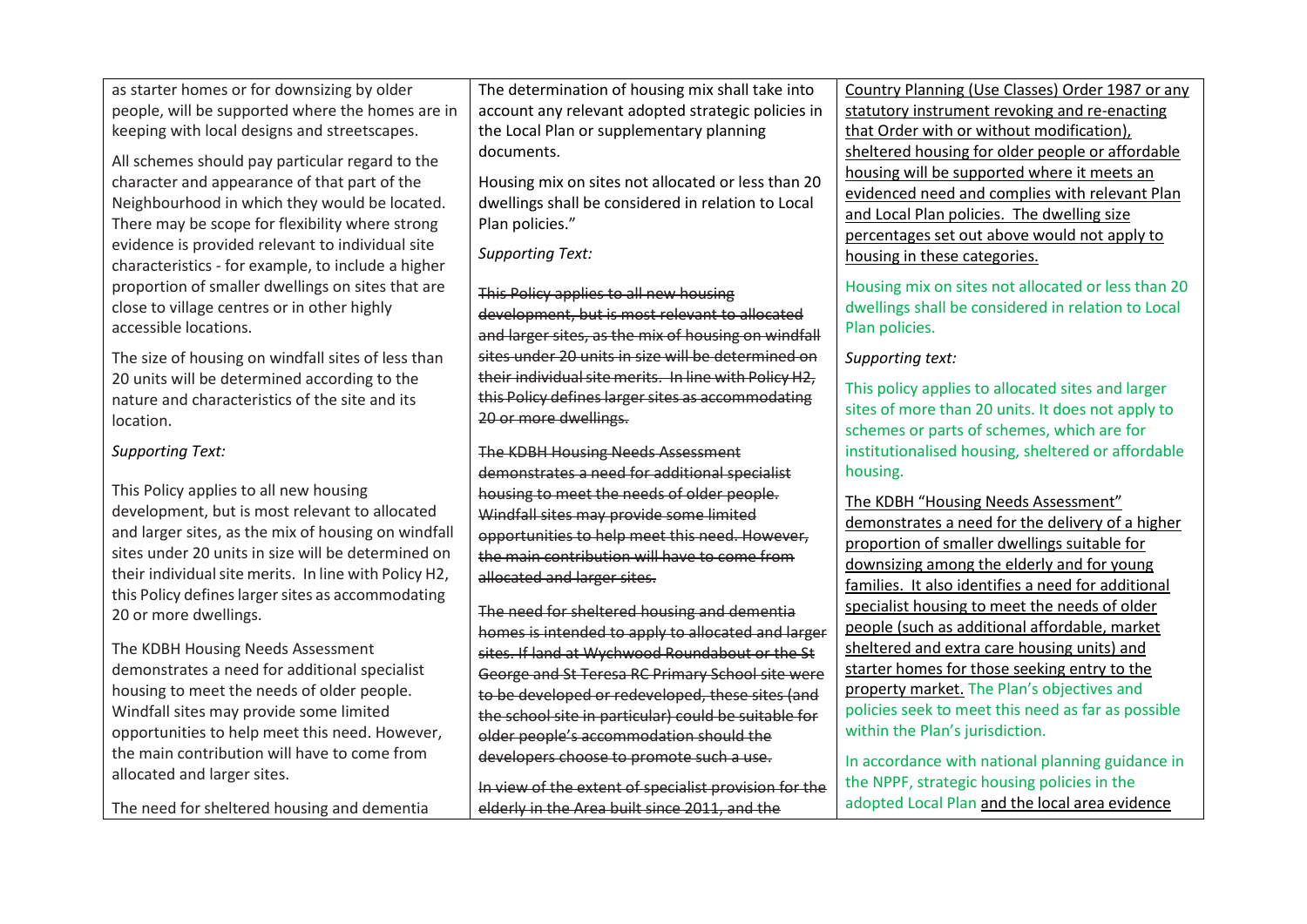| as starter homes or for downsizing by older                          | The determination of housing mix shall take into      | Country Planning (Use Classes) Order 1987 or any                     |
|----------------------------------------------------------------------|-------------------------------------------------------|----------------------------------------------------------------------|
| people, will be supported where the homes are in                     | account any relevant adopted strategic policies in    | statutory instrument revoking and re-enacting                        |
| keeping with local designs and streetscapes.                         | the Local Plan or supplementary planning              | that Order with or without modification),                            |
| All schemes should pay particular regard to the                      | documents.                                            | sheltered housing for older people or affordable                     |
| character and appearance of that part of the                         | Housing mix on sites not allocated or less than 20    | housing will be supported where it meets an                          |
| Neighbourhood in which they would be located.                        | dwellings shall be considered in relation to Local    | evidenced need and complies with relevant Plan                       |
| There may be scope for flexibility where strong                      | Plan policies."                                       | and Local Plan policies. The dwelling size                           |
| evidence is provided relevant to individual site                     |                                                       | percentages set out above would not apply to                         |
| characteristics - for example, to include a higher                   | <b>Supporting Text:</b>                               | housing in these categories.                                         |
|                                                                      |                                                       |                                                                      |
| proportion of smaller dwellings on sites that are                    | This Policy applies to all new housing                | Housing mix on sites not allocated or less than 20                   |
| close to village centres or in other highly<br>accessible locations. | development, but is most relevant to allocated        | dwellings shall be considered in relation to Local<br>Plan policies. |
|                                                                      | and larger sites, as the mix of housing on windfall   |                                                                      |
| The size of housing on windfall sites of less than                   | sites under 20 units in size will be determined on    | Supporting text:                                                     |
| 20 units will be determined according to the                         | their individual site merits. In line with Policy H2, | This policy applies to allocated sites and larger                    |
| nature and characteristics of the site and its                       | this Policy defines larger sites as accommodating     | sites of more than 20 units. It does not apply to                    |
| location.                                                            | 20 or more dwellings.                                 | schemes or parts of schemes, which are for                           |
| <b>Supporting Text:</b>                                              | The KDBH Housing Needs Assessment                     | institutionalised housing, sheltered or affordable                   |
|                                                                      | demonstrates a need for additional specialist         | housing.                                                             |
| This Policy applies to all new housing                               | housing to meet the needs of older people.            |                                                                      |
| development, but is most relevant to allocated                       | Windfall sites may provide some limited               | The KDBH "Housing Needs Assessment"                                  |
| and larger sites, as the mix of housing on windfall                  | opportunities to help meet this need. However,        | demonstrates a need for the delivery of a higher                     |
| sites under 20 units in size will be determined on                   | the main contribution will have to come from          | proportion of smaller dwellings suitable for                         |
| their individual site merits. In line with Policy H2,                | allocated and larger sites.                           | downsizing among the elderly and for young                           |
| this Policy defines larger sites as accommodating                    |                                                       | families. It also identifies a need for additional                   |
| 20 or more dwellings.                                                | The need for sheltered housing and dementia           | specialist housing to meet the needs of older                        |
|                                                                      | homes is intended to apply to allocated and larger    | people (such as additional affordable, market                        |
| The KDBH Housing Needs Assessment                                    | sites. If land at Wychwood Roundabout or the St       | sheltered and extra care housing units) and                          |
| demonstrates a need for additional specialist                        | George and St Teresa RC Primary School site were      | starter homes for those seeking entry to the                         |
| housing to meet the needs of older people.                           | to be developed or redeveloped, these sites (and      | property market. The Plan's objectives and                           |
| Windfall sites may provide some limited                              | the school site in particular) could be suitable for  | policies seek to meet this need as far as possible                   |
| opportunities to help meet this need. However,                       | older people's accommodation should the               | within the Plan's jurisdiction.                                      |
| the main contribution will have to come from                         | developers choose to promote such a use.              | In accordance with national planning guidance in                     |
| allocated and larger sites.                                          | In view of the extent of specialist provision for the | the NPPF, strategic housing policies in the                          |
|                                                                      |                                                       |                                                                      |

In view of the extent of specialist provision for the elderly in the Area built since 2011, and the

The need for sheltered housing and dementia

adopted Local Plan and the local area evidence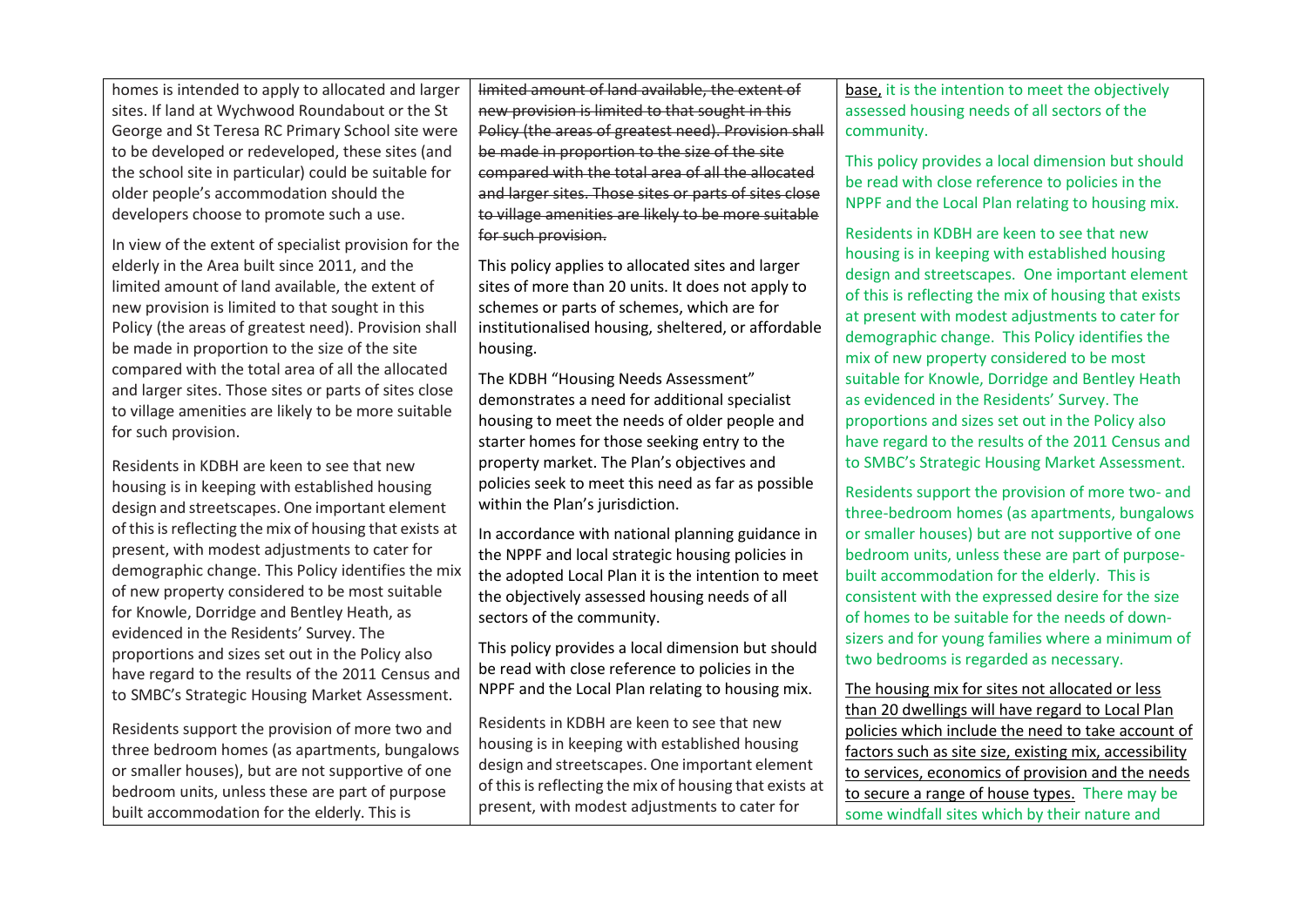homes is intended to apply to allocated and larger sites. If land at Wychwood Roundabout or the St George and St Teresa RC Primary School site were to be developed or redeveloped, these sites (and the school site in particular) could be suitable for older people's accommodation should the developers choose to promote such a use.

In view of the extent of specialist provision for the elderly in the Area built since 2011, and the limited amount of land available, the extent of new provision is limited to that sought in this Policy (the areas of greatest need). Provision shall be made in proportion to the size of the site compared with the total area of all the allocated and larger sites. Those sites or parts of sites close to village amenities are likely to be more suitable for such provision.

Residents in KDBH are keen to see that new housing is in keeping with established housing design and streetscapes. One important element of thisisreflecting the mix of housing that exists at present, with modest adjustments to cater for demographic change. This Policy identifies the mix of new property considered to be most suitable for Knowle, Dorridge and Bentley Heath, as evidenced in the Residents' Survey. The proportions and sizes set out in the Policy also have regard to the results of the 2011 Census and to SMBC's Strategic Housing Market Assessment.

Residents support the provision of more two and three bedroom homes (as apartments, bungalows or smaller houses), but are not supportive of one bedroom units, unless these are part of purpose built accommodation for the elderly. This is

limited amount of land available, the extent of new provision is limited to that sought in this Policy (the areas of greatest need). Provision shall be made in proportion to the size of the site compared with the total area of all the allocated and larger sites. Those sites or parts of sites close to village amenities are likely to be more suitable for such provision.

This policy applies to allocated sites and larger sites of more than 20 units. It does not apply to schemes or parts of schemes, which are for institutionalised housing, sheltered, or affordable housing.

The KDBH "Housing Needs Assessment" demonstrates a need for additional specialist housing to meet the needs of older people and starter homes for those seeking entry to the property market. The Plan's objectives and policies seek to meet this need as far as possible within the Plan's jurisdiction.

In accordance with national planning guidance in the NPPF and local strategic housing policies in the adopted Local Plan it is the intention to meet the objectively assessed housing needs of all sectors of the community.

This policy provides a local dimension but should be read with close reference to policies in the NPPF and the Local Plan relating to housing mix.

Residents in KDBH are keen to see that new housing is in keeping with established housing design and streetscapes. One important element of this is reflecting the mix of housing that exists at present, with modest adjustments to cater for

base, it is the intention to meet the objectively assessed housing needs of all sectors of the community.

This policy provides a local dimension but should be read with close reference to policies in the NPPF and the Local Plan relating to housing mix.

Residents in KDBH are keen to see that new housing is in keeping with established housing design and streetscapes. One important element of this is reflecting the mix of housing that exists at present with modest adjustments to cater for demographic change. This Policy identifies the mix of new property considered to be most suitable for Knowle, Dorridge and Bentley Heath as evidenced in the Residents' Survey. The proportions and sizes set out in the Policy also have regard to the results of the 2011 Census and to SMBC's Strategic Housing Market Assessment.

Residents support the provision of more two- and three-bedroom homes (as apartments, bungalows or smaller houses) but are not supportive of one bedroom units, unless these are part of purposebuilt accommodation for the elderly. This is consistent with the expressed desire for the size of homes to be suitable for the needs of downsizers and for young families where a minimum of two bedrooms is regarded as necessary.

The housing mix for sites not allocated or less than 20 dwellings will have regard to Local Plan policies which include the need to take account of factors such as site size, existing mix, accessibility to services, economics of provision and the needs to secure a range of house types. There may be some windfall sites which by their nature and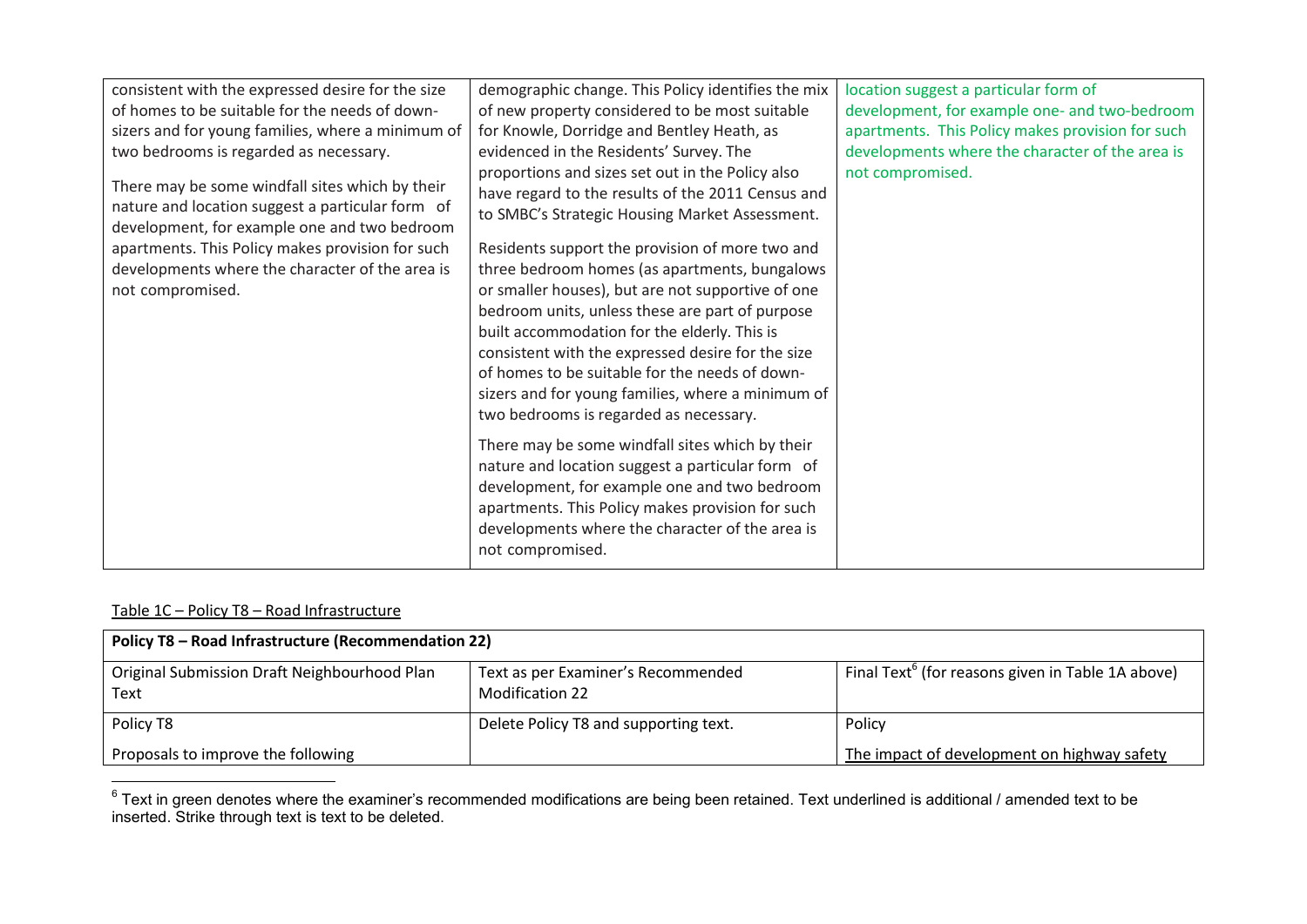| demographic change. This Policy identifies the mix                                                                                                                                                                                                                                                                                                                                                                                                                                                                                                                                                                                                                                                                                                                                                                                                                                      | location suggest a particular form of            |
|-----------------------------------------------------------------------------------------------------------------------------------------------------------------------------------------------------------------------------------------------------------------------------------------------------------------------------------------------------------------------------------------------------------------------------------------------------------------------------------------------------------------------------------------------------------------------------------------------------------------------------------------------------------------------------------------------------------------------------------------------------------------------------------------------------------------------------------------------------------------------------------------|--------------------------------------------------|
| of new property considered to be most suitable                                                                                                                                                                                                                                                                                                                                                                                                                                                                                                                                                                                                                                                                                                                                                                                                                                          | development, for example one- and two-bedroom    |
| for Knowle, Dorridge and Bentley Heath, as                                                                                                                                                                                                                                                                                                                                                                                                                                                                                                                                                                                                                                                                                                                                                                                                                                              | apartments. This Policy makes provision for such |
| evidenced in the Residents' Survey. The                                                                                                                                                                                                                                                                                                                                                                                                                                                                                                                                                                                                                                                                                                                                                                                                                                                 | developments where the character of the area is  |
| proportions and sizes set out in the Policy also<br>have regard to the results of the 2011 Census and<br>to SMBC's Strategic Housing Market Assessment.<br>Residents support the provision of more two and<br>three bedroom homes (as apartments, bungalows<br>or smaller houses), but are not supportive of one<br>bedroom units, unless these are part of purpose<br>built accommodation for the elderly. This is<br>consistent with the expressed desire for the size<br>of homes to be suitable for the needs of down-<br>sizers and for young families, where a minimum of<br>two bedrooms is regarded as necessary.<br>There may be some windfall sites which by their<br>nature and location suggest a particular form of<br>development, for example one and two bedroom<br>apartments. This Policy makes provision for such<br>developments where the character of the area is | not compromised.                                 |
|                                                                                                                                                                                                                                                                                                                                                                                                                                                                                                                                                                                                                                                                                                                                                                                                                                                                                         | not compromised.                                 |

### Table 1C – Policy T8 – Road Infrastructure

| Policy T8 - Road Infrastructure (Recommendation 22)  |                                                              |                                                               |  |
|------------------------------------------------------|--------------------------------------------------------------|---------------------------------------------------------------|--|
| Original Submission Draft Neighbourhood Plan<br>Text | Text as per Examiner's Recommended<br><b>Modification 22</b> | Final Text <sup>6</sup> (for reasons given in Table 1A above) |  |
| Policy T8                                            | Delete Policy T8 and supporting text.                        | Policy                                                        |  |
| Proposals to improve the following                   |                                                              | The impact of development on highway safety                   |  |

 6 Text in green denotes where the examiner's recommended modifications are being been retained. Text underlined is additional / amended text to be inserted. Strike through text is text to be deleted.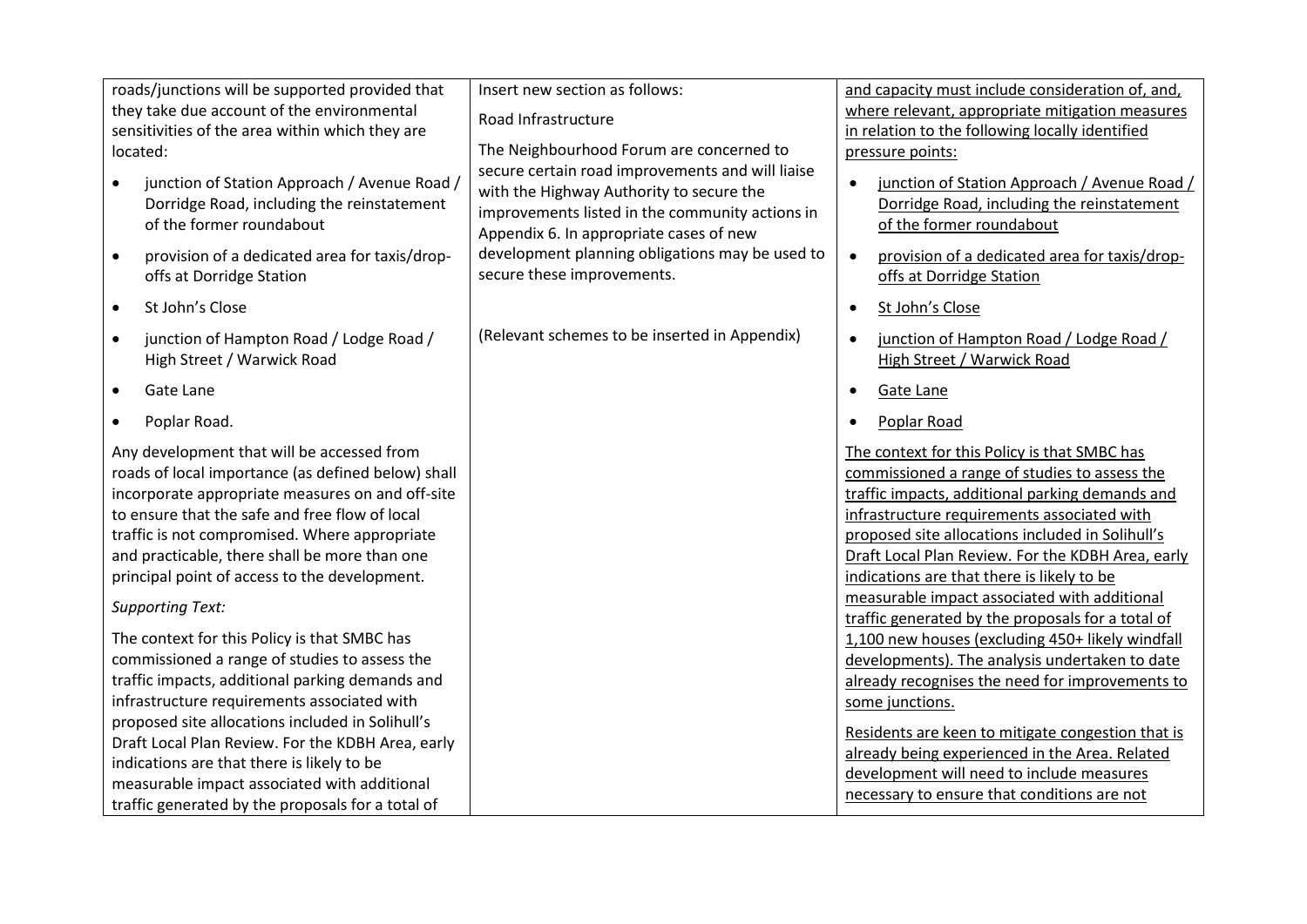| Insert new section as follows:                                                                                                         | and capacity must include consideration of, and,                                                                                                                                                                                                                                                                                                                                                                                                                                                                                                                                                                                                                                                                                                                                                                                           |
|----------------------------------------------------------------------------------------------------------------------------------------|--------------------------------------------------------------------------------------------------------------------------------------------------------------------------------------------------------------------------------------------------------------------------------------------------------------------------------------------------------------------------------------------------------------------------------------------------------------------------------------------------------------------------------------------------------------------------------------------------------------------------------------------------------------------------------------------------------------------------------------------------------------------------------------------------------------------------------------------|
|                                                                                                                                        | where relevant, appropriate mitigation measures                                                                                                                                                                                                                                                                                                                                                                                                                                                                                                                                                                                                                                                                                                                                                                                            |
|                                                                                                                                        | in relation to the following locally identified                                                                                                                                                                                                                                                                                                                                                                                                                                                                                                                                                                                                                                                                                                                                                                                            |
| The Neighbourhood Forum are concerned to                                                                                               | pressure points:                                                                                                                                                                                                                                                                                                                                                                                                                                                                                                                                                                                                                                                                                                                                                                                                                           |
| with the Highway Authority to secure the<br>improvements listed in the community actions in<br>Appendix 6. In appropriate cases of new | junction of Station Approach / Avenue Road /<br>$\bullet$<br>Dorridge Road, including the reinstatement<br>of the former roundabout                                                                                                                                                                                                                                                                                                                                                                                                                                                                                                                                                                                                                                                                                                        |
| development planning obligations may be used to<br>secure these improvements.                                                          | provision of a dedicated area for taxis/drop-<br>offs at Dorridge Station                                                                                                                                                                                                                                                                                                                                                                                                                                                                                                                                                                                                                                                                                                                                                                  |
|                                                                                                                                        | St John's Close<br>$\bullet$                                                                                                                                                                                                                                                                                                                                                                                                                                                                                                                                                                                                                                                                                                                                                                                                               |
| (Relevant schemes to be inserted in Appendix)                                                                                          | junction of Hampton Road / Lodge Road /<br>$\bullet$<br>High Street / Warwick Road                                                                                                                                                                                                                                                                                                                                                                                                                                                                                                                                                                                                                                                                                                                                                         |
|                                                                                                                                        | Gate Lane<br>$\bullet$                                                                                                                                                                                                                                                                                                                                                                                                                                                                                                                                                                                                                                                                                                                                                                                                                     |
|                                                                                                                                        | Poplar Road<br>$\bullet$                                                                                                                                                                                                                                                                                                                                                                                                                                                                                                                                                                                                                                                                                                                                                                                                                   |
|                                                                                                                                        | The context for this Policy is that SMBC has<br>commissioned a range of studies to assess the<br>traffic impacts, additional parking demands and<br>infrastructure requirements associated with<br>proposed site allocations included in Solihull's<br>Draft Local Plan Review. For the KDBH Area, early<br>indications are that there is likely to be<br>measurable impact associated with additional<br>traffic generated by the proposals for a total of<br>1,100 new houses (excluding 450+ likely windfall<br>developments). The analysis undertaken to date<br>already recognises the need for improvements to<br>some junctions.<br>Residents are keen to mitigate congestion that is<br>already being experienced in the Area. Related<br>development will need to include measures<br>necessary to ensure that conditions are not |
|                                                                                                                                        | Road Infrastructure<br>secure certain road improvements and will liaise                                                                                                                                                                                                                                                                                                                                                                                                                                                                                                                                                                                                                                                                                                                                                                    |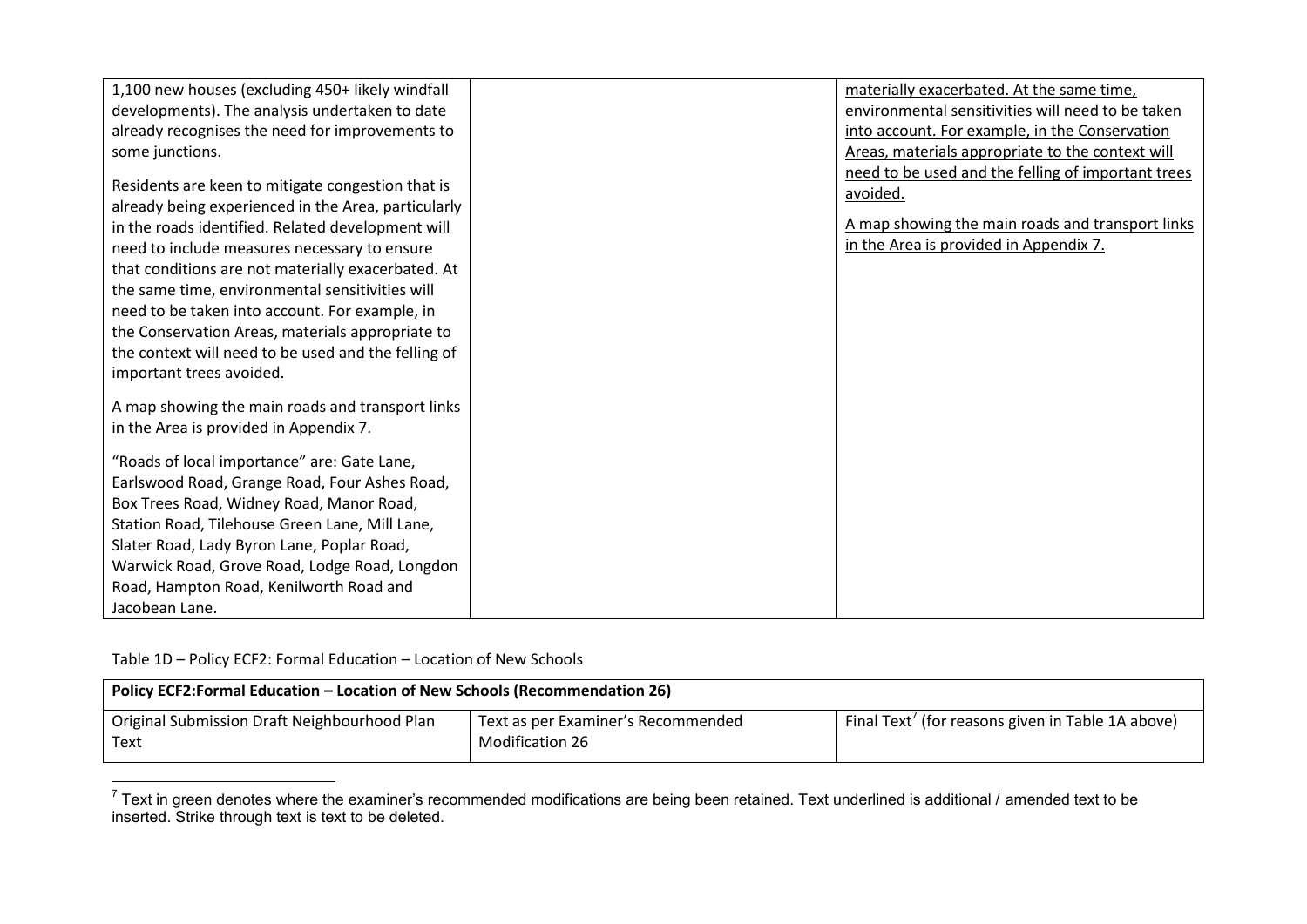| 1,100 new houses (excluding 450+ likely windfall                                                         | materially exacerbated. At the same time,          |
|----------------------------------------------------------------------------------------------------------|----------------------------------------------------|
| developments). The analysis undertaken to date                                                           | environmental sensitivities will need to be taken  |
| already recognises the need for improvements to                                                          | into account. For example, in the Conservation     |
| some junctions.                                                                                          | Areas, materials appropriate to the context will   |
|                                                                                                          | need to be used and the felling of important trees |
| Residents are keen to mitigate congestion that is<br>already being experienced in the Area, particularly | avoided.                                           |
| in the roads identified. Related development will                                                        | A map showing the main roads and transport links   |
| need to include measures necessary to ensure                                                             | in the Area is provided in Appendix 7.             |
| that conditions are not materially exacerbated. At                                                       |                                                    |
| the same time, environmental sensitivities will                                                          |                                                    |
| need to be taken into account. For example, in                                                           |                                                    |
| the Conservation Areas, materials appropriate to                                                         |                                                    |
| the context will need to be used and the felling of                                                      |                                                    |
| important trees avoided.                                                                                 |                                                    |
|                                                                                                          |                                                    |
| A map showing the main roads and transport links                                                         |                                                    |
| in the Area is provided in Appendix 7.                                                                   |                                                    |
| "Roads of local importance" are: Gate Lane,                                                              |                                                    |
| Earlswood Road, Grange Road, Four Ashes Road,                                                            |                                                    |
| Box Trees Road, Widney Road, Manor Road,                                                                 |                                                    |
| Station Road, Tilehouse Green Lane, Mill Lane,                                                           |                                                    |
| Slater Road, Lady Byron Lane, Poplar Road,                                                               |                                                    |
| Warwick Road, Grove Road, Lodge Road, Longdon                                                            |                                                    |
| Road, Hampton Road, Kenilworth Road and                                                                  |                                                    |
| Jacobean Lane.                                                                                           |                                                    |

Table 1D – Policy ECF2: Formal Education – Location of New Schools

| Policy ECF2:Formal Education - Location of New Schools (Recommendation 26) |                                                              |                                                   |
|----------------------------------------------------------------------------|--------------------------------------------------------------|---------------------------------------------------|
| Original Submission Draft Neighbourhood Plan<br>l Text                     | Text as per Examiner's Recommended<br><b>Modification 26</b> | Final Text' (for reasons given in Table 1A above) |

 $\overline{a}^7$  Text in green denotes where the examiner's recommended modifications are being been retained. Text underlined is additional / amended text to be inserted. Strike through text is text to be deleted.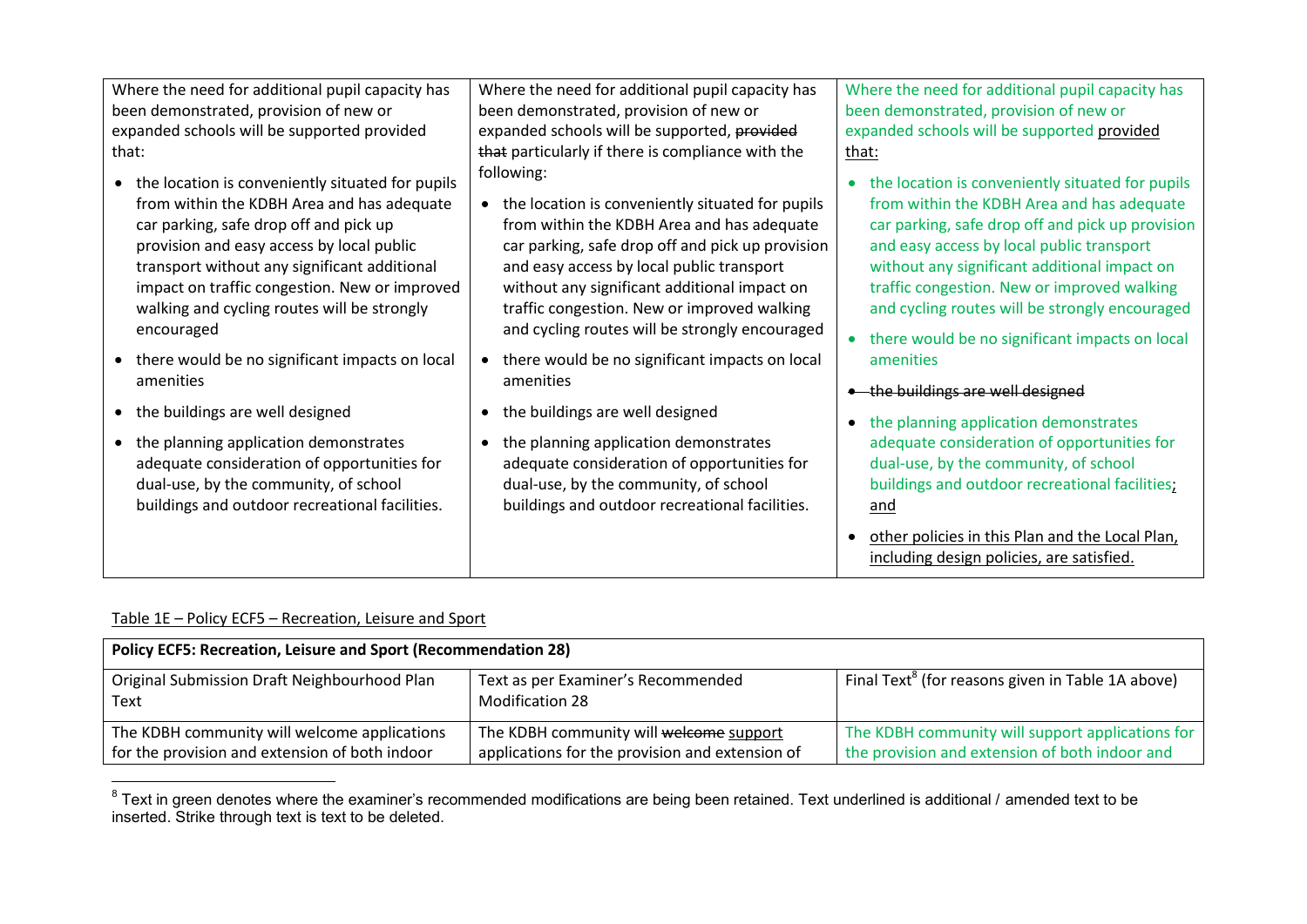| Where the need for additional pupil capacity has                                                                                                                                                                                                                                                                                                      | Where the need for additional pupil capacity has                                                                                                                                                                                                                                                                                                                 | Where the need for additional pupil capacity has                                                                                                                                                                                                                                                                                                 |
|-------------------------------------------------------------------------------------------------------------------------------------------------------------------------------------------------------------------------------------------------------------------------------------------------------------------------------------------------------|------------------------------------------------------------------------------------------------------------------------------------------------------------------------------------------------------------------------------------------------------------------------------------------------------------------------------------------------------------------|--------------------------------------------------------------------------------------------------------------------------------------------------------------------------------------------------------------------------------------------------------------------------------------------------------------------------------------------------|
| been demonstrated, provision of new or                                                                                                                                                                                                                                                                                                                | been demonstrated, provision of new or                                                                                                                                                                                                                                                                                                                           | been demonstrated, provision of new or                                                                                                                                                                                                                                                                                                           |
| expanded schools will be supported provided                                                                                                                                                                                                                                                                                                           | expanded schools will be supported, provided                                                                                                                                                                                                                                                                                                                     | expanded schools will be supported provided                                                                                                                                                                                                                                                                                                      |
| that:                                                                                                                                                                                                                                                                                                                                                 | that particularly if there is compliance with the                                                                                                                                                                                                                                                                                                                | that:                                                                                                                                                                                                                                                                                                                                            |
| • the location is conveniently situated for pupils<br>from within the KDBH Area and has adequate<br>car parking, safe drop off and pick up<br>provision and easy access by local public<br>transport without any significant additional<br>impact on traffic congestion. New or improved<br>walking and cycling routes will be strongly<br>encouraged | following:<br>• the location is conveniently situated for pupils<br>from within the KDBH Area and has adequate<br>car parking, safe drop off and pick up provision<br>and easy access by local public transport<br>without any significant additional impact on<br>traffic congestion. New or improved walking<br>and cycling routes will be strongly encouraged | the location is conveniently situated for pupils<br>from within the KDBH Area and has adequate<br>car parking, safe drop off and pick up provision<br>and easy access by local public transport<br>without any significant additional impact on<br>traffic congestion. New or improved walking<br>and cycling routes will be strongly encouraged |
| • there would be no significant impacts on local                                                                                                                                                                                                                                                                                                      | • there would be no significant impacts on local                                                                                                                                                                                                                                                                                                                 | • there would be no significant impacts on local<br>amenities                                                                                                                                                                                                                                                                                    |
| amenities                                                                                                                                                                                                                                                                                                                                             | amenities                                                                                                                                                                                                                                                                                                                                                        | • the buildings are well designed                                                                                                                                                                                                                                                                                                                |
| • the buildings are well designed<br>• the planning application demonstrates<br>adequate consideration of opportunities for<br>dual-use, by the community, of school                                                                                                                                                                                  | the buildings are well designed<br>the planning application demonstrates<br>adequate consideration of opportunities for<br>dual-use, by the community, of school                                                                                                                                                                                                 | the planning application demonstrates<br>adequate consideration of opportunities for<br>dual-use, by the community, of school<br>buildings and outdoor recreational facilities;                                                                                                                                                                  |
| buildings and outdoor recreational facilities.                                                                                                                                                                                                                                                                                                        | buildings and outdoor recreational facilities.                                                                                                                                                                                                                                                                                                                   | and                                                                                                                                                                                                                                                                                                                                              |
|                                                                                                                                                                                                                                                                                                                                                       |                                                                                                                                                                                                                                                                                                                                                                  | other policies in this Plan and the Local Plan,<br>including design policies, are satisfied.                                                                                                                                                                                                                                                     |

Table 1E – Policy ECF5 – Recreation, Leisure and Sport

| <b>Policy ECF5: Recreation, Leisure and Sport (Recommendation 28)</b> |                                                       |                                                               |
|-----------------------------------------------------------------------|-------------------------------------------------------|---------------------------------------------------------------|
| Original Submission Draft Neighbourhood Plan<br>Text                  | Text as per Examiner's Recommended<br>Modification 28 | Final Text <sup>8</sup> (for reasons given in Table 1A above) |
| The KDBH community will welcome applications                          | The KDBH community will welcome support               | The KDBH community will support applications for              |
| for the provision and extension of both indoor                        | applications for the provision and extension of       | the provision and extension of both indoor and                |

 8 Text in green denotes where the examiner's recommended modifications are being been retained. Text underlined is additional / amended text to be inserted. Strike through text is text to be deleted.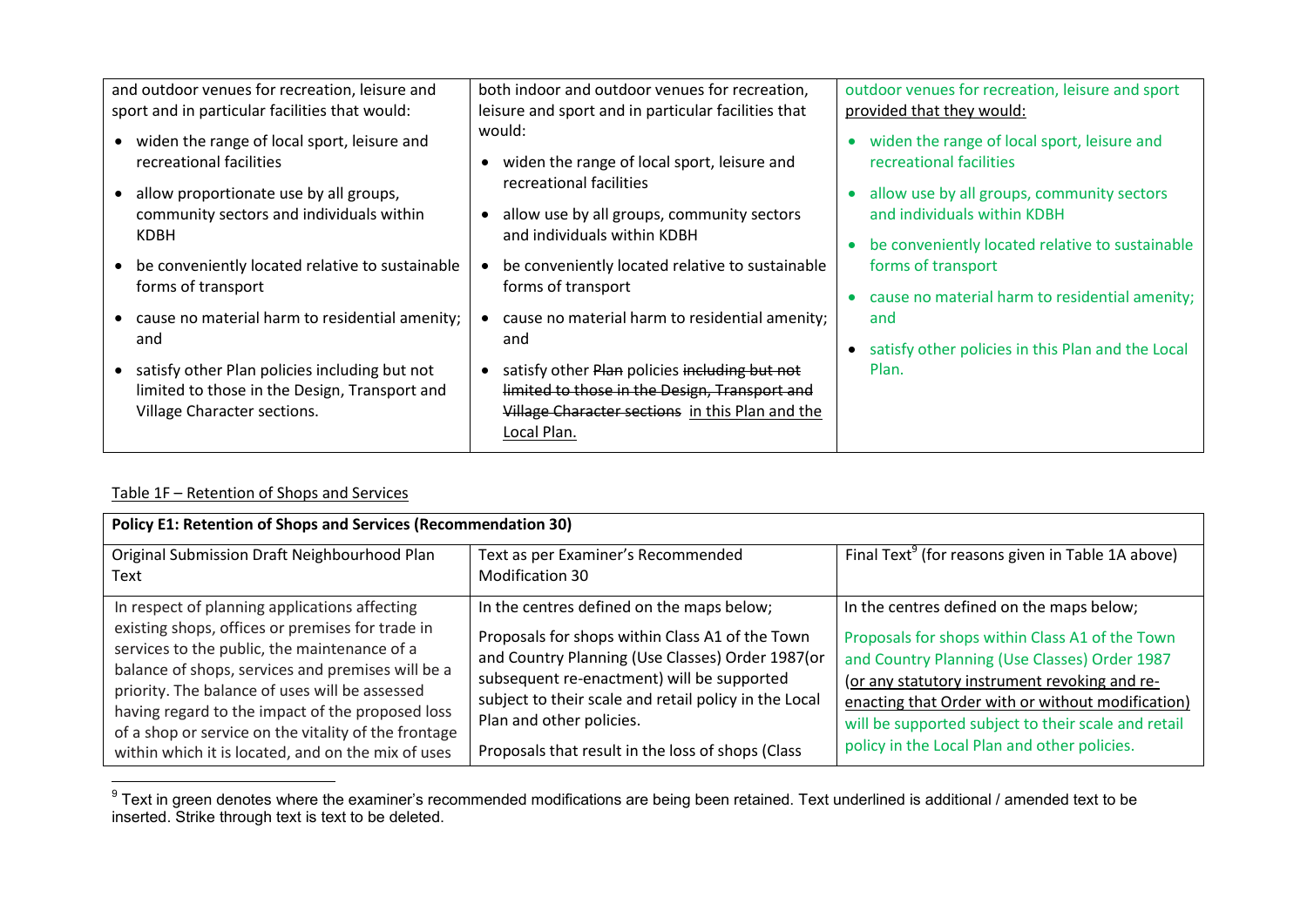| and outdoor venues for recreation, leisure and                                                                                  | both indoor and outdoor venues for recreation,                                                                                                                   | outdoor venues for recreation, leisure and sport                                                                             |
|---------------------------------------------------------------------------------------------------------------------------------|------------------------------------------------------------------------------------------------------------------------------------------------------------------|------------------------------------------------------------------------------------------------------------------------------|
| sport and in particular facilities that would:                                                                                  | leisure and sport and in particular facilities that                                                                                                              | provided that they would:                                                                                                    |
| widen the range of local sport, leisure and<br>recreational facilities                                                          | would:<br>widen the range of local sport, leisure and<br>recreational facilities                                                                                 | widen the range of local sport, leisure and<br>recreational facilities                                                       |
| allow proportionate use by all groups,<br>community sectors and individuals within<br>KDBH                                      | allow use by all groups, community sectors<br>and individuals within KDBH                                                                                        | allow use by all groups, community sectors<br>and individuals within KDBH<br>be conveniently located relative to sustainable |
| be conveniently located relative to sustainable<br>forms of transport                                                           | be conveniently located relative to sustainable<br>forms of transport                                                                                            | forms of transport<br>cause no material harm to residential amenity;                                                         |
| cause no material harm to residential amenity;<br>and                                                                           | cause no material harm to residential amenity;<br>and                                                                                                            | and<br>satisfy other policies in this Plan and the Local                                                                     |
| • satisfy other Plan policies including but not<br>limited to those in the Design, Transport and<br>Village Character sections. | satisfy other Plan policies including but not<br>limited to those in the Design, Transport and<br>Village Character sections in this Plan and the<br>Local Plan. | Plan.                                                                                                                        |

# Table 1F – Retention of Shops and Services

| <b>Policy E1: Retention of Shops and Services (Recommendation 30)</b>                                                                                                                                                                                                                                                                                                                                                      |                                                                                                                                                                                                                                                                                                                                          |                                                                                                                                                                                                                                                                                                                                                            |
|----------------------------------------------------------------------------------------------------------------------------------------------------------------------------------------------------------------------------------------------------------------------------------------------------------------------------------------------------------------------------------------------------------------------------|------------------------------------------------------------------------------------------------------------------------------------------------------------------------------------------------------------------------------------------------------------------------------------------------------------------------------------------|------------------------------------------------------------------------------------------------------------------------------------------------------------------------------------------------------------------------------------------------------------------------------------------------------------------------------------------------------------|
| Original Submission Draft Neighbourhood Plan<br>Text                                                                                                                                                                                                                                                                                                                                                                       | Text as per Examiner's Recommended<br>Modification 30                                                                                                                                                                                                                                                                                    | Final Text <sup>9</sup> (for reasons given in Table 1A above)                                                                                                                                                                                                                                                                                              |
| In respect of planning applications affecting<br>existing shops, offices or premises for trade in<br>services to the public, the maintenance of a<br>balance of shops, services and premises will be a<br>priority. The balance of uses will be assessed<br>having regard to the impact of the proposed loss<br>of a shop or service on the vitality of the frontage<br>within which it is located, and on the mix of uses | In the centres defined on the maps below;<br>Proposals for shops within Class A1 of the Town<br>and Country Planning (Use Classes) Order 1987(or<br>subsequent re-enactment) will be supported<br>subject to their scale and retail policy in the Local<br>Plan and other policies.<br>Proposals that result in the loss of shops (Class | In the centres defined on the maps below;<br>Proposals for shops within Class A1 of the Town<br>and Country Planning (Use Classes) Order 1987<br>(or any statutory instrument revoking and re-<br>enacting that Order with or without modification)<br>will be supported subject to their scale and retail<br>policy in the Local Plan and other policies. |

 9 Text in green denotes where the examiner's recommended modifications are being been retained. Text underlined is additional / amended text to be inserted. Strike through text is text to be deleted.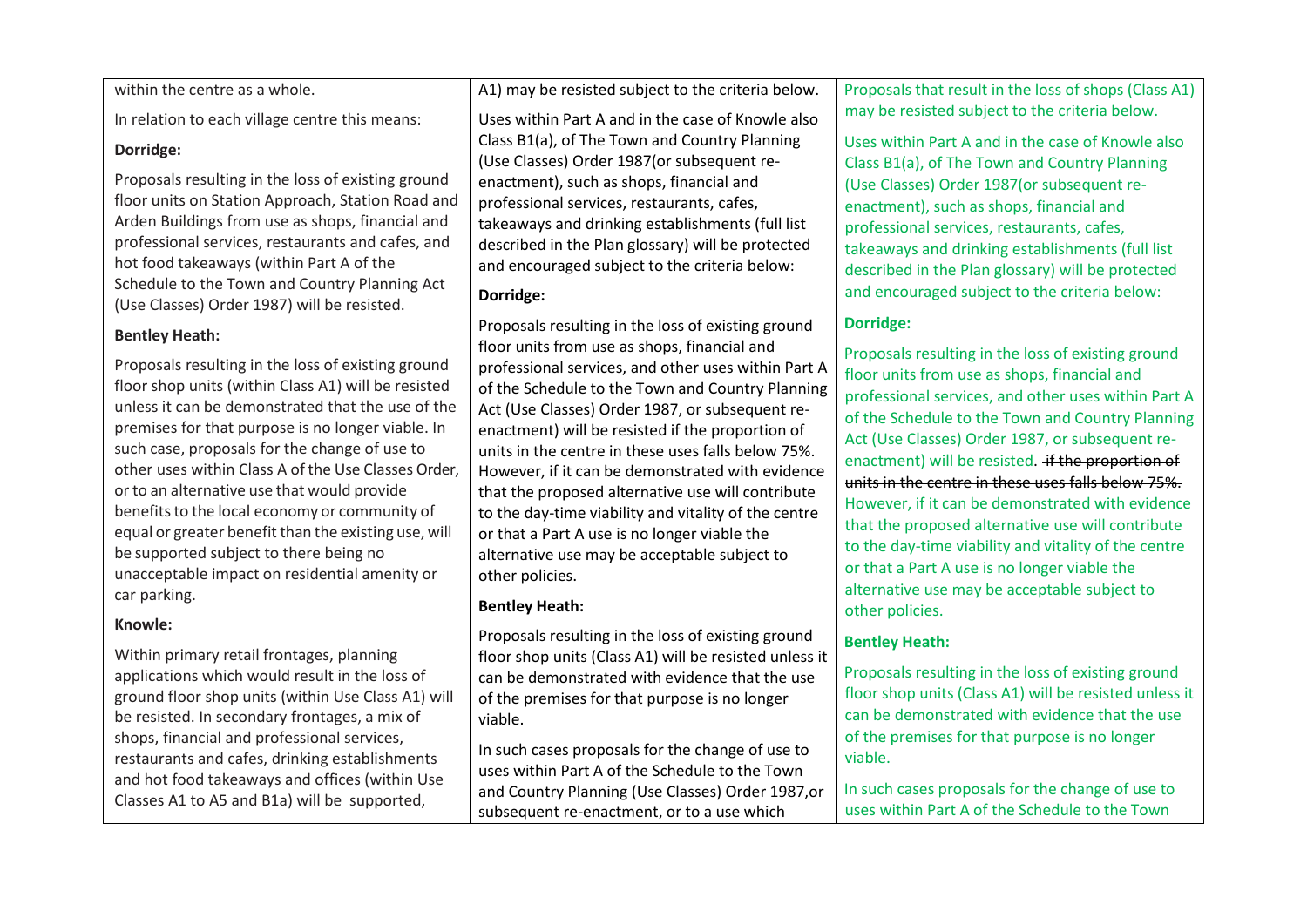within the centre as a whole.

In relation to each village centre this means:

#### **Dorridge:**

Proposals resulting in the loss of existing ground floor units on Station Approach, Station Road and Arden Buildings from use as shops, financial and professional services, restaurants and cafes, and hot food takeaways (within Part A of the Schedule to the Town and Country Planning Act (Use Classes) Order 1987) will be resisted.

#### **Bentley Heath:**

Proposals resulting in the loss of existing ground floor shop units (within Class A1) will be resisted unless it can be demonstrated that the use of the premises for that purpose is no longer viable. In such case, proposals for the change of use to other uses within Class A ofthe Use Classes Order, or to an alternative use that would provide benefits to the local economy or community of equal or greater benefit than the existing use, will be supported subject to there being no unacceptable impact on residential amenity or car parking.

#### **Knowle:**

Within primary retail frontages, planning applications which would result in the loss of ground floor shop units (within Use Class A1) will be resisted. In secondary frontages, a mix of shops, financial and professional services, restaurants and cafes, drinking establishments and hot food takeaways and offices (within Use Classes A1 to A5 and B1a) will be supported,

A1) may be resisted subject to the criteria below.

Uses within Part A and in the case of Knowle also Class B1(a), of The Town and Country Planning (Use Classes) Order 1987(or subsequent reenactment), such as shops, financial and professional services, restaurants, cafes, takeaways and drinking establishments (full list described in the Plan glossary) will be protected and encouraged subject to the criteria below:

### **Dorridge:**

Proposals resulting in the loss of existing ground floor units from use as shops, financial and professional services, and other uses within Part A of the Schedule to the Town and Country Planning Act (Use Classes) Order 1987, or subsequent reenactment) will be resisted if the proportion of units in the centre in these uses falls below 75%. However, if it can be demonstrated with evidence that the proposed alternative use will contribute to the day-time viability and vitality of the centre or that a Part A use is no longer viable the alternative use may be acceptable subject to other policies.

### **Bentley Heath:**

Proposals resulting in the loss of existing ground floor shop units (Class A1) will be resisted unless it can be demonstrated with evidence that the use of the premises for that purpose is no longer viable.

In such cases proposals for the change of use to uses within Part A of the Schedule to the Town and Country Planning (Use Classes) Order 1987,or subsequent re-enactment, or to a use which

Proposals that result in the loss of shops (Class A1) may be resisted subject to the criteria below.

Uses within Part A and in the case of Knowle also Class B1(a), of The Town and Country Planning (Use Classes) Order 1987(or subsequent reenactment), such as shops, financial and professional services, restaurants, cafes, takeaways and drinking establishments (full list described in the Plan glossary) will be protected and encouraged subject to the criteria below:

### **Dorridge:**

Proposals resulting in the loss of existing ground floor units from use as shops, financial and professional services, and other uses within Part A of the Schedule to the Town and Country Planning Act (Use Classes) Order 1987, or subsequent reenactment) will be resisted. if the proportion of units in the centre in these uses falls below 75%. However, if it can be demonstrated with evidence that the proposed alternative use will contribute to the day-time viability and vitality of the centre or that a Part A use is no longer viable the alternative use may be acceptable subject to other policies.

### **Bentley Heath:**

Proposals resulting in the loss of existing ground floor shop units (Class A1) will be resisted unless it can be demonstrated with evidence that the use of the premises for that purpose is no longer viable.

In such cases proposals for the change of use to uses within Part A of the Schedule to the Town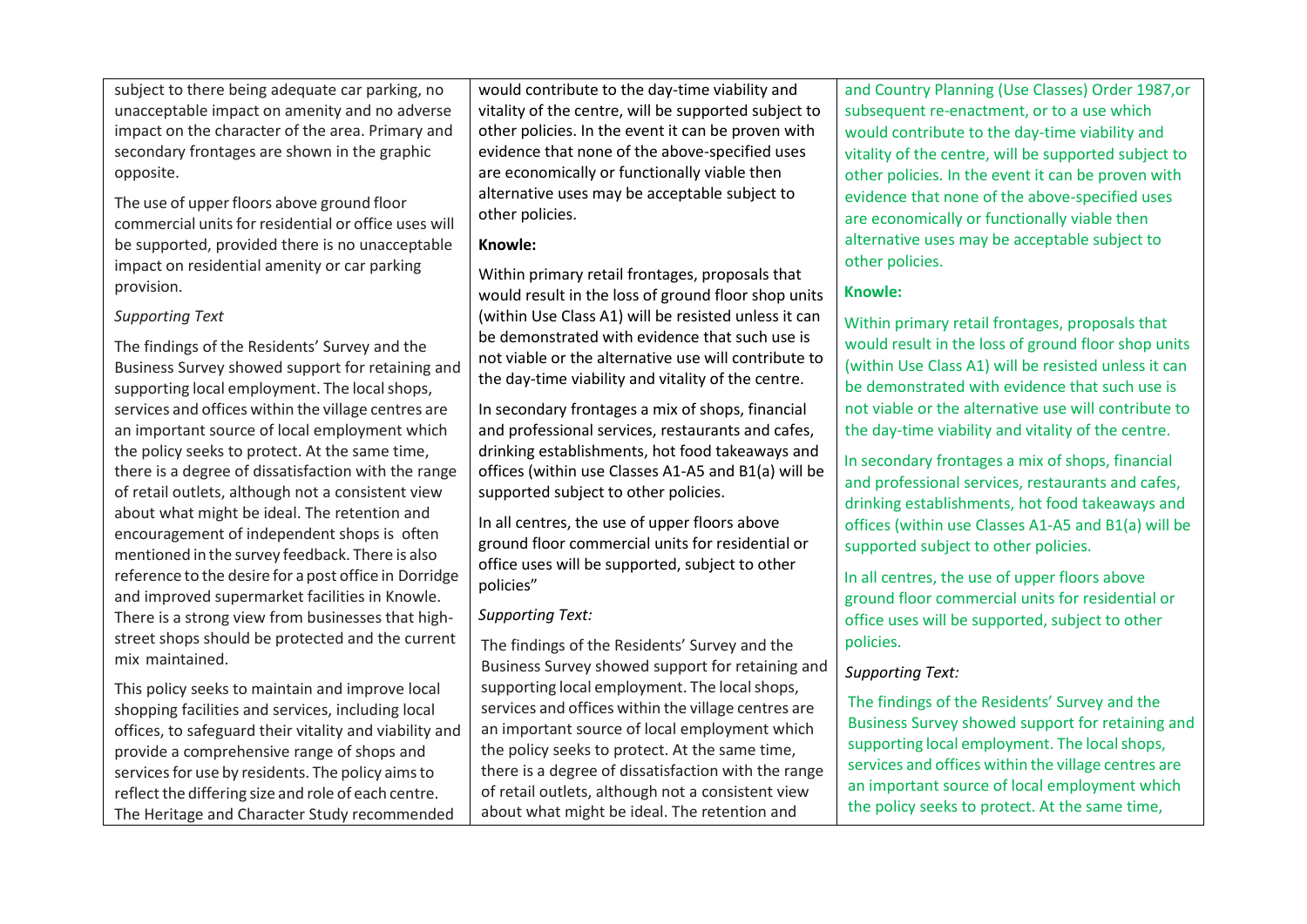subject to there being adequate car parking, no unacceptable impact on amenity and no adverse impact on the character of the area. Primary and secondary frontages are shown in the graphic opposite.

The use of upperfloors above ground floor commercial units for residential or office uses will be supported, provided there is no unacceptable impact on residential amenity or car parking provision.

#### *Supporting Text*

The findings of the Residents' Survey and the Business Survey showed support for retaining and supporting local employment. The local shops, services and offices within the village centres are an important source of local employment which the policy seeks to protect. At the same time, there is a degree of dissatisfaction with the range of retail outlets, although not a consistent view about what might be ideal. The retention and encouragement of independent shops is often mentioned in the survey feedback. There is also reference to the desire for a post office in Dorridge and improved supermarket facilities in Knowle. There is a strong view from businesses that highstreet shops should be protected and the current mix maintained.

This policy seeks to maintain and improve local shopping facilities and services, including local offices, to safeguard their vitality and viability and provide a comprehensive range of shops and services for use by residents. The policy aims to reflect the differing size and role of each centre. The Heritage and Character Study recommended

would contribute to the day-time viability and vitality of the centre, will be supported subject to other policies. In the event it can be proven with evidence that none of the above-specified uses are economically or functionally viable then alternative uses may be acceptable subject to other policies.

#### **Knowle:**

Within primary retail frontages, proposals that would result in the loss of ground floor shop units (within Use Class A1) will be resisted unless it can be demonstrated with evidence that such use is not viable or the alternative use will contribute to the day-time viability and vitality of the centre.

In secondary frontages a mix of shops, financial and professional services, restaurants and cafes, drinking establishments, hot food takeaways and offices (within use Classes A1-A5 and B1(a) will be supported subject to other policies.

In all centres, the use of upper floors above ground floor commercial units for residential or office uses will be supported, subject to other policies"

### *Supporting Text:*

The findings of the Residents' Survey and the Business Survey showed support for retaining and supporting local employment. The local shops, services and offices within the village centres are an important source of local employment which the policy seeks to protect. At the same time, there is a degree of dissatisfaction with the range of retail outlets, although not a consistent view about what might be ideal. The retention and

and Country Planning (Use Classes) Order 1987,or subsequent re-enactment, or to a use which would contribute to the day-time viability and vitality of the centre, will be supported subject to other policies. In the event it can be proven with evidence that none of the above-specified uses are economically or functionally viable then alternative uses may be acceptable subject to other policies.

### **Knowle:**

Within primary retail frontages, proposals that would result in the loss of ground floor shop units (within Use Class A1) will be resisted unless it can be demonstrated with evidence that such use is not viable or the alternative use will contribute to the day-time viability and vitality of the centre.

In secondary frontages a mix of shops, financial and professional services, restaurants and cafes, drinking establishments, hot food takeaways and offices (within use Classes A1-A5 and B1(a) will be supported subject to other policies.

In all centres, the use of upper floors above ground floor commercial units for residential or office uses will be supported, subject to other policies.

### *Supporting Text:*

The findings of the Residents' Survey and the Business Survey showed support for retaining and supporting local employment. The local shops, services and offices within the village centres are an important source of local employment which the policy seeks to protect. At the same time,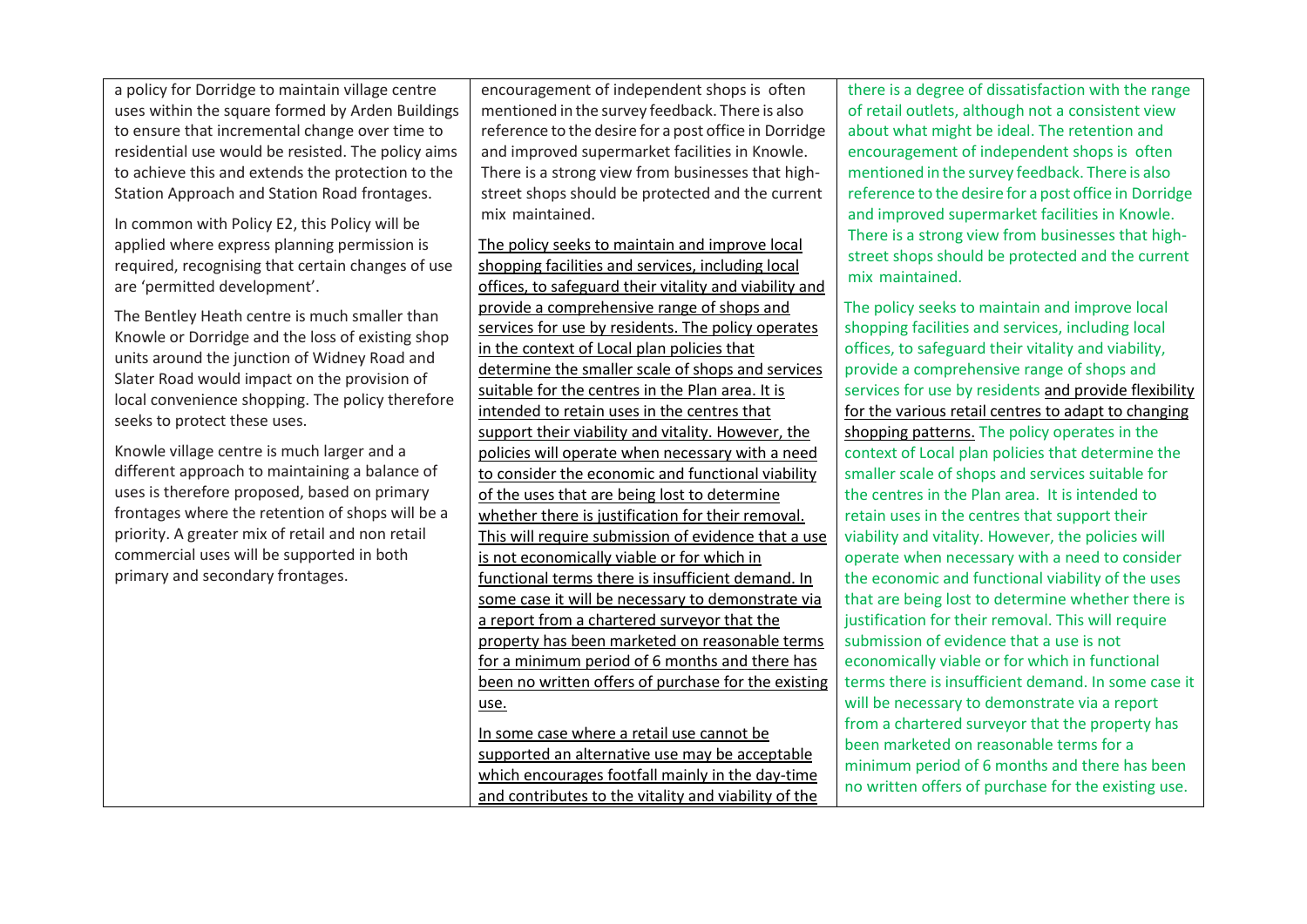a policy for Dorridge to maintain village centre uses within the square formed by Arden Buildings to ensure that incremental change over time to residential use would be resisted. The policy aims to achieve this and extends the protection to the Station Approach and Station Road frontages.

In common with Policy E2, this Policy will be applied where express planning permission is required, recognising that certain changes of use are 'permitted development'.

The Bentley Heath centre is much smaller than Knowle or Dorridge and the loss of existing shop units around the junction of Widney Road and Slater Road would impact on the provision of local convenience shopping. The policy therefore seeks to protect these uses.

Knowle village centre is much larger and a different approach to maintaining a balance of uses is therefore proposed, based on primary frontages where the retention of shops will be a priority. A greater mix of retail and non retail commercial uses will be supported in both primary and secondary frontages.

encouragement of independent shops is often mentioned in the survey feedback. There is also reference to the desire for a post office in Dorridge and improved supermarket facilities in Knowle. There is a strong view from businesses that highstreet shops should be protected and the current mix maintained.

The policy seeks to maintain and improve local shopping facilities and services, including local offices, to safeguard their vitality and viability and provide a comprehensive range of shops and services for use by residents. The policy operates in the context of Local plan policies that determine the smaller scale of shops and services suitable for the centres in the Plan area. It is intended to retain uses in the centres that support their viability and vitality. However, the policies will operate when necessary with a need to consider the economic and functional viability of the uses that are being lost to determine whether there is justification for their removal. This will require submission of evidence that a use is not economically viable or for which in functional terms there is insufficient demand. In some case it will be necessary to demonstrate via a report from a chartered surveyor that the property has been marketed on reasonable terms for a minimum period of 6 months and there has been no written offers of purchase for the existing use.

In some case where a retail use cannot be supported an alternative use may be acceptable which encourages footfall mainly in the day-time and contributes to the vitality and viability of the there is a degree of dissatisfaction with the range of retail outlets, although not a consistent view about what might be ideal. The retention and encouragement of independent shops is often mentioned in the survey feedback. There is also reference to the desire for a post office in Dorridge and improved supermarket facilities in Knowle. There is a strong view from businesses that highstreet shops should be protected and the current mix maintained.

The policy seeks to maintain and improve local shopping facilities and services, including local offices, to safeguard their vitality and viability, provide a comprehensive range of shops and services for use by residents and provide flexibility for the various retail centres to adapt to changing shopping patterns. The policy operates in the context of Local plan policies that determine the smaller scale of shops and services suitable for the centres in the Plan area. It is intended to retain uses in the centres that support their viability and vitality. However, the policies will operate when necessary with a need to consider the economic and functional viability of the uses that are being lost to determine whether there is justification for their removal. This will require submission of evidence that a use is not economically viable or for which in functional terms there is insufficient demand. In some case it will be necessary to demonstrate via a report from a chartered surveyor that the property has been marketed on reasonable terms for a minimum period of 6 months and there has been no written offers of purchase for the existing use.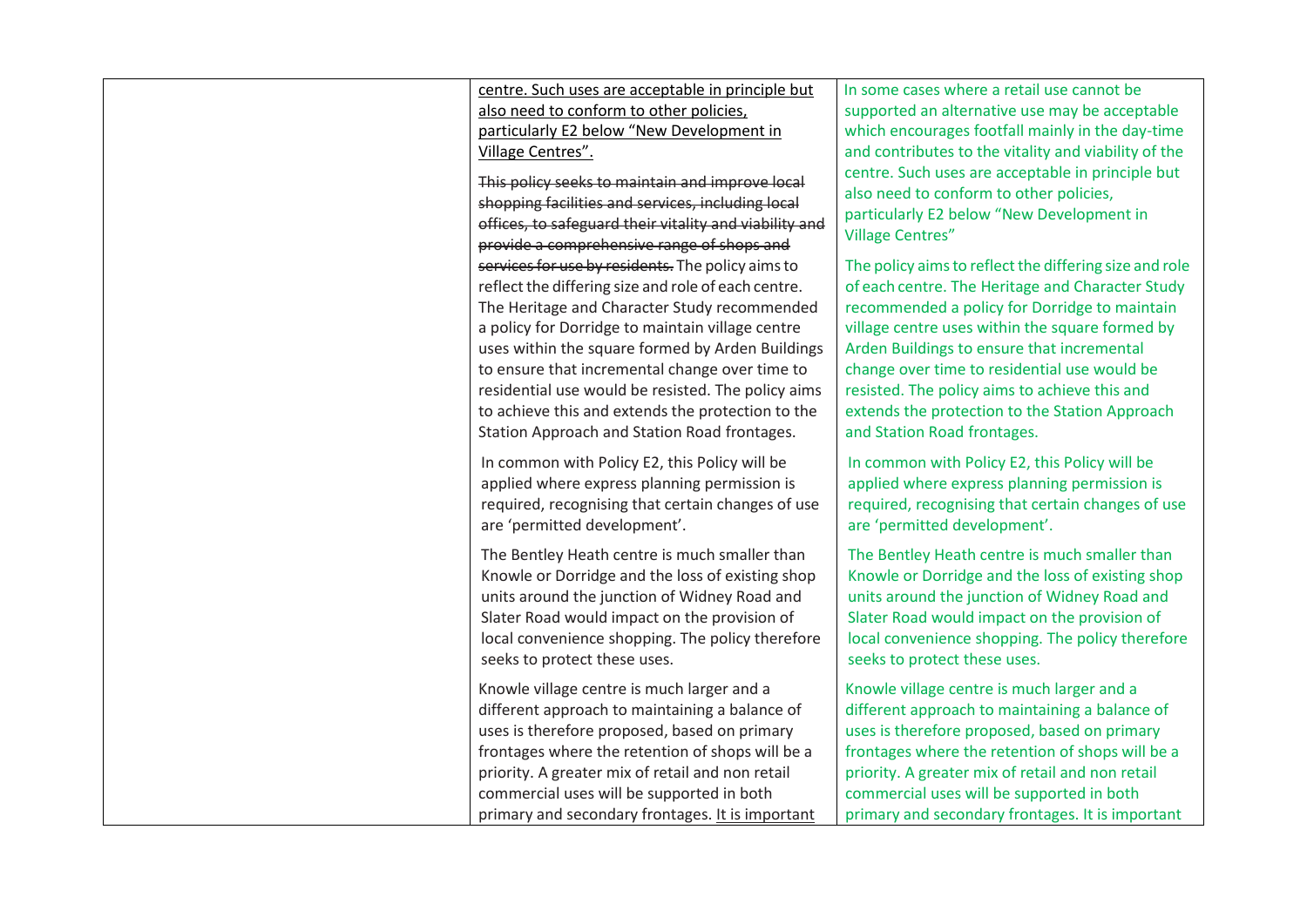centre. Such uses are acceptable in principle but also need to conform to other policies, particularly E2 below "New Development in Village Centres".

This policy seeks to maintain and improve local shopping facilities and services, including local offices, to safeguard their vitality and viability and provide a comprehensive range of shops and services for use by residents. The policy aims to reflect the differing size and role of each centre. The Heritage and Character Study recommended a policy for Dorridge to maintain village centre uses within the square formed by Arden Buildings to ensure that incremental change over time to residential use would be resisted. The policy aims to achieve this and extends the protection to the Station Approach and Station Road frontages.

In common with Policy E2, this Policy will be applied where express planning permission is required, recognising that certain changes of use are 'permitted development'.

The Bentley Heath centre is much smaller than Knowle or Dorridge and the loss of existing shop units around the junction of Widney Road and Slater Road would impact on the provision of local convenience shopping. The policy therefore seeks to protect these uses.

Knowle village centre is much larger and a different approach to maintaining a balance of uses is therefore proposed, based on primary frontages where the retention of shops will be a priority. A greater mix of retail and non retail commercial uses will be supported in both primary and secondary frontages. It is important In some cases where a retail use cannot be supported an alternative use may be acceptable which encourages footfall mainly in the day-time and contributes to the vitality and viability of the centre. Such uses are acceptable in principle but also need to conform to other policies, particularly E2 below "New Development in Village Centres"

The policy aims to reflect the differing size and role of each centre. The Heritage and Character Study recommended a policy for Dorridge to maintain village centre uses within the square formed by Arden Buildings to ensure that incremental change over time to residential use would be resisted. The policy aims to achieve this and extends the protection to the Station Approach and Station Road frontages.

In common with Policy E2, this Policy will be applied where express planning permission is required, recognising that certain changes of use are 'permitted development'.

The Bentley Heath centre is much smaller than Knowle or Dorridge and the loss of existing shop units around the junction of Widney Road and Slater Road would impact on the provision of local convenience shopping. The policy therefore seeks to protect these uses.

Knowle village centre is much larger and a different approach to maintaining a balance of uses is therefore proposed, based on primary frontages where the retention of shops will be a priority. A greater mix of retail and non retail commercial uses will be supported in both primary and secondary frontages. It is important